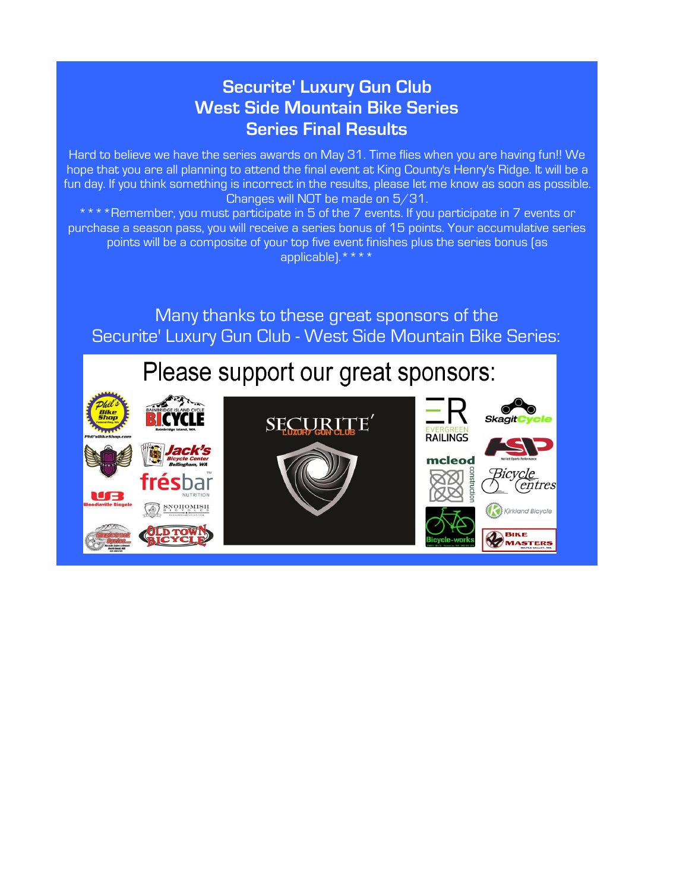# **Securite' Luxury Gun Club West Side Mountain Bike Series Series Final Results**

Hard to believe we have the series awards on May 31. Time flies when you are having fun!! We hope that you are all planning to attend the final event at King County's Henry's Ridge. It will be a fun day. If you think something is incorrect in the results, please let me know as soon as possible. Changes will NOT be made on 5/31.

\*\*\*\*Remember, you must participate in 5 of the 7 events. If you participate in 7 events or purchase a season pass, you will receive a series bonus of 15 points. Your accumulative series points will be a composite of your top five event finishes plus the series bonus (as applicable).\*\*\*\*

Many thanks to these great sponsors of the Securite' Luxury Gun Club - West Side Mountain Bike Series:

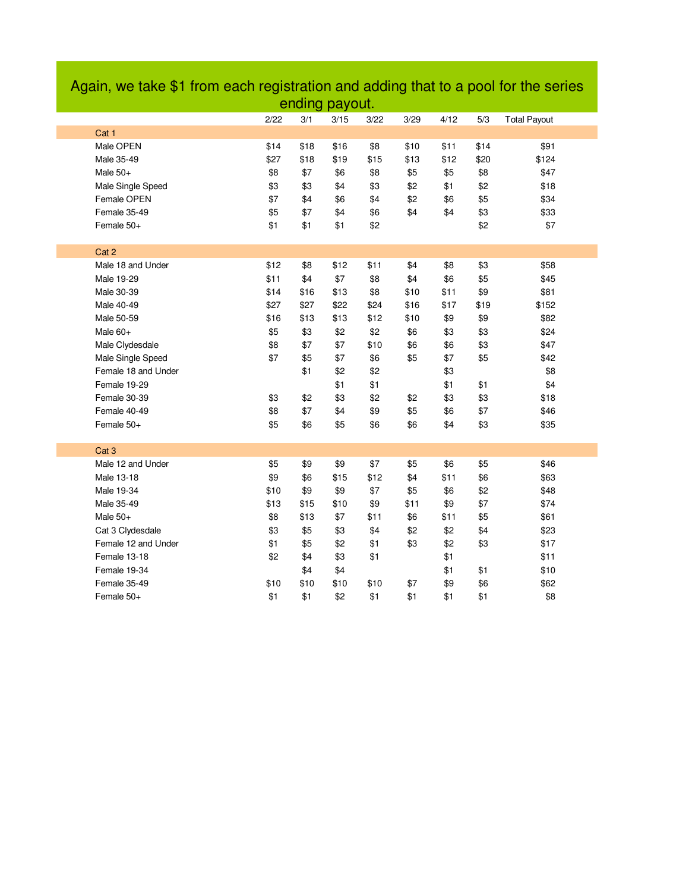|                     |      |      | ending payout. |      |      |      |      |                     |
|---------------------|------|------|----------------|------|------|------|------|---------------------|
|                     | 2/22 | 3/1  | 3/15           | 3/22 | 3/29 | 4/12 | 5/3  | <b>Total Payout</b> |
| Cat 1               |      |      |                |      |      |      |      |                     |
| Male OPEN           | \$14 | \$18 | \$16           | \$8  | \$10 | \$11 | \$14 | \$91                |
| Male 35-49          | \$27 | \$18 | \$19           | \$15 | \$13 | \$12 | \$20 | \$124               |
| Male $50+$          | \$8  | \$7  | \$6            | \$8  | \$5  | \$5  | \$8  | \$47                |
| Male Single Speed   | \$3  | \$3  | \$4            | \$3  | \$2  | \$1  | \$2  | \$18                |
| Female OPEN         | \$7  | \$4  | \$6            | \$4  | \$2  | \$6  | \$5  | \$34                |
| Female 35-49        | \$5  | \$7  | \$4            | \$6  | \$4  | \$4  | \$3  | \$33                |
| Female 50+          | \$1  | \$1  | \$1            | \$2  |      |      | \$2  | \$7                 |
|                     |      |      |                |      |      |      |      |                     |
| Cat 2               |      |      |                |      |      |      |      |                     |
| Male 18 and Under   | \$12 | \$8  | \$12           | \$11 | \$4  | \$8  | \$3  | \$58                |
| Male 19-29          | \$11 | \$4  | \$7            | \$8  | \$4  | \$6  | \$5  | \$45                |
| Male 30-39          | \$14 | \$16 | \$13           | \$8  | \$10 | \$11 | \$9  | \$81                |
| Male 40-49          | \$27 | \$27 | \$22           | \$24 | \$16 | \$17 | \$19 | \$152               |
| Male 50-59          | \$16 | \$13 | \$13           | \$12 | \$10 | \$9  | \$9  | \$82                |
| Male 60+            | \$5  | \$3  | \$2            | \$2  | \$6  | \$3  | \$3  | \$24                |
| Male Clydesdale     | \$8  | \$7  | \$7            | \$10 | \$6  | \$6  | \$3  | \$47                |
| Male Single Speed   | \$7  | \$5  | \$7            | \$6  | \$5  | \$7  | \$5  | \$42                |
| Female 18 and Under |      | \$1  | \$2            | \$2  |      | \$3  |      | \$8                 |
| Female 19-29        |      |      | \$1            | \$1  |      | \$1  | \$1  | \$4                 |
| Female 30-39        | \$3  | \$2  | \$3            | \$2  | \$2  | \$3  | \$3  | \$18                |
| Female 40-49        | \$8  | \$7  | \$4            | \$9  | \$5  | \$6  | \$7  | \$46                |
| Female 50+          | \$5  | \$6  | \$5            | \$6  | \$6  | \$4  | \$3  | \$35                |
|                     |      |      |                |      |      |      |      |                     |
| Cat <sub>3</sub>    |      |      |                |      |      |      |      |                     |
| Male 12 and Under   | \$5  | \$9  | \$9            | \$7  | \$5  | \$6  | \$5  | \$46                |
| Male 13-18          | \$9  | \$6  | \$15           | \$12 | \$4  | \$11 | \$6  | \$63                |
| Male 19-34          | \$10 | \$9  | \$9            | \$7  | \$5  | \$6  | \$2  | \$48                |
| Male 35-49          | \$13 | \$15 | \$10           | \$9  | \$11 | \$9  | \$7  | \$74                |
| Male $50+$          | \$8  | \$13 | \$7            | \$11 | \$6  | \$11 | \$5  | \$61                |
| Cat 3 Clydesdale    | \$3  | \$5  | \$3            | \$4  | \$2  | \$2  | \$4  | \$23                |
| Female 12 and Under | \$1  | \$5  | \$2            | \$1  | \$3  | \$2  | \$3  | \$17                |
| Female 13-18        | \$2  | \$4  | \$3            | \$1  |      | \$1  |      | \$11                |
| Female 19-34        |      | \$4  | \$4            |      |      | \$1  | \$1  | \$10                |
| Female 35-49        | \$10 | \$10 | \$10           | \$10 | \$7  | \$9  | \$6  | \$62                |
| Female 50+          | \$1  | \$1  | \$2            | \$1  | \$1  | \$1  | \$1  | \$8                 |

# Again, we take \$1 from each registration and adding that to a pool for the series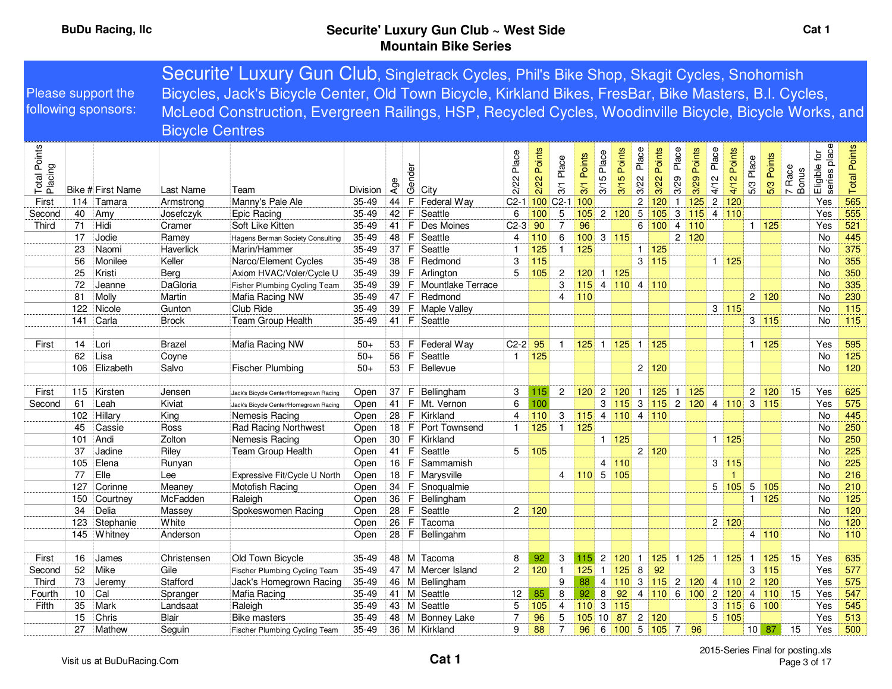|                         |           |                     |                        | Securite' Luxury Gun Club, Singletrack Cycles, Phil's Bike Shop, Skagit Cycles, Snohomish              |                        |          |        |                                 |                |             |                        |                 |                                |                         |                     |                                         |                |                                      |                |                    |              |                    |                         |                              |                     |
|-------------------------|-----------|---------------------|------------------------|--------------------------------------------------------------------------------------------------------|------------------------|----------|--------|---------------------------------|----------------|-------------|------------------------|-----------------|--------------------------------|-------------------------|---------------------|-----------------------------------------|----------------|--------------------------------------|----------------|--------------------|--------------|--------------------|-------------------------|------------------------------|---------------------|
|                         |           | Please support the  |                        | Bicycles, Jack's Bicycle Center, Old Town Bicycle, Kirkland Bikes, FresBar, Bike Masters, B.I. Cycles, |                        |          |        |                                 |                |             |                        |                 |                                |                         |                     |                                         |                |                                      |                |                    |              |                    |                         |                              |                     |
|                         |           | following sponsors: |                        | McLeod Construction, Evergreen Railings, HSP, Recycled Cycles, Woodinville Bicycle, Bicycle Works, and |                        |          |        |                                 |                |             |                        |                 |                                |                         |                     |                                         |                |                                      |                |                    |              |                    |                         |                              |                     |
|                         |           |                     |                        |                                                                                                        |                        |          |        |                                 |                |             |                        |                 |                                |                         |                     |                                         |                |                                      |                |                    |              |                    |                         |                              |                     |
|                         |           |                     | <b>Bicycle Centres</b> |                                                                                                        |                        |          |        |                                 |                |             |                        |                 |                                |                         |                     |                                         |                |                                      |                |                    |              |                    |                         |                              |                     |
| Total Points<br>Placing |           | Bike # First Name   | Last Name              | Team                                                                                                   | Division               | Age      | Gender | City                            | Place<br>2/22  | 2/22 Points | Place<br>3/1           | Points<br>3/1   | 3/15 Place                     | Points<br>3/15          | Place<br>3/22       | Points<br>3/22                          | Place<br>3/29  | Points<br>3/29                       | Place<br>4/12  | Points<br>4/12     | 5/3 Place    | 5/3 Points         | Race<br>7 Race<br>Bonus | Eligible for<br>series place | <b>Total Points</b> |
| First                   | 114<br>40 | Tamara              | Armstrong              | Manny's Pale Ale                                                                                       | $35 - 49$<br>$35 - 49$ | 44<br>42 |        | F Federal Way<br>F Seattle      | 6              |             | C2-1 100 C2-1 100<br>5 |                 |                                |                         | $\overline{c}$<br>5 | 120<br>105                              | $\mathbf{1}$   | 125 <br>$3\vert 115\vert 4\vert 110$ | $\overline{2}$ | 120                |              |                    |                         | Yes<br>Yes                   | 565<br>555          |
| Second<br>Third         | 71        | Amy<br>Hidi         | Josefczyk<br>Cramer    | Epic Racing<br>Soft Like Kitten                                                                        | $35 - 49$              | 41       |        | F   Des Moines                  | $C2-3$         | 100<br>90   | $\overline{7}$         | 105<br>96       |                                | 2 120                   |                     | 6 100                                   | $\overline{4}$ | 110                                  |                |                    |              | 1   125            |                         | Yes                          | 521                 |
|                         | 17        | Jodie               | Ramey                  | Hagens Berman Society Consulting                                                                       | 35-49                  | 48       | F      | Seattle                         | 4              | 110         | 6                      | 100             |                                | 3 115                   |                     |                                         |                | 2 120                                |                |                    |              |                    |                         | <b>No</b>                    | 445                 |
|                         | 23        | Naomi               | <b>Haverlick</b>       | Marin/Hammer                                                                                           | $35 - 49$              | 37       |        | <b>F</b> Seattle                | $\overline{1}$ | 125         | $\mathbf{1}$           | 125             |                                |                         |                     | 1 125                                   |                |                                      |                |                    |              |                    |                         | No                           | 375                 |
|                         | 56        | Monilee             | Keller                 | Narco/Element Cycles                                                                                   | $35 - 49$              | 38       | F.     | Redmond                         | 3              | 115         |                        |                 |                                |                         |                     | 3 115                                   |                |                                      |                | $1 \overline{125}$ |              |                    |                         | No                           | 355                 |
|                         | 25        | Kristi              | Berg                   | Axiom HVAC/Voler/Cycle U                                                                               | 35-49                  | 39       |        | F Arlington                     | 5              | 105         | $\overline{c}$         | 120             |                                | $1 \overline{125}$      |                     |                                         |                |                                      |                |                    |              |                    |                         | <b>No</b>                    | 350                 |
|                         | 72        | Jeanne              | DaGloria               | <b>Fisher Plumbing Cycling Team</b>                                                                    | 35-49                  | 39       |        | F Mountlake Terrace             |                |             | 3                      |                 |                                | $115$ 4 110 4 110       |                     |                                         |                |                                      |                |                    |              |                    |                         | No                           | 335                 |
|                         | 81        | Molly               | Martin                 | Mafia Racing NW                                                                                        | 35-49                  | 47       |        | F Redmond                       |                |             | $\overline{4}$         | 110             |                                |                         |                     |                                         |                |                                      |                |                    |              | 2 120              |                         | No                           | 230                 |
|                         | 122       | Nicole              | Gunton                 | Club Ride                                                                                              | $35 - 49$              | 39       |        | F   Maple Valley                |                |             |                        |                 |                                |                         |                     |                                         |                |                                      |                | 3 115              |              |                    |                         | No                           | 115                 |
|                         | 141       | Carla               | <b>Brock</b>           | Team Group Health                                                                                      | $35 - 49$              | 41       |        | F Seattle                       |                |             |                        |                 |                                |                         |                     |                                         |                |                                      |                |                    |              | 3 115              |                         | No                           | $115$               |
|                         |           |                     |                        |                                                                                                        |                        |          |        |                                 |                |             |                        |                 |                                |                         |                     |                                         |                |                                      |                |                    |              |                    |                         |                              |                     |
| First                   | 14        | Lori                | <b>Brazel</b>          | Mafia Racing NW                                                                                        | $50+$                  | 53       |        | F Federal Way                   | $C2-2$         | 95          | $\overline{1}$         |                 |                                | $125$ 1 125             |                     | $1\overline{125}$                       |                |                                      |                |                    |              | $1 \vert 125$      |                         | Yes                          | 595                 |
|                         | 62        | Lisa                | Coyne                  |                                                                                                        | $50+$                  | 56       |        | F Seattle                       | $\mathbf{1}$   | 125         |                        |                 |                                |                         |                     |                                         |                |                                      |                |                    |              |                    |                         | No                           | 125                 |
|                         | 106       | Elizabeth           | Salvo                  | <b>Fischer Plumbing</b>                                                                                | $50+$                  |          |        | 53 F Bellevue                   |                |             |                        |                 |                                |                         |                     | 2 120                                   |                |                                      |                |                    |              |                    |                         | <b>No</b>                    | 120                 |
| First                   | 115       | Kirsten             | Jensen                 | Jack's Bicycle Center/Homegrown Racing                                                                 | Open                   | 37       |        | F Bellingham                    | 3              | 115         | $\overline{2}$         | 120             | $\overline{2}$                 | 120                     | $\mathbf{1}$        | 125                                     | $\mathbf{1}$   | 125                                  |                |                    |              | 2 120              | 15                      | Yes                          | 625                 |
| Second                  | 61        | Leah                | Kiviat                 | Jack's Bicycle Center/Homegrown Racing                                                                 | Open                   | 41       |        | F   Mt. Vernon                  | 6              | 100         |                        |                 | 3                              | 115                     |                     | 3 115 2 120 4                           |                |                                      |                | 110                |              | 3 115              |                         | Yes                          | 575                 |
|                         | 102       | Hillary             | King                   | Nemesis Racing                                                                                         | Open                   | 28       | F.     | Kirkland                        | 4              | 110         | 3                      | $115$ 4 110     |                                |                         |                     | 4 110                                   |                |                                      |                |                    |              |                    |                         | <b>No</b>                    | 445                 |
|                         | 45        | Cassie              | Ross                   | Rad Racing Northwest                                                                                   | Open                   | 18       |        | F   Port Townsend               | $\mathbf{1}$   | 125         | $\overline{1}$         | 125             |                                |                         |                     |                                         |                |                                      |                |                    |              |                    |                         | <b>No</b>                    | 250                 |
|                         | 101       | Andi                | Zolton                 | Nemesis Racing                                                                                         | Open                   | 30       |        | F Kirkland                      |                |             |                        |                 |                                | $1 \vert 125$           |                     |                                         |                |                                      |                | $1 \overline{125}$ |              |                    |                         | No                           | 250                 |
|                         | 37        | Jadine              | Riley                  | Team Group Health                                                                                      | Open                   | 41       |        | F Seattle                       | 5              | 105         |                        |                 |                                |                         |                     | 2 120                                   |                |                                      |                |                    |              |                    |                         | No                           | 225                 |
|                         | 105       | Elena               | Runyan                 |                                                                                                        | Open                   | 16       |        | F Sammamish                     |                |             |                        |                 |                                | 4 110                   |                     |                                         |                |                                      |                | 3 115              |              |                    |                         | No                           | 225                 |
|                         | 77        | Elle                | Lee                    | Expressive Fit/Cycle U North                                                                           | Open                   | 18       |        | F Marysville                    |                |             | 4                      | $110$ 5 105     |                                |                         |                     |                                         |                |                                      |                |                    |              |                    |                         | No                           | 216                 |
|                         | 127       | Corinne             | Meaney                 | Motofish Racing                                                                                        | Open                   | 34       |        | F Snoqualmie                    |                |             |                        |                 |                                |                         |                     |                                         |                |                                      | 5              | 105                |              | $5 \vert 105$      |                         | <b>No</b>                    | 210                 |
|                         | 150       | Courtney            | McFadden               | Raleigh                                                                                                | Open                   | 36       |        | F Bellingham                    |                |             |                        |                 |                                |                         |                     |                                         |                |                                      |                |                    |              | $1 \overline{125}$ |                         | No                           | 125                 |
|                         | 34        | Delia               | Massey                 | Spokeswomen Racing                                                                                     | Open                   |          |        | 28 F Seattle                    | $\overline{2}$ | 120         |                        |                 |                                |                         |                     |                                         |                |                                      |                |                    |              |                    |                         | <b>No</b>                    | 120                 |
|                         | 123       | Stephanie           | White                  |                                                                                                        | Open                   | 26       |        | F Tacoma                        |                |             |                        |                 |                                |                         |                     |                                         |                |                                      |                | 2 120              |              |                    |                         | No                           | 120                 |
|                         | 145       | Whitney             | Anderson               |                                                                                                        | Open                   | 28       |        | F Bellingahm                    |                |             |                        |                 |                                |                         |                     |                                         |                |                                      |                |                    |              | 4 110              |                         | No                           | 110                 |
|                         |           |                     |                        |                                                                                                        |                        |          |        |                                 |                |             |                        |                 |                                |                         |                     |                                         |                |                                      |                |                    |              |                    |                         |                              |                     |
| First                   | 16        | James               | Christensen            | Old Town Bicycle                                                                                       | $35 - 49$              | 48       |        | M Tacoma                        | 8              | 92          | 3                      | $115$ 2         |                                | 120                     | $\mathbf{1}$        | 92                                      |                | $125$ 1 $125$ 1                      |                | 125                | $\mathbf{1}$ | 125<br>3 115       | 15                      | Yes                          | 635<br>577          |
| Second<br>Third         | 52<br>73  | Mike<br>Jeremy      | Gile<br>Stafford       | Fischer Plumbing Cycling Team<br>Jack's Homegrown Racing                                               | 35-49<br>$35 - 49$     | 47<br>46 |        | M Mercer Island<br>M Bellingham | $\mathbf{2}$   | 120         | $\overline{1}$<br>9    | 125<br>88       | $\mathbf{1}$<br>$\overline{4}$ | 125<br>110              | 8                   | 3 <mark>115</mark> 2 <mark>120</mark> 4 |                |                                      |                | 110                |              | $2 \mid 120$       |                         | Yes<br>Yes                   | 575                 |
| Fourth                  | 10        | Cal                 | Spranger               | Mafia Racing                                                                                           | 35-49                  | 41       |        | M Seattle                       | 12             | 85          | 8                      | 92              | 8                              | 92                      |                     | 4 110 6 100 2                           |                |                                      |                | 120                |              | 4 110              | 15                      | Yes                          | 547                 |
| Fifth                   | 35        | Mark                | Landsaat               | Raleigh                                                                                                | $35 - 49$              | 43       |        | M Seattle                       | 5              | 105         | 4                      | $110 \t3 \t115$ |                                |                         |                     |                                         |                |                                      | 3              | 115                |              | $6 \vert 100$      |                         | Yes                          | 545                 |
|                         | 15        | Chris               | Blair                  | <b>Bike masters</b>                                                                                    | $35 - 49$              | 48       |        | M Bonney Lake                   | $\overline{7}$ | 96          | 5                      | 105             | 10                             | 87                      |                     | 2 120                                   |                |                                      | 5              | 105                |              |                    |                         | Yes                          | 513                 |
|                         | 27        | Mathew              | Seguin                 | Fischer Plumbing Cycling Team                                                                          | $35 - 49$              |          |        | 36 M Kirkland                   | 9              | 88          | $\overline{7}$         | 96              |                                | $6 \ 100 \ 5 \ 105 \ 7$ |                     |                                         |                | 96                                   |                |                    |              | $10$ 87            | 15                      | Yes                          | 500                 |
|                         |           |                     |                        |                                                                                                        |                        |          |        |                                 |                |             |                        |                 |                                |                         |                     |                                         |                |                                      |                |                    |              |                    |                         |                              |                     |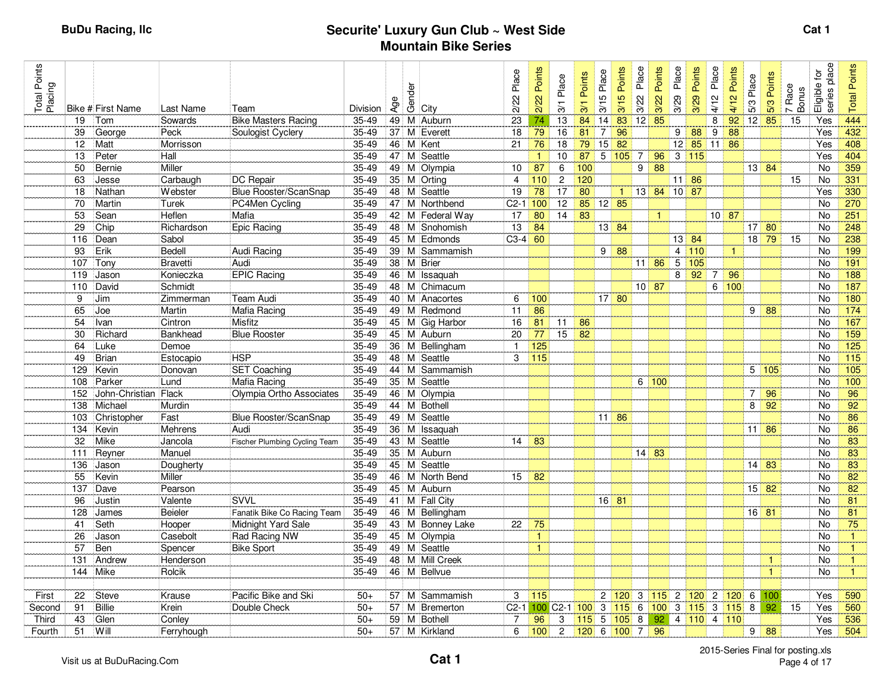| Total Points<br>Placing |           |                      |                    |                               |                    |                 | Gender |                             | Place           | Points         | Place                     | Points | 3/15 Place     | Points        | Place           | Points          | Place          | Points               | Place | Points       | 5/3 Place        | 5/3 Points                  | Race<br>7 Race<br>Bonus | Eligible for<br>series place | <b>Total Points</b> |
|-------------------------|-----------|----------------------|--------------------|-------------------------------|--------------------|-----------------|--------|-----------------------------|-----------------|----------------|---------------------------|--------|----------------|---------------|-----------------|-----------------|----------------|----------------------|-------|--------------|------------------|-----------------------------|-------------------------|------------------------------|---------------------|
|                         |           | Bike # First Name    | Last Name          | Team                          | Division           | Age             |        | City                        | 2/22            | 2/22           | 3/1                       | 3/1    |                | 3/15          | 3/22            | 3/22            | 3/29           | 3/29                 | 4/12  | 4/12         |                  |                             |                         |                              |                     |
|                         | 19        | Tom                  | Sowards            | <b>Bike Masters Racing</b>    | $35-49$            | 49              |        | M Auburn                    | $\overline{23}$ | 74             | 13                        | 84     | 14             | 83            | 12              | 85              |                |                      | 8     | 92           | $12$ 85          |                             | 15                      | Yes                          | 444                 |
|                         | 39        | George               | Peck               | Soulogist Cyclery             | $35 - 49$          | 37              |        | M Everett                   | 18              | 79             | 16                        | 81     | $\overline{7}$ | 96            |                 |                 | 9 <sup>1</sup> | 88                   | 9     | 88           |                  |                             |                         | Yes                          | 432                 |
|                         | 12        | Matt                 | Morrisson          |                               | $35 - 49$          |                 |        | 46 M Kent                   | 21              | 76             | 18                        | 79     | 15             | 82            |                 |                 |                | $12 \mid 85 \mid 11$ |       | 86           |                  |                             |                         | Yes                          | 408                 |
|                         | 13        | Peter                | Hall               |                               | $35 - 49$          | 47              |        | M Seattle                   |                 | $\mathbf{1}$   | 10                        | 87     | 5              | 105           | $\overline{7}$  | 96              |                | 3   115              |       |              |                  |                             |                         | Yes                          | 404                 |
|                         | 50        | Bernie               | Miller             |                               | 35-49              |                 |        | 49 M Olympia                | 10              | 87             | 6                         | 100    |                |               | $\overline{9}$  | 88              |                |                      |       |              |                  | $13 \mid 84$                |                         | No                           | 359                 |
|                         | 63        | Jesse                | Carbaugh           | <b>DC</b> Repair              | 35-49              |                 |        | 35 M Orting                 | $\overline{4}$  | 110            | $\overline{2}$            | 120    |                |               |                 |                 |                | $11 \, 86$           |       |              |                  |                             | 15                      | No                           | 331                 |
|                         | 18        | Nathan               | Webster            | Blue Rooster/ScanSnap         | 35-49              |                 |        | 48 M Seattle                | 19              | 78             | 17                        | 80     |                | $\mathbf{1}$  | 13              | 84 10 87        |                |                      |       |              |                  |                             |                         | Yes                          | 330                 |
|                         | 70        | Martin               | Turek              | PC4Men Cycling                | $35 - 49$          | 47              |        | M Northbend                 | $C2-1$ 100      |                | 12                        | 85     |                | $12$ 85       |                 |                 |                |                      |       |              |                  |                             |                         | No                           | 270                 |
|                         | 53        | Sean                 | Heflen             | Mafia                         | $35 - 49$          | 42              |        | M Federal Way               | 17              | 80             | 14                        | 83     |                |               |                 | $\mathbf{1}$    |                |                      |       | $10$ 87      |                  |                             |                         | No                           | 251                 |
|                         | 29        | Chip                 | Richardson         | Epic Racing                   | $35 - 49$          |                 |        | 48 M Snohomish              | 13              | 84             |                           |        |                | $13$ 84       |                 |                 |                |                      |       |              |                  | $17$ 80                     |                         | No                           | 248                 |
|                         | 116       | Dean                 | Sabol              |                               | $35 - 49$          |                 |        | 45 M Edmonds                | $C3-4$ 60       |                |                           |        |                |               |                 |                 |                | $13 \mid 84$         |       |              |                  | $18$ 79                     | 15                      | No                           | 238                 |
|                         | 93        | Erik                 | Bedell             | Audi Racing                   | 35-49              | 39              |        | M Sammamish                 |                 |                |                           |        | 9              | 88            |                 |                 |                | 4 110                |       | $\mathbf{1}$ |                  |                             |                         | No                           | 199                 |
|                         | 107       | Tony                 | <b>Bravetti</b>    | Audi                          | $35 - 49$          | 38              |        | M Brier                     |                 |                |                           |        |                |               | 11 <sub>1</sub> | 86              | 5              | 105                  |       |              |                  |                             |                         | No                           | 191                 |
|                         | 119       | Jason                | Konieczka          | <b>EPIC Racing</b>            | 35-49              | 46              |        | M Issaquah                  |                 |                |                           |        |                |               |                 |                 | 8              | 92                   | -7    | 96           |                  |                             |                         | No                           | 188                 |
|                         | 110       | David                | Schmidt            |                               | $35 - 49$          |                 |        | 48 M Chimacum               |                 |                |                           |        |                |               |                 | $10$ 87         |                |                      | 6     | 100          |                  |                             |                         | <b>No</b>                    | 187                 |
|                         | 9         | Jim                  | Zimmerman          | Team Audi                     | $35 - 49$          |                 |        | 40 M Anacortes              | 6               | 100            |                           |        |                | $17$ 80       |                 |                 |                |                      |       |              |                  |                             |                         | No                           | 180                 |
|                         | 65        | Joe                  | Martin             | <b>Mafia Racing</b>           | $35 - 49$          |                 |        | 49 M Redmond                | 11              | 86             |                           |        |                |               |                 |                 |                |                      |       |              | 9                | 88                          |                         | No                           | $\overline{174}$    |
|                         | 54        | Ivan                 | Cintron            | Misfitz                       | 35-49              |                 |        | 45 M Gig Harbor             | 16              | 81             | 11                        | 86     |                |               |                 |                 |                |                      |       |              |                  |                             |                         | <b>No</b>                    | 167                 |
|                         | 30        | Richard              | Bankhead           | <b>Blue Rooster</b>           | 35-49              |                 |        | 45 M Auburn                 | 20              | 77             | 15                        | 82     |                |               |                 |                 |                |                      |       |              |                  |                             |                         | No                           | $\overline{159}$    |
|                         | 64        | Luke                 | Demoe              |                               | $35 - 49$          |                 |        | 36 M Bellingham             | $\mathbf{1}$    | 125            |                           |        |                |               |                 |                 |                |                      |       |              |                  |                             |                         | No                           | 125                 |
|                         | 49        | <b>Brian</b>         | Estocapio          | <b>HSP</b>                    | $35 - 49$          |                 |        | 48 M Seattle                | 3               | 115            |                           |        |                |               |                 |                 |                |                      |       |              |                  |                             |                         | <b>No</b>                    | 115                 |
|                         | 129       | Kevin                | Donovan            | <b>SET Coaching</b>           | $35 - 49$          |                 |        | 44 M Sammamish              |                 |                |                           |        |                |               |                 |                 |                |                      |       |              |                  | 5 105                       |                         | No                           | $\overline{105}$    |
|                         | 108       | Parker               | Lund               | Mafia Racing                  | 35-49              |                 |        | 35 M Seattle                |                 |                |                           |        |                |               |                 | 6 100           |                |                      |       |              |                  |                             |                         | <b>No</b>                    | 100                 |
|                         | 152       | John-Christian Flack |                    | Olympia Ortho Associates      | $35 - 49$          |                 |        | 46 M Olympia                |                 |                |                           |        |                |               |                 |                 |                |                      |       |              | $\boldsymbol{7}$ | 96                          |                         | No                           | 96                  |
|                         | 138       | Michael              | Murdin             |                               | $35 - 49$          |                 |        | 44 M Bothell                |                 |                |                           |        |                |               |                 |                 |                |                      |       |              | 8                | 92                          |                         | No                           | 92                  |
|                         | 103       | Christopher          | Fast               | <b>Blue Rooster/ScanSnap</b>  | 35-49              | 49              |        | M Seattle                   |                 |                |                           |        |                | $11 \vert 86$ |                 |                 |                |                      |       |              |                  |                             |                         | No                           | 86                  |
|                         | 134       | Kevin                | Mehrens            | Audi                          | $35 - 49$          | 36 <sup>1</sup> |        | M Issaquah                  |                 |                |                           |        |                |               |                 |                 |                |                      |       |              |                  | $11 \, 86$                  |                         | No                           | 86                  |
|                         | 32        | Mike                 | Jancola            | Fischer Plumbing Cycling Team | 35-49              |                 |        | 43 M Seattle                | 14              | 83             |                           |        |                |               |                 |                 |                |                      |       |              |                  |                             |                         | No                           | 83                  |
|                         | 111       | Reyner               | Manuel             |                               | 35-49              |                 |        | 35 M Auburn<br>45 M Seattle |                 |                |                           |        |                |               |                 | $14 \,   \, 83$ |                |                      |       |              |                  |                             |                         | No                           | 83<br>83            |
|                         | 136       | Jason                | Dougherty          |                               | 35-49<br>$35 - 49$ |                 |        |                             |                 |                |                           |        |                |               |                 |                 |                |                      |       |              | 14               | 83                          |                         | No                           | 82                  |
|                         | 55        | Kevin                | Miller             |                               | $35 - 49$          | 46              |        | M North Bend<br>45 M Auburn | 15              | 82             |                           |        |                |               |                 |                 |                |                      |       |              |                  | $15 \overline{\smash{)}82}$ |                         | No<br>No                     | 82                  |
|                         | 137<br>96 | Dave                 | Pearson<br>Valente | SVVL                          | 35-49              |                 |        | 41 M Fall City              |                 |                |                           |        |                | $16$ 81       |                 |                 |                |                      |       |              |                  |                             |                         | No                           | $\overline{81}$     |
|                         | 128       | Justin<br>James      | <b>Beieler</b>     | Fanatik Bike Co Racing Team   | $35 - 49$          |                 |        | 46 M Bellingham             |                 |                |                           |        |                |               |                 |                 |                |                      |       |              | $16$ 81          |                             |                         | No                           | 81                  |
|                         | 41        | Seth                 | Hooper             | Midnight Yard Sale            | 35-49              |                 |        | 43 M Bonney Lake            | 22              | 75             |                           |        |                |               |                 |                 |                |                      |       |              |                  |                             |                         | No                           | 75                  |
|                         | 26        | Jason                | Casebolt           | Rad Racing NW                 | $35 - 49$          |                 |        | 45 M Olympia                |                 | $\mathbf{1}$   |                           |        |                |               |                 |                 |                |                      |       |              |                  |                             |                         | <b>No</b>                    | $\mathbf{1}$        |
|                         | 57        | Ben                  | Spencer            | <b>Bike Sport</b>             | $35 - 49$          |                 |        | 49 M Seattle                |                 | $\overline{1}$ |                           |        |                |               |                 |                 |                |                      |       |              |                  |                             |                         | No                           | $\mathbf{1}$        |
|                         | 131       | Andrew               | Henderson          |                               | 35-49              |                 |        | 48 M Mill Creek             |                 |                |                           |        |                |               |                 |                 |                |                      |       |              |                  | $\mathbf{1}$                |                         | No                           | $\mathbf{1}$        |
|                         | 144 Mike  |                      | Rolcik             |                               | $35 - 49$          |                 |        | 46 M Bellvue                |                 |                |                           |        |                |               |                 |                 |                |                      |       |              |                  | $\mathbf{1}$                |                         | No                           | $\mathbf{1}$        |
|                         |           |                      |                    |                               |                    |                 |        |                             |                 |                |                           |        |                |               |                 |                 |                |                      |       |              |                  |                             |                         |                              |                     |
| First                   | 22        | <b>Steve</b>         | Krause             | Pacific Bike and Ski          | $50+$              |                 |        | 57 M Sammamish              | 3               | 115            |                           |        | $\mathbf{2}$   | 120           | 3               | $115$ 2 120 2   |                |                      |       | 120          | 6                | 100                         |                         | Yes                          | 590                 |
| Second                  | 91        | <b>Billie</b>        | Krein              | Double Check                  | $50+$              | 57              |        | M Bremerton                 | $C2-1$          |                | 100 C <sub>2</sub> -1 100 |        | 3              | 115           | 6               | 100             |                | $3 \mid 115 \mid 3$  |       | 115          | $\overline{8}$   | 92                          | 15                      | Yes                          | 560                 |
| Third                   | 43        | Glen                 | Conley             |                               | $50+$              |                 |        | 59 M Bothell                | $\overline{7}$  | 96             | 3                         | 115    | 5              | 105           | 8               | 92              |                | 4 110 4              |       | 110          |                  |                             |                         | Yes                          | 536                 |
| Fourth                  | 51        | Will                 | Ferryhough         |                               | $50+$              |                 |        | 57 M Kirkland               | 6               | 100            | $\overline{c}$            | 120    |                | 6 100         | 7               | 96              |                |                      |       |              | 9                | 88                          |                         | Yes                          | 504                 |
|                         |           |                      |                    |                               |                    |                 |        |                             |                 |                |                           |        |                |               |                 |                 |                |                      |       |              |                  |                             |                         |                              |                     |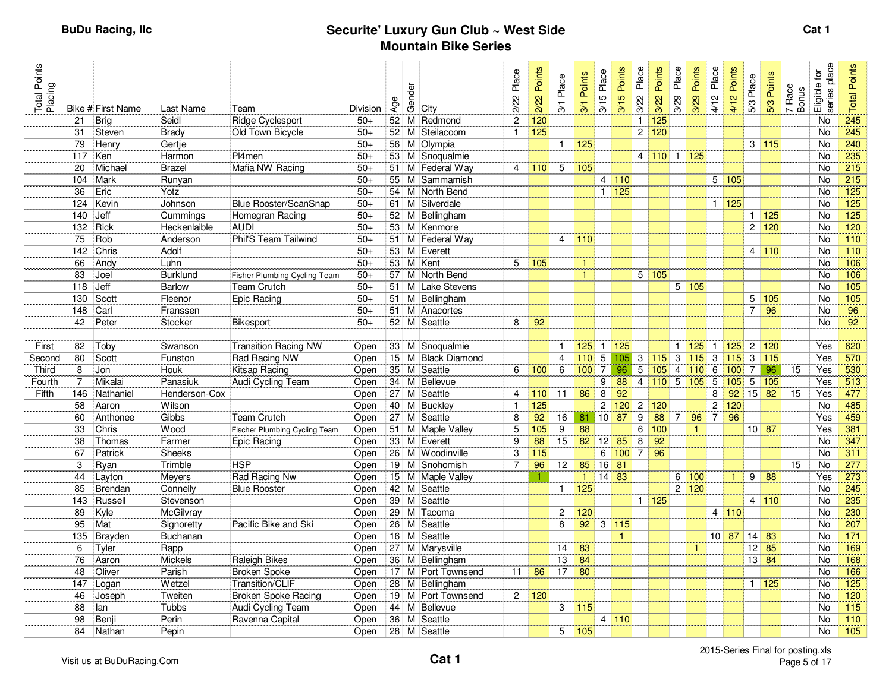| Total Points<br>Placing |     | Bike # First Name | Last Name       | Team                                 | Division | Age | Gender | City               | Place<br>2/22  | Points<br>2/22 | Place<br>3/1   | Points<br>3/1        | Place<br>3/15  | Points<br>3/15 | Place<br>3/22  | Points<br>3/22             | Place<br>3/29  | Points<br>3/29 | Place<br>4/12           | Points<br>4/12 | 5/3 Place      | 5/3 Points         | Race<br>7 Race<br>Bonus | place<br>Eligible for<br>series | Points<br>Total |
|-------------------------|-----|-------------------|-----------------|--------------------------------------|----------|-----|--------|--------------------|----------------|----------------|----------------|----------------------|----------------|----------------|----------------|----------------------------|----------------|----------------|-------------------------|----------------|----------------|--------------------|-------------------------|---------------------------------|-----------------|
|                         | 21  | Bria              | Seidl           | Ridge Cyclesport                     | $50+$    |     |        | 52 M Redmond       | $\overline{c}$ | 120            |                |                      |                |                | $\mathbf{1}$   | 125                        |                |                |                         |                |                |                    |                         | <b>No</b>                       | 245             |
|                         | 31  | Steven            | <b>Brady</b>    | Old Town Bicycle                     | $50+$    | 52  |        | M Steilacoom       | $\mathbf{1}$   | 125            |                |                      |                |                |                | 2 120                      |                |                |                         |                |                |                    |                         | No                              | 245             |
|                         | 79  | Henry             | Gertje          |                                      | $50+$    | 56  |        | M Olympia          |                |                | $\mathbf{1}$   | 125                  |                |                |                |                            |                |                |                         |                |                | 3 115              |                         | <b>No</b>                       | 240             |
|                         | 117 | Ken               | Harmon          | Pl4men                               | $50+$    |     |        | 53 M Snoqualmie    |                |                |                |                      |                |                |                | 4 110 1                    |                | 125            |                         |                |                |                    |                         | No                              | 235             |
|                         | 20  | Michael           | <b>Brazel</b>   | Mafia NW Racing                      | $50+$    |     |        | 51 M Federal Way   | $\overline{4}$ | 110            | 5              | 105                  |                |                |                |                            |                |                |                         |                |                |                    |                         | <b>No</b>                       | 215             |
|                         | 104 | Mark              | Runyan          |                                      | $50+$    | 55  |        | M Sammamish        |                |                |                |                      | 4              | 110            |                |                            |                |                |                         | 5 105          |                |                    |                         | No                              | 215             |
|                         | 36  | Eric              | Yotz            |                                      | $50+$    |     |        | 54 M North Bend    |                |                |                |                      | $\mathbf{1}$   | 125            |                |                            |                |                |                         |                |                |                    |                         | <b>No</b>                       | 125             |
|                         | 124 | Kevin             | Johnson         | <b>Blue Rooster/ScanSnap</b>         | $50+$    |     |        | 61 M Silverdale    |                |                |                |                      |                |                |                |                            |                |                |                         | 1 125          |                |                    |                         | <b>No</b>                       | 125             |
|                         | 140 | Jeff              | Cummings        | Homegran Racing                      | $50+$    |     |        | 52 M Bellingham    |                |                |                |                      |                |                |                |                            |                |                |                         |                |                | $1 \overline{125}$ |                         | No                              | 125             |
|                         | 132 | Rick              | Heckenlaible    | <b>AUDI</b>                          | $50+$    |     |        | 53 M Kenmore       |                |                |                |                      |                |                |                |                            |                |                |                         |                |                | 2 120              |                         | No                              | 120             |
|                         | 75  | Rob               | Anderson        | Phil'S Team Tailwind                 | $50+$    | 51  |        | M Federal Way      |                |                | 4              | 110                  |                |                |                |                            |                |                |                         |                |                |                    |                         | No                              | 110             |
|                         | 142 | Chris             | Adolf           |                                      | $50+$    |     |        | 53 M Everett       |                |                |                |                      |                |                |                |                            |                |                |                         |                |                | 4 110              |                         | No                              | 110             |
|                         | 66  | Andy              | Luhn            |                                      | $50+$    |     |        | 53 M Kent          | 5              | 105            |                | $\blacktriangleleft$ |                |                |                |                            |                |                |                         |                |                |                    |                         | <b>No</b>                       | 106             |
|                         | 83  | Joel              | <b>Burklund</b> | Fisher Plumbing Cycling Team         | $50+$    | 57  |        | M North Bend       |                |                |                | $\mathbf{1}$         |                |                |                | 5 105                      |                |                |                         |                |                |                    |                         | <b>No</b>                       | 106             |
|                         | 118 | Jeff              | <b>Barlow</b>   | Team Crutch                          | $50+$    | 51  |        | M Lake Stevens     |                |                |                |                      |                |                |                |                            |                | 5 105          |                         |                |                |                    |                         | <b>No</b>                       | 105             |
|                         | 130 | Scott             | Fleenor         | Epic Racing                          | $50+$    |     |        | 51 M Bellingham    |                |                |                |                      |                |                |                |                            |                |                |                         |                |                | 5 105              |                         | No                              | $\frac{1}{105}$ |
|                         | 148 | Carl              | Franssen        |                                      | $50+$    | 51  |        | M Anacortes        |                |                |                |                      |                |                |                |                            |                |                |                         |                | $\overline{7}$ | 96                 |                         | No                              | 96              |
|                         | 42  | Peter             | Stocker         | Bikesport                            | $50+$    |     |        | 52 M Seattle       | 8              | 92             |                |                      |                |                |                |                            |                |                |                         |                |                |                    |                         | <b>No</b>                       | $\overline{92}$ |
|                         |     |                   |                 |                                      |          |     |        |                    |                |                |                |                      |                |                |                |                            |                |                |                         |                |                |                    |                         |                                 |                 |
| First                   | 82  | Toby              | Swanson         | <b>Transition Racing NW</b>          | Open     |     |        | 33 M Snoqualmie    |                |                | $\mathbf{1}$   | $125$ 1              |                | 125            |                |                            | 1 <sup>1</sup> | $125$          | $\overline{1}$          | 125            | $\overline{2}$ | 120                |                         | Yes                             | 620             |
| Second                  | 80  | Scott             | Funston         | Rad Racing NW                        | Open     |     |        | 15 M Black Diamond |                |                | $\overline{4}$ | 110                  | 5              | 105            |                | $3 \mid 115 \mid 3$        |                | $115$ 3        |                         | 115            | 3              | 115                |                         | Yes                             | 570             |
| <b>Third</b>            | 8   | Jon               | Houk            | Kitsap Racing                        | Open     |     |        | 35 M Seattle       | 6              | 100            | 6              | 100                  | $\overline{7}$ | 96             |                | $5 \vert 105 \vert$        | $\overline{4}$ | 110            | 6                       | 100            | $\overline{7}$ | 96                 | 15                      | Yes                             | 530             |
| Fourth                  | 7   | Mikalai           | Panasiuk        | Audi Cycling Team                    | Open     |     |        | 34 M Bellevue      |                |                |                |                      | 9              | 88             |                | $4 \overline{110}$ 5 105 5 |                |                |                         | 105            |                | $5 \vert 105$      |                         | Yes                             | 513             |
| Fifth                   | 146 | Nathaniel         | Henderson-Cox   |                                      | Open     |     |        | 27 M Seattle       | 4              | 110            | 11             | 86                   | $\,8\,$        | 92             |                |                            |                |                | 8                       | 92             | $15$ 82        |                    | 15                      | Yes                             | 477             |
|                         | 58  | Aaron             | Wilson          |                                      | Open     |     |        | 40 M Buckley       | $\overline{1}$ | 125            |                |                      | $\overline{c}$ | 120            | $\overline{2}$ | 120                        |                |                | $\overline{\mathbf{c}}$ | 120            |                |                    |                         | No                              | 485             |
|                         | 60  | Anthonee          | Gibbs           | Team Crutch                          | Open     |     |        | 27 M Seattle       | 8              | 92             | 16             | 81                   | 10             | 87             | 9              | 88                         | $\vert$ 7      | 96             | $\overline{7}$          | 96             |                |                    |                         | Yes                             | 459             |
|                         | 33  | Chris             | Wood            | <b>Fischer Plumbing Cycling Team</b> | Open     |     |        | 51 M Maple Valley  | 5              | 105            | 9              | 88                   |                |                | 6              | 100                        |                | $\mathbf{1}$   |                         |                | $10$ 87        |                    |                         | Yes                             | 381             |
|                         | 38  | Thomas            | Farmer          | Epic Racing                          | Open     |     |        | 33 M Everett       | 9              | 88             | 15             | 82                   | 12             | 85             | 8              | 92                         |                |                |                         |                |                |                    |                         | <b>No</b>                       | 347             |
|                         | 67  | Patrick           | <b>Sheeks</b>   |                                      | Open     |     |        | 26 M Woodinville   | 3              | 115            |                |                      | 6              | 100            | $\overline{7}$ | 96                         |                |                |                         |                |                |                    |                         | No                              | 311             |
|                         | 3   | Ryan              | Trimble         | <b>HSP</b>                           | Open     |     |        | 19 M Snohomish     | $\overline{7}$ | 96             | 12             | 85                   | 16             | 81             |                |                            |                |                |                         |                |                |                    | 15                      | No                              | 277             |
|                         | 44  | Layton            | Meyers          | Rad Racing Nw                        | Open     |     |        | 15 M Maple Valley  |                | 1              |                | $\mathbf{1}$         | 14             | 83             |                |                            | 6              | 100            |                         | $\mathbf{1}$   | 9              | 88                 |                         | Yes                             | 273             |
|                         | 85  | Brendan           | Connelly        | <b>Blue Rooster</b>                  | Open     |     |        | 42 M Seattle       |                |                | $\mathbf{1}$   | 125                  |                |                |                |                            | $\overline{2}$ | 120            |                         |                |                |                    |                         | <b>No</b>                       | 245             |
|                         | 143 | Russell           | Stevenson       |                                      | Open     |     |        | 39 M Seattle       |                |                |                |                      |                |                |                | 1 125                      |                |                |                         |                |                | 4 110              |                         | <b>No</b>                       | 235             |
|                         | 89  | Kyle              | McGilvray       |                                      | Open     |     |        | 29 M Tacoma        |                |                | $\overline{c}$ | 120                  |                |                |                |                            |                |                |                         | 4 110          |                |                    |                         | <b>No</b>                       | 230             |
|                         | 95  | Mat               | Signoretty      | Pacific Bike and Ski                 | Open     |     |        | 26 M Seattle       |                |                | 8              | 92                   |                | $3 \vert 115$  |                |                            |                |                |                         |                |                |                    |                         | No                              | 207             |
|                         | 135 | Brayden           | Buchanan        |                                      | Open     |     |        | 16 M Seattle       |                |                |                |                      |                | $\mathbf{1}$   |                |                            |                |                |                         | $10$ 87        | 14             | 83                 |                         | No                              | $171$           |
|                         | 6   | Tyler             | Rapp            |                                      | Open     |     |        | 27 M Marysville    |                |                | 14             | 83                   |                |                |                |                            |                | $\overline{1}$ |                         |                | 12             | 85                 |                         | <b>No</b>                       | 169             |
|                         | 76  | Aaron             | Mickels         | Raleigh Bikes                        | Open     |     |        | 36 M Bellingham    |                |                | 13             | 84                   |                |                |                |                            |                |                |                         |                | $13 \mid 84$   |                    |                         | No                              | 168             |
|                         | 48  | Oliver            | Parish          | <b>Broken Spoke</b>                  | Open     |     |        | 17 M Port Townsend | 11             | 86             | 17             | 80                   |                |                |                |                            |                |                |                         |                |                |                    |                         | <b>No</b>                       | 166             |
|                         | 147 | Logan             | Wetzel          | Transition/CLIF                      | Open     |     |        | 28 M Bellingham    |                |                |                |                      |                |                |                |                            |                |                |                         |                |                | 1   125            |                         | No                              | 125             |
|                         | 46  | Joseph            | Tweiten         | <b>Broken Spoke Racing</b>           | Open     |     |        | 19 M Port Townsend | $\overline{2}$ | 120            |                |                      |                |                |                |                            |                |                |                         |                |                |                    |                         | <b>No</b>                       | 120             |
|                         | 88  | lan               | Tubbs           | Audi Cycling Team                    | Open     |     |        | 44 M Bellevue      |                |                | 3              | 115                  |                |                |                |                            |                |                |                         |                |                |                    |                         | No                              | 115             |
|                         | 98  | Benji             | Perin           | Ravenna Capital                      | Open     |     |        | 36 M Seattle       |                |                |                |                      | $\overline{4}$ | 110            |                |                            |                |                |                         |                |                |                    |                         | <b>No</b>                       | 110             |
|                         | 84  | Nathan            | Pepin           |                                      | Open     |     |        | 28 M Seattle       |                |                | 5              | 105                  |                |                |                |                            |                |                |                         |                |                |                    |                         | No                              | 105             |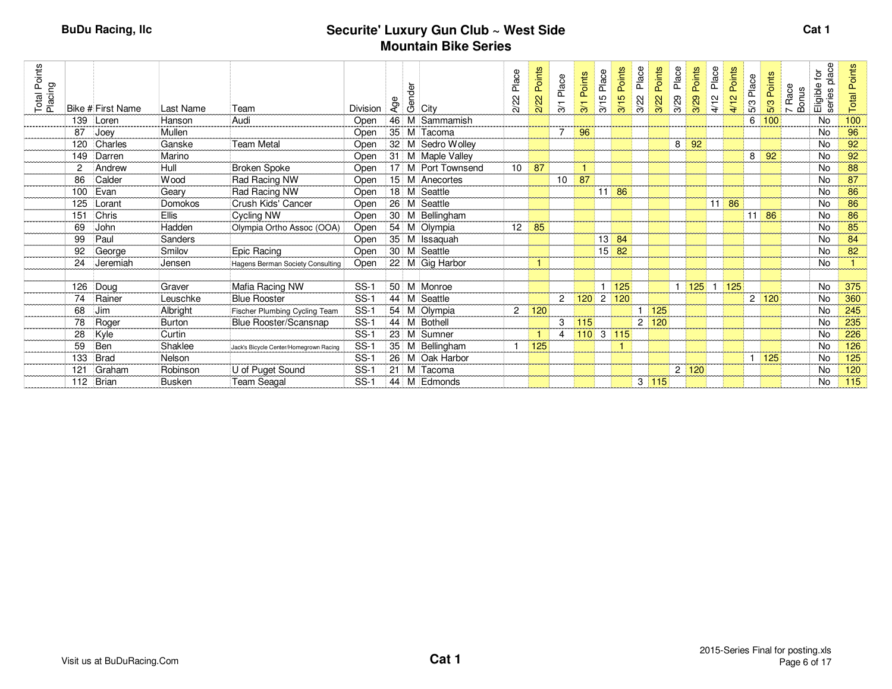| Total Points<br>Placing |     |                   |                |                                        |          | Age | dender<br>Geloity  | Place<br>$\mathcal{S}$ | Points<br>2/22 | Place          | Points<br>$\overline{\phantom{0}}$ | Place<br>5<br>$\overline{3}$ | Points<br>3/15 | Place<br>3/22  | Points<br>3/22 | Place<br>3/29 | Points<br>3/29 | Place<br>4/12 | Points<br>4/12 | Place<br>5/3 | Points<br>5/3 | 7 Race<br>Bonus | place<br>$\tilde{\mathbf{C}}$<br>Eligible<br>series | <b>Total Points</b> |
|-------------------------|-----|-------------------|----------------|----------------------------------------|----------|-----|--------------------|------------------------|----------------|----------------|------------------------------------|------------------------------|----------------|----------------|----------------|---------------|----------------|---------------|----------------|--------------|---------------|-----------------|-----------------------------------------------------|---------------------|
|                         |     | Bike # First Name | Last Name      | Team<br>Audi                           | Division |     |                    | ন                      |                | ল              | $\widetilde{\infty}$               |                              |                |                |                |               |                |               |                |              |               |                 |                                                     |                     |
|                         | 139 | Loren             | Hanson         |                                        | Open     |     | 46 M Sammamish     |                        |                |                |                                    |                              |                |                |                |               |                |               |                | 6            | 100           |                 | <b>No</b>                                           | 100                 |
|                         | 87  | Joey              | Mullen         |                                        | Open     |     | 35 M Tacoma        |                        |                |                | 96                                 |                              |                |                |                |               |                |               |                |              |               |                 | No                                                  | 96                  |
|                         | 120 | Charles           | Ganske         | Team Metal                             | Open     |     | 32 M Sedro Wolley  |                        |                |                |                                    |                              |                |                |                | 8             | 92             |               |                |              |               |                 | No                                                  | 92                  |
|                         | 149 | Darren            | Marino         |                                        | Open     |     | 31 M Maple Valley  |                        |                |                |                                    |                              |                |                |                |               |                |               |                | 8            | 92            |                 | <b>No</b>                                           | 92                  |
|                         | 2   | Andrew            | Hull           | <b>Broken Spoke</b>                    | Open     |     | 17 M Port Townsend | 10                     | 87             |                |                                    |                              |                |                |                |               |                |               |                |              |               |                 | No                                                  | 88                  |
|                         | 86  | Calder            | Wood           | Rad Racing NW                          | Open     |     | 15 M Anecortes     |                        |                | 10             | 87                                 |                              |                |                |                |               |                |               |                |              |               |                 | <b>No</b>                                           | 87                  |
|                         | 100 | Evan              | Geary          | Rad Racing NW                          | Open     |     | 18 M Seattle       |                        |                |                |                                    | 11                           | 86             |                |                |               |                |               |                |              |               |                 | <b>No</b>                                           | 86                  |
|                         | 125 | Lorant            | Domokos        | Crush Kids' Cancer                     | Open     |     | 26 M Seattle       |                        |                |                |                                    |                              |                |                |                |               |                | 11،           | 86             |              |               |                 | No                                                  | 86                  |
|                         | 151 | Chris             | <b>Ellis</b>   | Cycling NW                             | Open     |     | 30 M Bellingham    |                        |                |                |                                    |                              |                |                |                |               |                |               |                | 11           | 86            |                 | <b>No</b>                                           | 86                  |
|                         | 69  | John              | Hadden         | Olympia Ortho Assoc (OOA)              | Open     |     | 54 M Olympia       | 12                     | 85             |                |                                    |                              |                |                |                |               |                |               |                |              |               |                 | No                                                  | 85                  |
|                         | 99  | Paul              | <b>Sanders</b> |                                        | Open     |     | 35 M Issaquah      |                        |                |                |                                    | 13                           | 84             |                |                |               |                |               |                |              |               |                 | No                                                  | 84                  |
|                         | 92  | George            | Smilov         | Epic Racing                            | Open     |     | 30 M Seattle       |                        |                |                |                                    | 15                           | 82             |                |                |               |                |               |                |              |               |                 | No                                                  | 82                  |
|                         | 24  | Jeremiah          | Jensen         | Hagens Berman Society Consulting       | Open     |     | 22 M Gig Harbor    |                        | $\mathbf{1}$   |                |                                    |                              |                |                |                |               |                |               |                |              |               |                 | <b>No</b>                                           |                     |
|                         |     |                   |                |                                        |          |     |                    |                        |                |                |                                    |                              |                |                |                |               |                |               |                |              |               |                 |                                                     |                     |
|                         | 126 | Doug              | Graver         | Mafia Racing NW                        | $SS-1$   |     | 50 M Monroe        |                        |                |                |                                    |                              | 125            |                |                | $\mathbf{1}$  | 125            |               | 125            |              |               |                 | No                                                  | 375                 |
|                         | 74  | Rainer            | Leuschke       | <b>Blue Rooster</b>                    | $SS-1$   |     | 44 M Seattle       |                        |                | $\overline{c}$ | 120                                | $\overline{2}$               | 120            |                |                |               |                |               |                |              | 2 120         |                 | <b>No</b>                                           | 360                 |
|                         | 68  | Jim               | Albright       | Fischer Plumbing Cycling Team          | $SS-1$   |     | 54 M Olympia       | $\overline{2}$         | 120            |                |                                    |                              |                |                | 125            |               |                |               |                |              |               |                 | No                                                  | 245                 |
|                         | 78  | Roger             | Burton         | Blue Rooster/Scansnap                  | $SS-1$   |     | 44 M Bothell       |                        |                | 3              | 115                                |                              |                | 2 <sup>1</sup> | 120            |               |                |               |                |              |               |                 | No                                                  | 235                 |
|                         | 28  | Kyle              | Curtin         |                                        | $SS-1$   |     | 23 M Sumner        |                        |                | 4              | 110 3                              |                              | 115            |                |                |               |                |               |                |              |               |                 | <b>No</b>                                           | 226                 |
|                         | 59  | Ben               | Shaklee        | Jack's Bicycle Center/Homegrown Racing | $SS-1$   |     | 35 M Bellingham    |                        | 125            |                |                                    |                              | 1              |                |                |               |                |               |                |              |               |                 | <b>No</b>                                           | 126                 |
|                         | 133 | Brad              | Nelson         |                                        | $SS-1$   |     | 26 M Oak Harbor    |                        |                |                |                                    |                              |                |                |                |               |                |               |                |              | 125           |                 | No                                                  | 125                 |
|                         | 121 | Graham            | Robinson       | U of Puget Sound                       | $SS-1$   | 21  | M Tacoma           |                        |                |                |                                    |                              |                |                |                | $\mathbf{2}$  | 120            |               |                |              |               |                 | No                                                  | 120                 |
|                         | 112 | Brian             | <b>Busken</b>  | Team Seagal                            | $SS-1$   |     | 44 M Edmonds       |                        |                |                |                                    |                              |                |                | 3 115          |               |                |               |                |              |               |                 | No                                                  | 115                 |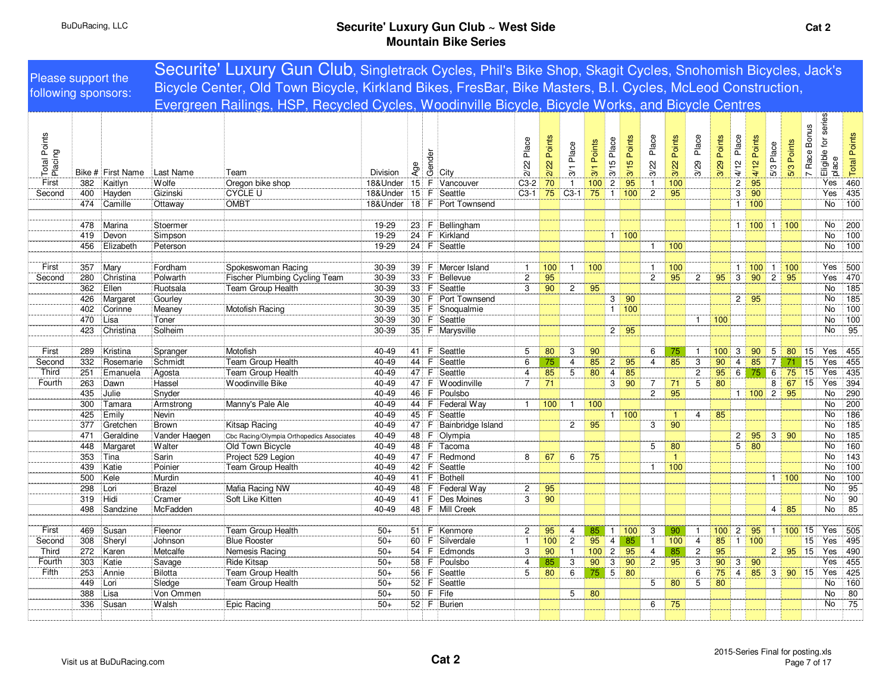|                         |            |                   |                   | Securite' Luxury Gun Club, Singletrack Cycles, Phil's Bike Shop, Skagit Cycles, Snohomish Bicycles, Jack's |                 |        |        |                                |                   |                |                                  |                       |                   |                        |                              |                |                                  |                |                   |                       |                |                 |                          |                              |                         |
|-------------------------|------------|-------------------|-------------------|------------------------------------------------------------------------------------------------------------|-----------------|--------|--------|--------------------------------|-------------------|----------------|----------------------------------|-----------------------|-------------------|------------------------|------------------------------|----------------|----------------------------------|----------------|-------------------|-----------------------|----------------|-----------------|--------------------------|------------------------------|-------------------------|
| Please support the      |            |                   |                   | Bicycle Center, Old Town Bicycle, Kirkland Bikes, FresBar, Bike Masters, B.I. Cycles, McLeod Construction, |                 |        |        |                                |                   |                |                                  |                       |                   |                        |                              |                |                                  |                |                   |                       |                |                 |                          |                              |                         |
| following sponsors:     |            |                   |                   | Evergreen Railings, HSP, Recycled Cycles, Woodinville Bicycle, Bicycle Works, and Bicycle Centres          |                 |        |        |                                |                   |                |                                  |                       |                   |                        |                              |                |                                  |                |                   |                       |                |                 |                          |                              |                         |
|                         |            |                   |                   |                                                                                                            |                 |        |        |                                |                   |                |                                  |                       |                   |                        |                              |                |                                  |                |                   |                       |                |                 |                          |                              |                         |
| Total Points<br>Placing |            |                   |                   |                                                                                                            |                 | Age    | Gender |                                | Place<br>2/22     | Points<br>2/22 | Place                            | Points                | Place<br>3/15     | Points<br>3/15         | Place<br>3/22                | Points<br>3/22 | Place<br>3/29                    | Points<br>3/29 | Place<br>4/12     | Points<br>4/12        | 5/3 Place      | 5/3 Points      | <b>Bonus</b><br>7 Race I | Eligible for series<br>place | Andal Points            |
|                         |            | Bike # First Name | Last Name         | Team                                                                                                       | <b>Division</b> |        |        | City                           |                   |                | $\frac{5}{2}$                    | 3/1                   |                   |                        |                              |                |                                  |                |                   |                       |                |                 |                          |                              |                         |
| First<br>Second         | 382        | Kaitlyn           | Wolfe<br>Gizinski | Oregon bike shop<br><b>CYCLE U</b>                                                                         | 18&Under        |        |        | 15 F Vancouver<br>15 F Seattle | $C3-2$<br>$C3-1$  | 70<br>75       | $\mathbf{1}$<br>$C3-1$           | 100<br>75             | $\overline{2}$    | $\overline{95}$<br>100 | $\mathbf{1}$<br>$\mathbf{2}$ | 100<br>95      |                                  |                | $\overline{c}$    | $\overline{95}$<br>90 |                |                 |                          | Yes<br>Yes                   | $\sqrt{435}$            |
|                         | 400<br>474 | Hayden<br>Camille |                   | <b>OMBT</b>                                                                                                | 18&Under        |        |        | 18 F Port Townsend             |                   |                |                                  |                       | $\mathbf{1}$      |                        |                              |                |                                  |                | 3<br>$\mathbf{1}$ | 100                   |                |                 |                          | <b>No</b>                    | $\frac{100}{100}$       |
|                         |            |                   | Ottaway           |                                                                                                            | 18&Under        |        |        |                                |                   |                |                                  |                       |                   |                        |                              |                |                                  |                |                   |                       |                |                 |                          |                              |                         |
|                         | 478        | Marina            | Stoermer          |                                                                                                            | 19-29           |        |        | 23 F Bellingham                |                   |                |                                  |                       |                   |                        |                              |                |                                  |                |                   | 1   100   1           |                | 100             |                          | No                           | $\overline{200}$        |
|                         | 419        | Devon             | Simpson           |                                                                                                            | 19-29           |        |        | 24 F Kirkland                  |                   |                |                                  |                       |                   | 1   100                |                              |                |                                  |                |                   |                       |                |                 |                          | No                           | 100                     |
|                         | 456        | Elizabeth         | Peterson          |                                                                                                            | 19-29           |        |        | 24 F Seattle                   |                   |                |                                  |                       |                   |                        | -1                           | 100            |                                  |                |                   |                       |                |                 |                          | No                           | 100                     |
|                         |            |                   |                   |                                                                                                            |                 |        |        |                                |                   |                |                                  |                       |                   |                        |                              |                |                                  |                |                   |                       |                |                 |                          |                              |                         |
| First                   | 357        | Mary              | Fordham           | Spokeswoman Racing                                                                                         | 30-39           |        |        | 39 F Mercer Island             |                   | 100            | $\mathbf{1}$                     | 100                   |                   |                        |                              | 100            |                                  |                | $\mathbf{1}$      | $100$ 1               |                | 100             |                          | Yes                          | 500                     |
| Second                  | 280        | Christina         | Polwarth          | Fischer Plumbing Cycling Team                                                                              | 30-39           | 33     |        | F Bellevue                     | $\overline{c}$    | 95             |                                  |                       |                   |                        | $\overline{c}$               | 95             | $\overline{c}$                   | 95             | 3                 | $90$ 2                |                | 95              |                          | Yes                          | 470                     |
|                         | 362        | Ellen             | Ruotsala          | Team Group Health                                                                                          | 30-39           |        |        | 33 F Seattle                   | 3                 | 90             | $\overline{2}$                   | 95                    |                   |                        |                              |                |                                  |                |                   |                       |                |                 |                          | <b>No</b>                    | $\frac{1}{185}$         |
|                         | 426        | Margaret          | Gourley           |                                                                                                            | 30-39           |        |        | 30 F Port Townsend             |                   |                |                                  |                       | 3 <sup>1</sup>    | 90                     |                              |                |                                  |                | $2 \mid 95$       |                       |                |                 |                          | No                           | 185                     |
|                         | 402        | Corinne           | Meaney            | Motofish Racing                                                                                            | 30-39           |        |        | 35 F Snoqualmie                |                   |                |                                  |                       | 1                 | 100                    |                              |                |                                  |                |                   |                       |                |                 |                          | <b>No</b>                    | 100                     |
|                         | 470        | Lisa              | Toner             |                                                                                                            | 30-39           |        |        | 30 F Seattle                   |                   |                |                                  |                       |                   |                        |                              |                | $\mathbf{1}$                     | 100            |                   |                       |                |                 |                          | No                           | $\frac{100}{100}$       |
|                         | 423        | Christina         | Solheim           |                                                                                                            | 30-39           |        |        | 35 F Marysville                |                   |                |                                  |                       | $2 \mid 95$       |                        |                              |                |                                  |                |                   |                       |                |                 |                          | No                           | 95                      |
|                         |            |                   |                   |                                                                                                            |                 |        |        |                                |                   |                |                                  |                       |                   |                        |                              |                |                                  |                |                   |                       |                |                 |                          |                              |                         |
| First                   | 289        | Kristina          | Spranger          | Motofish                                                                                                   | 40-49           | 41     |        | F Seattle                      | 5                 | 80             | 3                                | 90                    |                   |                        | 6                            | 75             | $\mathbf{1}$                     | 100            | 3                 | 90                    | $\mathbf 5$    | 80              | 15                       | Yes                          | 455                     |
| Second                  | 332        | Rosemarie         | Schmidt           | Team Group Health                                                                                          | 40-49           | 44     | F.     | Seattle                        | 6                 | 75             | $\overline{4}$                   | 85                    | $\overline{2}$    | 95                     | $\overline{4}$               | 85             | 3                                | 90             | $\overline{4}$    | 85                    | $\overline{7}$ | 71              | $\overline{15}$          | Yes                          | 455                     |
| Third                   | 251        | Emanuela          | Agosta            | Team Group Health                                                                                          | 40-49           |        |        | 47 F Seattle                   | $\overline{4}$    | 85             | 5                                | 80                    | $\overline{4}$    | 85                     |                              |                | $\overline{c}$                   | 95             | 6                 | 75                    | 6              | $\overline{75}$ | 15                       | Yes                          | 435                     |
| Fourth                  | 263        | Dawn              | Hassel            | Woodinville Bike                                                                                           | 40-49           | 47     | F.     | Woodinville                    | $\overline{7}$    | 71             |                                  |                       | 3                 | 90                     | $\overline{7}$               | 71             | 5                                | 80             |                   |                       | 8              | 67              | 15                       | Yes                          | 394                     |
|                         | 435        | Julie             | Snyder            |                                                                                                            | 40-49           |        |        | 46 F Poulsbo                   |                   |                |                                  |                       |                   |                        | $\mathbf{2}$                 | 95             |                                  |                |                   | $1 \mid 100 \mid 2$   |                | 95              |                          | No                           | 290                     |
|                         | 300        | Tamara            | Armstrong         | Manny's Pale Ale                                                                                           | 40-49           |        |        | 44 F Federal Way               | $\mathbf{1}$      | 100            | $\mathbf{1}$                     | 100                   |                   |                        |                              |                |                                  |                |                   |                       |                |                 |                          | No                           | 200                     |
|                         | 425        | Emily             | Nevin             |                                                                                                            | 40-49           |        |        | 45 F Seattle                   |                   |                |                                  |                       |                   | 1   100                |                              | -1             | $\overline{4}$                   | 85             |                   |                       |                |                 |                          | No                           | 186                     |
|                         | 377        | Gretchen          | Brown             | Kitsap Racing                                                                                              | 40-49           |        |        | 47 F Bainbridge Island         |                   |                | $\mathbf{2}$                     | 95                    |                   |                        | 3                            | 90             |                                  |                |                   |                       |                |                 |                          | <b>No</b>                    | $\overline{185}$        |
|                         | 471        | Geraldine         | Vander Haegen     | Cbc Racing/Olympia Orthopedics Associates                                                                  | 40-49           |        |        | 48 F Olympia                   |                   |                |                                  |                       |                   |                        |                              |                |                                  |                | $\overline{2}$    | $95 \ 3 \ 90$         |                |                 |                          | No                           | 185                     |
|                         | 448        | Margaret          | Walter            | Old Town Bicycle                                                                                           | 40-49           |        |        | 48 F Tacoma                    |                   |                |                                  |                       |                   |                        | 5                            | 80             |                                  |                | 5                 | 80                    |                |                 |                          | <b>No</b>                    | 160                     |
|                         | 353        | Tina              | Sarin             | Project 529 Legion                                                                                         | 40-49           |        |        | 47 F Redmond                   | 8                 | 67             | 6                                | 75                    |                   |                        |                              | $\mathbf{1}$   |                                  |                |                   |                       |                |                 |                          | No                           | 143                     |
|                         | 439        | Katie             | Poinier           | <b>Team Group Health</b>                                                                                   | 40-49           |        |        | 42 F Seattle                   |                   |                |                                  |                       |                   |                        | -1                           | 100            |                                  |                |                   |                       |                |                 |                          | No                           | 100                     |
|                         | 500        | Kele              | Murdin            |                                                                                                            | 40-49           |        |        | 41 F Bothell                   |                   |                |                                  |                       |                   |                        |                              |                |                                  |                |                   |                       |                | 1   100         |                          | No                           | $\frac{100}{100}$       |
|                         | 298        | Lori              | <b>Brazel</b>     | Mafia Racing NW                                                                                            | 40-49           |        |        | 48 F Federal Way               | $\overline{c}$    | 95             |                                  |                       |                   |                        |                              |                |                                  |                |                   |                       |                |                 |                          | No                           | $\overline{95}$         |
|                         | 319        | Hidi              | Cramer            | Soft Like Kitten                                                                                           | 40-49           |        |        | 41 F Des Moines                | 3                 | 90             |                                  |                       |                   |                        |                              |                |                                  |                |                   |                       |                |                 |                          | No                           | 90                      |
|                         | 498        | Sandzine          | McFadden          |                                                                                                            | 40-49           |        |        | 48 F Mill Creek                |                   |                |                                  |                       |                   |                        |                              |                |                                  |                |                   |                       |                | $4 \mid 85$     |                          | No                           | $\overline{85}$         |
|                         |            |                   |                   |                                                                                                            |                 |        |        |                                |                   |                |                                  |                       |                   |                        |                              |                |                                  |                |                   |                       |                |                 |                          |                              |                         |
| First                   | 469        | Susan             | Fleenor           | Team Group Health<br><b>Blue Rooster</b>                                                                   | $50+$           |        |        | 51 F Kenmore                   | $\overline{c}$    | 95             | $\overline{4}$<br>$\overline{2}$ | 85<br>$\overline{95}$ | $\mathbf{1}$<br>4 | 100<br>85              | 3                            | 90             | $\mathbf{1}$                     | $100$ 2        | $1 \mid 100$      | 95                    | $\mathbf{1}$   | 100             | 15<br>15                 | Yes<br>Yes                   | 505<br>$\overline{495}$ |
| Second<br>Third         | 308<br>272 | Sheryl            | Johnson           |                                                                                                            | $50+$<br>$50+$  | 54 F   |        | 60 F Silverdale<br>Edmonds     | $\mathbf{1}$<br>3 | 100            | $\overline{1}$                   | 100                   | $\overline{2}$    | 95                     | $\mathbf{1}$                 | 100            | $\overline{4}$<br>$\overline{c}$ | 85             |                   |                       |                | $2 \mid 95$     | 15                       | Yes                          | 490                     |
| Fourth                  | 303        | Karen<br>Katie    | Metcalfe          | Nemesis Racing<br>Ride Kitsap                                                                              | $50+$           | 58     | F      | Poulsbo                        | 4                 | 90<br>85       | 3                                | 90                    | 3                 | 90                     | 4<br>$\mathbf{2}$            | 85<br>95       | 3                                | 95<br>90       | 3                 | 90                    |                |                 |                          | Yes                          | 455                     |
| <b>Fifth</b>            | 253        | Annie             | Savage<br>Bilotta | Team Group Health                                                                                          | $50+$           | 56     | F.     | Seattle                        | 5                 | 80             | 6                                | 75                    | 5                 | 80                     |                              |                | 6                                | 75             | $\overline{4}$    | 85                    | 3              | 90              | 15                       | Yes                          | 425                     |
|                         | 449        | Lori              | Sledge            | Team Group Health                                                                                          | $50+$           | $52$ F |        | Seattle                        |                   |                |                                  |                       |                   |                        | 5                            | 80             | 5                                | 80             |                   |                       |                |                 |                          | No                           | 160                     |
|                         | 388        | Lisa              | Von Ommen         |                                                                                                            | $50+$           |        |        | 50 F Fife                      |                   |                | 5                                | 80                    |                   |                        |                              |                |                                  |                |                   |                       |                |                 |                          | No                           | 80                      |
|                         | 336        | Susan             | Walsh             | Epic Racing                                                                                                | $50+$           |        |        | 52 F Burien                    |                   |                |                                  |                       |                   |                        | 6                            | 75             |                                  |                |                   |                       |                |                 |                          | <b>No</b>                    | 75                      |
|                         |            |                   |                   |                                                                                                            |                 |        |        |                                |                   |                |                                  |                       |                   |                        |                              |                |                                  |                |                   |                       |                |                 |                          |                              |                         |
|                         |            |                   |                   |                                                                                                            |                 |        |        |                                |                   |                |                                  |                       |                   |                        |                              |                |                                  |                |                   |                       |                |                 |                          |                              |                         |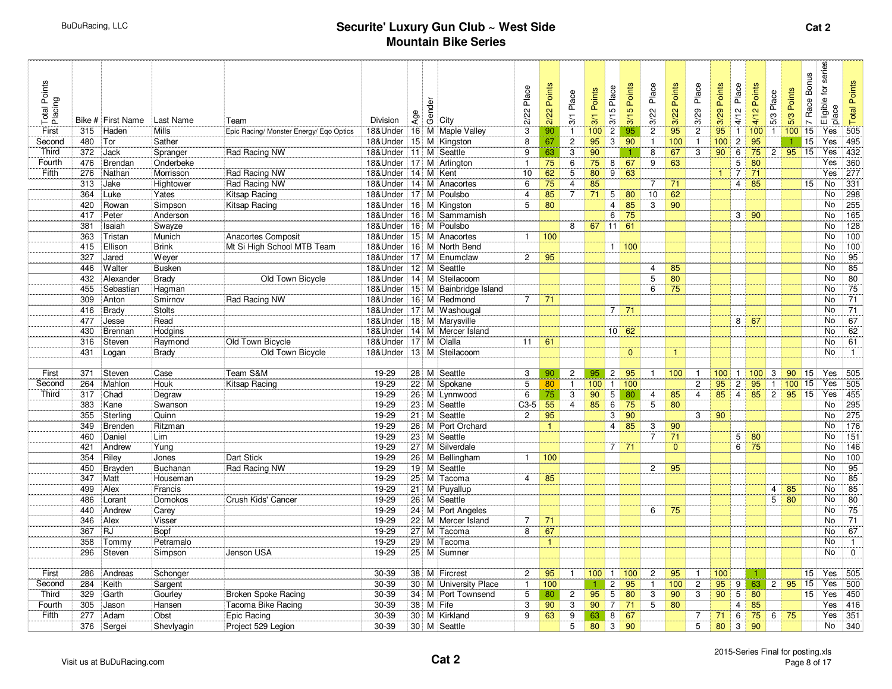| Total Points<br>Placing |            | Bike # First Name | Last Name     | Team                                    | Division       | Age | <b>de</b><br>Genevity      | Place<br>2/22  | Points<br>2/22  | Place<br>$\overline{3}$ | Points<br>3/1   | Place<br>3/15   | Points<br>3/15 | Place<br>3/22    | Points<br>3/22 | Place<br>3/29  | Points<br>3/29       | Place<br>4/12  | Points<br>4/12 | Place<br>5/3                     | Points<br>5/3 | <b>Bonus</b><br>7 Race | Eligible for series<br>place | <b>Total Points</b>           |
|-------------------------|------------|-------------------|---------------|-----------------------------------------|----------------|-----|----------------------------|----------------|-----------------|-------------------------|-----------------|-----------------|----------------|------------------|----------------|----------------|----------------------|----------------|----------------|----------------------------------|---------------|------------------------|------------------------------|-------------------------------|
| First                   | 315        | Haden             | <b>Mills</b>  | Epic Racing/ Monster Energy/ Eqo Optics | 18&Under       |     | 16 M Maple Valley          | 3              | 90              | $\mathbf{1}$            | 100             | $\overline{2}$  | 95             | $\overline{2}$   | 95             | $\overline{2}$ | 95                   | $\overline{1}$ | 100            | $\overline{1}$                   | 100           | 15                     | Yes                          | 505                           |
| Second                  | 480        | Tor               | Sather        |                                         | 18&Under       |     | 15 M Kingston              | 8              | 67              | $\overline{2}$          | 95              | 3               | 90             | $\mathbf{1}$     | 100            | $\mathbf{1}$   | 100                  | $\overline{2}$ | 95             |                                  | $\mathbf{1}$  | 15                     | Yes                          | 495                           |
| Third                   | 372        | Jack              | Spranger      | Rad Racing NW                           | 18&Under       | 111 | M Seattle                  | 9              | 63              | 3                       | 90              |                 | 1              | 8                | 67             | 3              | 90                   | 6              | 75             | 2                                | 95            | 15                     | Yes                          | 432                           |
| Fourth                  | 476        | Brendan           | Onderbeke     |                                         | 18&Under       |     | 17 M Arlington             | $\mathbf{1}$   | 75              | 6                       | $\overline{75}$ | 8               | 67             | 9                | 63             |                |                      | 5              | 80             |                                  |               |                        | Yes                          | 360                           |
| Fifth                   | 276        | Nathan            | Morrisson     | Rad Racing NW                           | 18&Under       | 14  | M Kent                     | 10             | 62              | 5                       | 80              | 9               | 63             |                  |                |                | $\blacktriangleleft$ | $\overline{7}$ | 71             |                                  |               |                        | Yes                          | 277                           |
|                         | 313        | Jake              | Hightower     | Rad Racing NW                           | 18&Under       |     | 14 M Anacortes             | 6              | 75              | $\overline{4}$          | 85              |                 |                | $\overline{7}$   | 71             |                |                      | $\overline{4}$ | 85             |                                  |               | 15                     | No                           | 331                           |
|                         | 364        | Luke              | Yates         | Kitsap Racing                           | 18&Under       |     | 17 M Poulsbo               | $\overline{4}$ | 85              | $\overline{7}$          | 71              | $5\overline{)}$ | 80             | 10 <sup>10</sup> | 62             |                |                      |                |                |                                  |               |                        | No.                          | 298                           |
|                         | 420        | Rowan             | Simpson       | Kitsap Racing                           | 18&Under       |     | 16 M Kingston              | 5              | 80              |                         |                 | $\overline{4}$  | 85             | 3                | 90             |                |                      |                |                |                                  |               |                        | <b>No</b>                    | 255                           |
|                         | 417        | Peter             | Anderson      |                                         | 18&Under       |     | 16 M Sammamish             |                |                 |                         |                 | 6               | 75             |                  |                |                |                      |                | $3 \mid 90$    |                                  |               |                        | <b>No</b>                    | 165                           |
|                         | 381        | Isaiah            | Swayze        |                                         | 18&Under       |     | 16 M Poulsbo               |                |                 | 8                       | 67              | 11              | 61             |                  |                |                |                      |                |                |                                  |               |                        | <b>No</b>                    | 128                           |
|                         | 363        | Tristan           | Munich        | Anacortes Composit                      | 18&Under       |     | 15 M Anacortes             | $\mathbf{1}$   | 100             |                         |                 |                 |                |                  |                |                |                      |                |                |                                  |               |                        | <b>No</b>                    | 100                           |
|                         | 415        | Ellison           | Brink         | Mt Si High School MTB Team              | 18&Under       |     | 16 M North Bend            |                |                 |                         |                 |                 | 1   100        |                  |                |                |                      |                |                |                                  |               |                        | <b>No</b>                    | $\frac{100}{100}$             |
|                         | 327        | Jared             | Weyer         |                                         | 18&Under       | 17  | M Enumclaw                 | $\overline{2}$ | 95              |                         |                 |                 |                |                  |                |                |                      |                |                |                                  |               |                        | No                           | 95                            |
|                         | 446        | Walter            | <b>Busken</b> |                                         | 18&Under       |     | 12 M Seattle               |                |                 |                         |                 |                 |                | 4                | 85             |                |                      |                |                |                                  |               |                        | No                           | 85                            |
|                         | 432        | Alexander         | Brady         | Old Town Bicycle                        | 18&Under       |     | 14 M Steilacoom            |                |                 |                         |                 |                 |                | 5                | 80             |                |                      |                |                |                                  |               |                        | No                           | 80                            |
|                         | 455        | Sebastian         | Hagman        |                                         | 18&Under       |     | 15 M Bainbridge Island     |                |                 |                         |                 |                 |                | 6                | 75             |                |                      |                |                |                                  |               |                        | No                           | 75                            |
|                         | 309        | Anton             | Smirnov       | Rad Racing NW                           | 18&Under       |     | 16 M Redmond               | $\overline{7}$ | 71              |                         |                 |                 |                |                  |                |                |                      |                |                |                                  |               |                        | No.                          | $\overline{71}$               |
|                         | 416        | Brady             | <b>Stolts</b> |                                         | 18&Under       |     | 17 M Washougal             |                |                 |                         |                 | $7^{\circ}$     | 71             |                  |                |                |                      |                |                |                                  |               |                        | No                           | 71                            |
|                         | 477        | Jesse             | Read          |                                         | 18&Under       |     | 18 M Marysville            |                |                 |                         |                 |                 |                |                  |                |                |                      | 8              | 67             |                                  |               |                        | <b>No</b>                    | 67                            |
|                         | 430        | Brennan           | Hodgins       |                                         | 18&Under       |     | 14 M Mercer Island         |                |                 |                         |                 | $10 \mid 62$    |                |                  |                |                |                      |                |                |                                  |               |                        | <b>No</b>                    | 62                            |
|                         | 316        | Steven            | Raymond       | Old Town Bicycle                        | 18&Under       |     | 17 M Olalla                | 11             | 61              |                         |                 |                 |                |                  |                |                |                      |                |                |                                  |               |                        | No.                          | 61                            |
|                         | 431        | Logan             | <b>Brady</b>  | Old Town Bicycle                        | 18&Under       |     | 13 M Steilacoom            |                |                 |                         |                 |                 | $\mathbf{0}$   |                  | $\mathbf{1}$   |                |                      |                |                |                                  |               |                        | <b>No</b>                    | $\mathbf{1}$                  |
|                         |            |                   |               |                                         |                |     |                            |                |                 |                         |                 |                 |                |                  |                |                |                      |                |                |                                  |               |                        |                              |                               |
| First                   | 371        | Steven            | Case          | Team S&M                                | 19-29          |     | 28 M Seattle               | 3              | 90              | $\overline{c}$          | 95              | $\overline{2}$  | 95             | $\mathbf{1}$     | 100            | $\mathbf{1}$   | $100$ 1              |                | 100            | 3                                | 90            | 15                     | Yes                          | 505                           |
| Second                  | 264        | Mahlon            | Houk          | Kitsap Racing                           | 19-29          |     | 22 M Spokane               | $\overline{5}$ | 80              | $\mathbf{1}$            | 100             | $\mathbf{1}$    | 100            |                  |                | $\overline{2}$ | 95                   | $\overline{2}$ | 95             | $\mathbf{1}$                     | 100           | $\overline{15}$        | Yes                          | 505                           |
| Third                   | 317        | Chad              | Degraw        |                                         | 19-29          |     | 26 M Lynnwood              | 6              | 75              | 3                       | 90              | 5               | 80             | $\overline{4}$   | 85             | $\overline{4}$ | $85 \mid 4$          |                | $85$ 2         |                                  | 95            | $\overline{15}$        | Yes                          | 455                           |
|                         | 383        | Kane              | Swanson       |                                         | 19-29          |     | 23 M Seattle               | $C3-5$         | $\overline{55}$ | $\overline{4}$          | 85              | 6               | 75             | 5                | 80             |                |                      |                |                |                                  |               |                        | No                           | $\overline{295}$              |
|                         | 355        | Sterling          | Quinn         |                                         | 19-29          |     | 21 M Seattle               | $\overline{2}$ | 95              |                         |                 | 3               | 90             |                  |                | 3              | 90                   |                |                |                                  |               |                        | No.                          | $\overline{275}$              |
|                         | 349        | Brenden           | Ritzman       |                                         | 19-29          |     | 26 M Port Orchard          |                | $\mathbf{1}$    |                         |                 | $\overline{4}$  | 85             | 3                | 90             |                |                      |                |                |                                  |               |                        | No                           | 176                           |
|                         | 460        | Daniel            | Lim           |                                         | 19-29          |     | 23 M Seattle               |                |                 |                         |                 |                 |                | $\overline{7}$   | 71             |                |                      | 5              | 80             |                                  |               |                        | No.                          | 151                           |
|                         | 421        | Andrew            | Yung          |                                         | 19-29          |     | 27 M Silverdale            |                |                 |                         |                 |                 | $7 \mid 71$    |                  | $\overline{0}$ |                |                      | 6              | 75             |                                  |               |                        | <b>No</b>                    | 146                           |
|                         | 354        | Riley             | Jones         | Dart Stick                              | 19-29          |     | 26 M Bellingham            | $\mathbf{1}$   | 100             |                         |                 |                 |                |                  |                |                |                      |                |                |                                  |               |                        | No.<br><b>No</b>             | 100                           |
|                         | 450        | Brayden           | Buchanan      | Rad Racing NW                           | 19-29          |     | 19 M Seattle               |                |                 |                         |                 |                 |                | $\overline{2}$   | 95             |                |                      |                |                |                                  |               |                        | <b>No</b>                    | $\overline{95}$               |
|                         | 347        | Matt              | Houseman      |                                         | 19-29          |     | 25 M Tacoma                | $\overline{4}$ | 85              |                         |                 |                 |                |                  |                |                |                      |                |                |                                  |               |                        | <b>No</b>                    | 85                            |
|                         | 499        | Alex              | Francis       |                                         | 19-29          | 21  | M Puyallup                 |                |                 |                         |                 |                 |                |                  |                |                |                      |                |                | $\overline{4}$<br>5 <sup>1</sup> | 85<br>80      |                        | No.                          | 85                            |
|                         | 486<br>440 | Lorant            | Domokos       | Crush Kids' Cancer                      | $19 - 29$      |     | 26 M Seattle               |                |                 |                         |                 |                 |                |                  |                |                |                      |                |                |                                  |               |                        | No                           | 80                            |
|                         |            | Andrew            | Carey         |                                         | 19-29<br>19-29 |     | 24 M Port Angeles          |                |                 |                         |                 |                 |                | 6                | 75             |                |                      |                |                |                                  |               |                        | No.                          | 75                            |
|                         | 346        | Alex<br><b>RJ</b> | Visser        |                                         | 19-29          |     | 22 M Mercer Island         | 7<br>8         | 71              |                         |                 |                 |                |                  |                |                |                      |                |                |                                  |               |                        | No                           | 71<br>67                      |
|                         | 367        |                   | Bopf          |                                         |                |     | 27 M Tacoma                |                | 67              |                         |                 |                 |                |                  |                |                |                      |                |                |                                  |               |                        |                              |                               |
|                         | 358<br>296 | Tommy<br>Steven   | Petramalo     | Jenson USA                              | 19-29<br>19-29 |     | 29 M Tacoma<br>25 M Sumner |                | $\mathbf{1}$    |                         |                 |                 |                |                  |                |                |                      |                |                |                                  |               |                        | No<br>No                     | $\overline{1}$<br>$\mathbf 0$ |
|                         |            |                   | Simpson       |                                         |                |     |                            |                |                 |                         |                 |                 |                |                  |                |                |                      |                |                |                                  |               |                        |                              |                               |
| First                   | 286        | Andreas           | Schonger      |                                         | 30-39          |     | 38 M Fircrest              | $\overline{c}$ | 95              | $\mathbf{1}$            | 100             | $\mathbf{1}$    | 100            | $\overline{2}$   | 95             | $\mathbf{1}$   | 100                  |                |                |                                  |               | 15                     | Yes                          | 505                           |
| Second                  | 284        | Keith             | Sargent       |                                         | 30-39          |     | 30 M University Place      | $\mathbf{1}$   | 100             |                         | $\mathbf{1}$    | $\mathbf{2}$    | 95             | $\mathbf{1}$     | 100            | $\overline{2}$ | 95                   | 9              | 63             | $\overline{2}$                   | 95            | $\overline{15}$        | Yes                          | 500                           |
| Third                   | 329        | Garth             | Gourley       | Broken Spoke Racing                     | 30-39          |     | 34 M Port Townsend         | 5              | 80              | $\overline{c}$          | 95              | 5               | 80             | 3                | 90             | 3              | 90                   | 5              | 80             |                                  |               | 15                     | Yes                          | 450                           |
| Fourth                  | 305        | Jason             | Hansen        | Tacoma Bike Racing                      | 30-39          |     | 38 M Fife                  | 3              | 90              | 3                       | 90              | $\overline{7}$  | 71             | 5                | 80             |                |                      | $\overline{4}$ | 85             |                                  |               |                        | Yes                          | 416                           |
| Fifth                   | 277        | Adam              | Obst          | Epic Racing                             | 30-39          |     | 30 M Kirkland              | 9              | 63              | 9                       | 63              | 8               | 67             |                  |                | 7              | 71                   | 6              | 75             | 6                                | 75            |                        | Yes                          | 351                           |
|                         | 376        | Sergei            | Shevlyagin    | Project 529 Legion                      | 30-39          |     | 30 M Seattle               |                |                 | 5                       | 80              | $\mathbf{3}$    | 90             |                  |                | 5              | 80                   | 3              | 90             |                                  |               |                        | No                           | 340                           |
|                         |            |                   |               |                                         |                |     |                            |                |                 |                         |                 |                 |                |                  |                |                |                      |                |                |                                  |               |                        |                              |                               |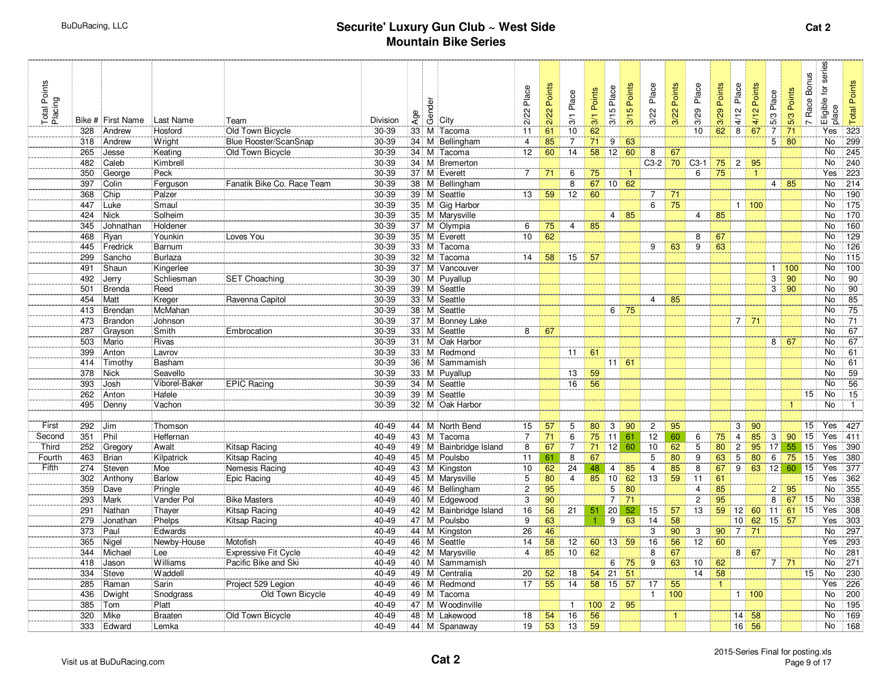| Total Points<br>Placing |            | Bike # First Name | Last Name               | Team                        | Division       | Age             | de<br>Geology                   | Place<br>2/22  | Points<br>2/22 | Place<br>$\overline{3}$ | Points<br>$\overline{3}$ | Place<br>3/15              | Points<br>3/15 | Place<br>3/22         | Points<br>3/22 | Place<br>3/29   | Points<br>3/29   | Place<br>4/12  | Points<br>4/12         | Place<br>$5/3$    | Points<br>5/3 | <b>Bonus</b><br>7 Race             | Eligible for series<br>place | <b>Total Points</b>     |
|-------------------------|------------|-------------------|-------------------------|-----------------------------|----------------|-----------------|---------------------------------|----------------|----------------|-------------------------|--------------------------|----------------------------|----------------|-----------------------|----------------|-----------------|------------------|----------------|------------------------|-------------------|---------------|------------------------------------|------------------------------|-------------------------|
|                         | 328        | Andrew            | Hosford                 | Old Town Bicycle            | $30 - 39$      |                 | 33 M Tacoma                     | 11             | 61             | 10                      | 62                       |                            |                |                       |                | 10              | 62               | 8              | 67                     | $\overline{7}$    | 71            |                                    | Yes                          | $\frac{1}{323}$         |
|                         | 318        | Andrew            | Wright                  | Blue Rooster/ScanSnap       | 30-39          |                 | 34 M Bellingham                 | 4              | 85             | $\overline{7}$          | $\overline{71}$          | 9                          | 63             |                       |                |                 |                  |                |                        | $5^{\circ}$       | 80            |                                    | No                           | 299                     |
|                         | 265        | Jesse             | Keating                 | Old Town Bicycle            | 30-39          |                 | 34 M Tacoma                     | 12             | 60             | 14                      | 58                       | 12                         | 60             | 8                     | 67             |                 |                  |                |                        |                   |               |                                    | No                           | 245                     |
|                         | 482        | Caleb             | Kimbrell                |                             | 30-39          |                 | 34 M Bremerton                  |                |                |                         |                          |                            |                | $C3-2$                | 70             | $C3-1$          | $75$ 2           |                | 95                     |                   |               |                                    | No                           | 240                     |
|                         | 350        | George            | Peck                    |                             | 30-39          | 37 <sup>1</sup> | M Everett                       | $\overline{7}$ | 71             | 6                       | 75                       |                            | $\mathbf{1}$   |                       |                | 6               | 75               |                | $\mathbf{1}$           |                   |               |                                    | Yes                          | 223                     |
|                         | 397        | Colin             | Ferguson                | Fanatik Bike Co. Race Team  | 30-39          |                 | 38 M Bellingham                 |                |                | 8                       | 67                       | $10 \overline{\smash{62}}$ |                |                       |                |                 |                  |                |                        |                   | $4 \mid 85$   |                                    | No                           | 214                     |
|                         | 368        | Chip              | Palzer                  |                             | 30-39          |                 | 39 M Seattle                    | 13             | 59             | 12                      | 60                       |                            |                | $\overline{7}$        | 71             |                 |                  |                |                        |                   |               |                                    | No                           | 190                     |
|                         | 447        | Luke              | Smaul                   |                             | 30-39          |                 | 35 M Gig Harbor                 |                |                |                         |                          |                            |                | 6                     | 75             |                 |                  |                | 1 100                  |                   |               |                                    | No                           | 175                     |
|                         | 424        | Nick              | Solheim                 |                             | 30-39          |                 | 35 M Marysville                 |                |                |                         |                          |                            | 4   85         |                       |                | $\overline{4}$  | 85               |                |                        |                   |               |                                    | No                           | 170                     |
|                         | 345        | Johnathan         | Holdener                |                             | $30 - 39$      |                 | 37 M Olympia                    | 6              | 75             | $\overline{4}$          | 85                       |                            |                |                       |                |                 |                  |                |                        |                   |               |                                    | No                           | 160                     |
|                         | 468        | Ryan              | Younkin                 | Loves You                   | 30-39          |                 | 35 M Everett                    | 10             | 62             |                         |                          |                            |                |                       |                | 8               | 67               |                |                        |                   |               |                                    | No                           | 129                     |
|                         | 445        | Fredrick          | Barnum                  |                             | $30 - 39$      |                 | 33 M Tacoma                     |                |                |                         |                          |                            |                | 9                     | 63             | $\overline{9}$  | 63               |                |                        |                   |               |                                    | <b>No</b>                    | $\overline{126}$        |
|                         | 299        | Sancho            | Burlaza                 |                             | 30-39          | 32 <sub>1</sub> | M Tacoma                        | 14             | 58             | 15                      | 57                       |                            |                |                       |                |                 |                  |                |                        |                   |               |                                    | No<br>No                     | 115                     |
|                         | 491<br>492 | Shaun             | Kingerlee<br>Schliesman |                             | 30-39<br>30-39 |                 | 37 M Vancouver<br>30 M Puyallup |                |                |                         |                          |                            |                |                       |                |                 |                  |                |                        | $\mathbf{1}$<br>3 | 100<br>90     |                                    | No                           | 100<br>$\overline{90}$  |
|                         | 501        | Jerry<br>Brenda   | Reed                    | SET Choaching               | 30-39          |                 | 39 M Seattle                    |                |                |                         |                          |                            |                |                       |                |                 |                  |                |                        | 3                 | 90            |                                    | No                           | 90                      |
|                         | 454        | Matt              | Kreger                  | Ravenna Capitol             | 30-39          |                 | 33 M Seattle                    |                |                |                         |                          |                            |                | 4                     | 85             |                 |                  |                |                        |                   |               |                                    | No                           | 85                      |
|                         | 413        | Brendan           | McMahan                 |                             | 30-39          |                 | 38 M Seattle                    |                |                |                         |                          | 6                          | 75             |                       |                |                 |                  |                |                        |                   |               |                                    | No                           | $\overline{75}$         |
|                         | 473        | Brandon           | Johnson                 |                             | 30-39          |                 | 37 M Bonney Lake                |                |                |                         |                          |                            |                |                       |                |                 |                  |                | $7 \mid 71$            |                   |               |                                    | No                           | $\overline{71}$         |
|                         | 287        | Grayson           | Smith                   | Embrocation                 | 30-39          |                 | 33 M Seattle                    | 8              | 67             |                         |                          |                            |                |                       |                |                 |                  |                |                        |                   |               |                                    | No                           | 67                      |
|                         | 503        | Mario             | Rivas                   |                             | 30-39          | 31              | M Oak Harbor                    |                |                |                         |                          |                            |                |                       |                |                 |                  |                |                        | 8 <sup>1</sup>    | 67            |                                    | No                           | 67                      |
|                         | 399        | Anton             | Lavrov                  |                             | 30-39          |                 | 33 M Redmond                    |                |                | 11                      | 61                       |                            |                |                       |                |                 |                  |                |                        |                   |               |                                    | No                           | 61                      |
|                         | 414        | Timothy           | Basham                  |                             | 30-39          |                 | 36 M Sammamish                  |                |                |                         |                          | $11 \ 61$                  |                |                       |                |                 |                  |                |                        |                   |               |                                    | <b>No</b>                    | 61                      |
|                         | 378        | Nick              | Seavello                |                             | 30-39          |                 | 33 M Puyallup                   |                |                | 13                      | 59                       |                            |                |                       |                |                 |                  |                |                        |                   |               |                                    | No                           | 59                      |
|                         | 393        | Josh              | Viborel-Baker           | <b>EPIC Racing</b>          | $30 - 39$      |                 | 34 M Seattle                    |                |                | 16                      | 56                       |                            |                |                       |                |                 |                  |                |                        |                   |               |                                    | No                           | $\overline{56}$         |
|                         | 262        | Anton             | Hafele                  |                             | 30-39          |                 | 39 M Seattle                    |                |                |                         |                          |                            |                |                       |                |                 |                  |                |                        |                   |               | 15 <sub>1</sub>                    | No                           | 15                      |
|                         | 495        | Denny             | Vachon                  |                             | 30-39          |                 | 32 M Oak Harbor                 |                |                |                         |                          |                            |                |                       |                |                 |                  |                |                        |                   | $\mathbf{1}$  |                                    | No                           | $\mathbf{1}$            |
|                         |            |                   |                         |                             |                |                 |                                 |                |                |                         |                          |                            |                |                       |                |                 |                  |                |                        |                   |               |                                    |                              |                         |
| First                   | 292        | Jim               | Thomson                 |                             | 40-49          |                 | 44 M North Bend                 | 15             | 57             | 5                       | 80                       | $\mathbf{3}$               | 90             | $\mathbf{2}$          | 95             |                 |                  | 3              | 90                     |                   |               | 15                                 | Yes                          | 427                     |
| Second                  | 351        | Phil              | Heffernan               |                             | 40-49          |                 | 43 M Tacoma                     | $\overline{7}$ | 71             | 6                       | 75                       | 11                         | 61             | 12                    | 60             | 6               | 75               | $\overline{4}$ | 85                     | $\overline{3}$    | 90            | 15                                 | Yes                          | 411                     |
| Third                   | 252        | Gregory           | Awalt                   | Kitsap Racing               | $40 - 49$      |                 | 49 M Bainbridge Island          | 8              | 67             | 7                       | 71                       | 12                         | 60             | 10                    | 62             | 5               | 80               | $\overline{c}$ | 95                     | 17                | 55            | 15                                 | Yes                          | 390                     |
| Fourth                  | 463        | Brian             | Kilpatrick              | Kitsap Racing               | 40-49          |                 | 45 M Poulsbo                    | 11             | 61             | 8                       | 67                       |                            |                | 5                     | 80             | 9               | 63               | 5              | 80                     | 6                 | 75            | $\overline{15}$                    | Yes                          | 380                     |
| Fifth                   | 274        | Steven            | Moe                     | Nemesis Racing              | 40-49          |                 | 43 M Kingston                   | 10             | 62             | 24                      | 48                       | $\overline{4}$             | 85             | $\overline{4}$        | 85             | 8               | 67               | 9              | $63$ 12                |                   | 60            | 15                                 | Yes                          | 377                     |
|                         | 302        | Anthony           | Barlow                  | <b>Epic Racing</b>          | 40-49          |                 | 45 M Marysville                 | 5              | 80             | $\overline{4}$          | 85                       | 10 <sup>1</sup>            | 62             | 13                    | 59             | 11              | 61               |                |                        |                   |               | $\overline{15}$                    | Yes                          | 362                     |
|                         | 359        | Dave              | Pringle                 |                             | 40-49          |                 | 46 M Bellingham                 | $\overline{c}$ | 95             |                         |                          | 5                          | 80             |                       |                | $\overline{4}$  | 85               |                |                        | $\overline{2}$    | 95            |                                    | <b>No</b><br>N <sub>o</sub>  | 355                     |
|                         | 293        | Mark              | Vander Pol              | <b>Bike Masters</b>         | 40-49          |                 | 40 M Edgewood                   | 3              | 90             |                         |                          | $\overline{7}$             | 71             |                       |                | $\overline{2}$  | $\overline{95}$  |                |                        | $\overline{8}$    | 67            | $\overline{15}$<br>$\overline{15}$ | <b>Yes</b>                   | 338                     |
|                         | 291<br>279 | Nathan            | Thayer                  | <b>Kitsap Racing</b>        | 40-49<br>40-49 |                 | 42 M Bainbridge Island          | 16<br>9        | 56<br>63       | 21                      | 51                       | 20<br>9                    | 52<br>63       | 15<br>$\overline{14}$ | 57<br>58       | 13              |                  | $59$ 12        | $60$ 11<br>10 62 15 57 |                   | 61            |                                    | Yes                          | 308<br>$\overline{303}$ |
|                         | 373        | Jonathan<br>Paul  | Phelps<br>Edwards       | Kitsap Racing               | 40-49          |                 | 47 M Poulsbo<br>44 M Kingston   | 26             | 46             |                         |                          |                            |                | 3                     | 90             | 3               | $90\overline{7}$ |                | 71                     |                   |               |                                    | No                           | 297                     |
|                         | 365        | Nigel             | Newby-House             | Motofish                    | 40-49          |                 | 46 M Seattle                    | 14             | 58             | 12                      | 60                       | 13                         | 59             | 16                    | 56             | 12              | 60               |                |                        |                   |               |                                    | Yes                          | 293                     |
|                         | 344        | Michael           | Lee                     | <b>Expressive Fit Cycle</b> | 40-49          |                 | 42 M Marysville                 | $\overline{4}$ | 85             | 10                      | 62                       |                            |                | 8                     | 67             |                 |                  | 8              | 67                     |                   |               |                                    | No                           | 281                     |
|                         | 418        | Jason             | Williams                | Pacific Bike and Ski        | 40-49          |                 | 40 M Sammamish                  |                |                |                         |                          | 6                          | 75             | 9                     | 63             | 10 <sup>1</sup> | 62               |                |                        | 7                 | 71            |                                    | <b>No</b>                    | 271                     |
|                         | 334        | Steve             | Waddell                 |                             | 40-49          |                 | 49 M Centralia                  | 20             | 52             | 18                      | 54                       | 21                         | 51             |                       |                | 14              | 58               |                |                        |                   |               | 15                                 | No                           | 230                     |
|                         | 285        | Raman             | Sarin                   | Project 529 Legion          | 40-49          |                 | 46 M Redmond                    | 17             | 55             | 14                      | 58                       | 15                         | 57             | 17                    | 55             |                 | $\mathbf{1}$     |                |                        |                   |               |                                    | Yes                          | 226                     |
|                         | 436        | Dwight            | Snodgrass               | Old Town Bicycle            | 40-49          |                 | 49 M Tacoma                     |                |                |                         |                          |                            |                | $\mathbf{1}$          | 100            |                 |                  |                | 1   100                |                   |               |                                    | No                           | 200                     |
|                         | 385        | Tom               | Platt                   |                             | 40-49          |                 | 47 M Woodinville                |                |                | $\overline{1}$          | 100                      | 2 <sup>1</sup>             | 95             |                       |                |                 |                  |                |                        |                   |               |                                    | <b>No</b>                    | 195                     |
|                         | 320        | Mike              | Braaten                 | Old Town Bicycle            | 40-49          |                 | 48 M Lakewood                   | 18             | 54             | 16                      | 56                       |                            |                |                       | $\mathbf{1}$   |                 |                  | 14             | 58                     |                   |               |                                    | No                           | 169                     |
|                         | 333        | Edward            | Lemka                   |                             | $40 - 49$      |                 | 44 M Spanaway                   | 19             | 53             | 13                      | 59                       |                            |                |                       |                |                 |                  | 16             | 56                     |                   |               |                                    | No                           | 168                     |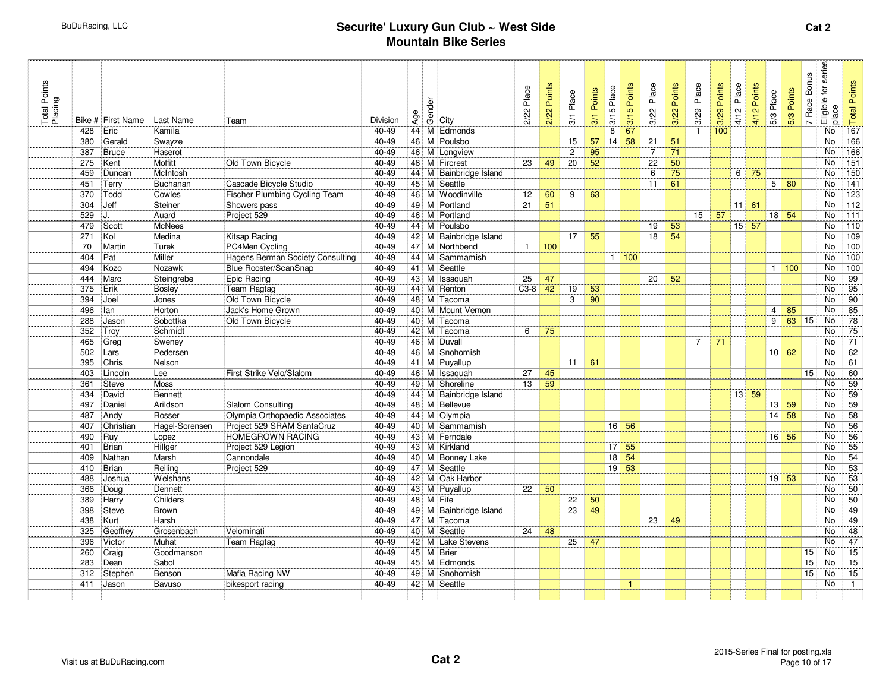| Total Points<br>Placing |            | Bike # First Name | Last Name          | Team                                 | Division       | Age | ander<br>Geology                        | 2/22 Place   | Points<br>2/22 | Place<br>3/1         | Points<br>3/1         | Place<br>3/15   | Points<br>3/15 | Place<br>3/22        | Points<br>3/22        | Place<br>3/29  | Points<br>3/29 | Place<br>4/12 | Points<br>4/12             | 5/3 Place          | 5/3 Points  | <b>Bonus</b><br>7 Race | Eligible for series<br>place | <b>Total Points</b> |
|-------------------------|------------|-------------------|--------------------|--------------------------------------|----------------|-----|-----------------------------------------|--------------|----------------|----------------------|-----------------------|-----------------|----------------|----------------------|-----------------------|----------------|----------------|---------------|----------------------------|--------------------|-------------|------------------------|------------------------------|---------------------|
|                         | 428        | Eric              | Kamila             |                                      | 40-49          |     | 44 M Edmonds                            |              |                |                      |                       | 8               | 67             |                      |                       | $\mathbf{1}$   | 100            |               |                            |                    |             |                        | No                           | 167                 |
|                         | 380        | Gerald            | Swayze             |                                      | 40-49          |     | 46 M Poulsbo                            |              |                | 15                   | 57                    | 14              | 58             | 21                   | 51                    |                |                |               |                            |                    |             |                        | No                           | 166                 |
|                         | 387<br>275 | Bruce             | Haserot<br>Moffitt |                                      | 40-49<br>40-49 |     | 46 M Longview                           | 23           |                | $\overline{c}$<br>20 | 95<br>$\overline{52}$ |                 |                | $\overline{7}$<br>22 | 71<br>$\overline{50}$ |                |                |               |                            |                    |             |                        | No<br><b>No</b>              | 166<br>151          |
|                         | 459        | Kent              | McIntosh           | Old Town Bicycle                     | 40-49          |     | 46 M Fircrest<br>44 M Bainbridge Island |              | 49             |                      |                       |                 |                | 6                    | $\overline{75}$       |                |                | 6             | 75                         |                    |             |                        | No                           | $\overline{150}$    |
|                         | 451        | Duncan<br>Terry   | Buchanan           | Cascade Bicycle Studio               | 40-49          |     | 45 M Seattle                            |              |                |                      |                       |                 |                | 11                   | 61                    |                |                |               |                            |                    | $5 \mid 80$ |                        | No                           | 141                 |
|                         | 370        | Todd              | Cowles             | <b>Fischer Plumbing Cycling Team</b> | 40-49          |     | 46 M Woodinville                        | 12           | 60             | 9                    | 63                    |                 |                |                      |                       |                |                |               |                            |                    |             |                        | No                           | 123                 |
|                         | 304        | Jeff              | Steiner            | Showers pass                         | 40-49          |     | 49 M Portland                           | 21           | 51             |                      |                       |                 |                |                      |                       |                |                | $11 \ 61$     |                            |                    |             |                        | <b>No</b>                    | $\sqrt{112}$        |
|                         | 529        | J.                | Auard              | Project 529                          | 40-49          |     | 46 M Portland                           |              |                |                      |                       |                 |                |                      |                       | 15             | 57             |               |                            |                    | $18$ 54     |                        | <b>No</b>                    | 111                 |
|                         | 479        | Scott             | <b>McNees</b>      |                                      | 40-49          |     | 44 M Poulsbo                            |              |                |                      |                       |                 |                | 19                   | 53                    |                |                |               | $15 \overline{\smash{57}}$ |                    |             |                        | No                           | $\sqrt{110}$        |
|                         | 271        | Kol               | Medina             | Kitsap Racing                        | 40-49          |     | 42 M Bainbridge Island                  |              |                | 17                   | 55                    |                 |                | 18                   | 54                    |                |                |               |                            |                    |             |                        | No                           | 109                 |
|                         | 70         | Martin            | Turek              | PC4Men Cycling                       | 40-49          |     | 47 M Northbend                          | $\mathbf{1}$ | 100            |                      |                       |                 |                |                      |                       |                |                |               |                            |                    |             |                        | No                           | 100                 |
|                         | 404        | Pat               | Miller             | Hagens Berman Society Consulting     | 40-49          |     | 44 M Sammamish                          |              |                |                      |                       |                 | 1   100        |                      |                       |                |                |               |                            |                    |             |                        | No                           | 100                 |
|                         | 494        | Kozo              | Nozawk             | Blue Rooster/ScanSnap                | 40-49          |     | 41 M Seattle                            |              |                |                      |                       |                 |                |                      |                       |                |                |               |                            |                    | $1 \, 100$  |                        | <b>No</b>                    | 100                 |
|                         | 444        | Marc              | Steingrebe         | Epic Racing                          | 40-49          |     | 43 M Issaquah                           | 25           | 47             |                      |                       |                 |                | 20                   | 52                    |                |                |               |                            |                    |             |                        | <b>No</b>                    | 99                  |
|                         | 375        | Erik              | <b>Bosley</b>      | <b>Team Ragtag</b>                   | 40-49          |     | 44 M Renton                             | $C3-8$       | 42             | 19                   | 53                    |                 |                |                      |                       |                |                |               |                            |                    |             |                        | <b>No</b>                    | 95                  |
|                         | 394        | Joel              | Jones              | Old Town Bicycle                     | 40-49          |     | 48 M Tacoma                             |              |                | 3                    | 90                    |                 |                |                      |                       |                |                |               |                            |                    |             |                        | No                           | 90                  |
|                         | 496        | lan               | Horton             | Jack's Home Grown                    | 40-49          |     | 40 M Mount Vernon                       |              |                |                      |                       |                 |                |                      |                       |                |                |               |                            | $\overline{4}$     | 85          |                        | No                           | 85                  |
|                         | 288        | Jason             | Sobottka           | Old Town Bicycle                     | 40-49          |     | 40 M Tacoma                             |              |                |                      |                       |                 |                |                      |                       |                |                |               |                            | 9                  | 63          | 15                     | No                           | 78                  |
|                         | 352        | Troy              | Schmidt            |                                      | $40 - 49$      |     | 42 M Tacoma                             | 6            | 75             |                      |                       |                 |                |                      |                       |                |                |               |                            |                    |             |                        | <b>No</b>                    | 75                  |
|                         | 465        | Greg              | Sweney             |                                      | 40-49          |     | 46 M Duvall                             |              |                |                      |                       |                 |                |                      |                       | $\overline{7}$ | 71             |               |                            |                    |             |                        | No                           | $\overline{71}$     |
|                         | 502        | Lars              | Pedersen           |                                      | 40-49          |     | 46 M Snohomish                          |              |                |                      |                       |                 |                |                      |                       |                |                |               |                            | $10 \mid 62$       |             |                        | No                           | 62                  |
|                         | 395        | Chris             | Nelson             |                                      | 40-49          |     | 41 M Puyallup                           |              |                | 11                   | 61                    |                 |                |                      |                       |                |                |               |                            |                    |             |                        | No                           | 61                  |
|                         | 403        | Lincoln           | Lee                | First Strike Velo/Slalom             | 40-49          |     | 46 M Issaquah                           | 27           | 45             |                      |                       |                 |                |                      |                       |                |                |               |                            |                    |             | 15                     | <b>No</b>                    | $\overline{60}$     |
|                         | 361        | Steve             | <b>Moss</b>        |                                      | 40-49          |     | 49 M Shoreline                          | 13           | 59             |                      |                       |                 |                |                      |                       |                |                |               |                            |                    |             |                        | No                           | 59                  |
|                         | 434        | David             | Bennett            |                                      | 40-49          |     | 44 M Bainbridge Island                  |              |                |                      |                       |                 |                |                      |                       |                |                |               | $13 \mid 59$               |                    |             |                        | No                           | 59                  |
|                         | 497        | Daniel            | Arildson           | <b>Slalom Consulting</b>             | 40-49          |     | 48 M Bellevue                           |              |                |                      |                       |                 |                |                      |                       |                |                |               |                            | $13 \mid 59$       |             |                        | <b>No</b>                    | 59                  |
|                         | 487        | Andy              | Rosser             | Olympia Orthopaedic Associates       | 40-49          |     | 44 M Olympia                            |              |                |                      |                       |                 |                |                      |                       |                |                |               |                            | $14 \overline{58}$ |             |                        | No                           | $\overline{58}$     |
|                         | 407        | Christian         | Hagel-Sorensen     | Project 529 SRAM SantaCruz           | 40-49          |     | 40 M Sammamish                          |              |                |                      |                       |                 | $16$ 56        |                      |                       |                |                |               |                            |                    |             |                        | No                           | $\overline{56}$     |
|                         | 490        | Ruy               | Lopez              | HOMEGROWN RACING                     | 40-49          |     | 43 M Ferndale                           |              |                |                      |                       |                 |                |                      |                       |                |                |               |                            | $16$ 56            |             |                        | No                           | 56                  |
|                         | 401        | Brian             | Hillger            | Project 529 Legion                   | 40-49          |     | 43 M Kirkland                           |              |                |                      |                       | 17              | 55             |                      |                       |                |                |               |                            |                    |             |                        | No                           | $\overline{55}$     |
|                         | 409        | Nathan            | Marsh              | Cannondale                           | 40-49          |     | 40 M Bonney Lake                        |              |                |                      |                       | 18              | 54             |                      |                       |                |                |               |                            |                    |             |                        | No                           | $\overline{54}$     |
|                         | 410        | Brian             | Reiling            | Project 529                          | 40-49          |     | 47 M Seattle                            |              |                |                      |                       | 19 <sup>1</sup> | 53             |                      |                       |                |                |               |                            |                    |             |                        | No                           | $\overline{53}$     |
|                         | 488        | Joshua            | Welshans           |                                      | 40-49          |     | 42 M Oak Harbor                         |              |                |                      |                       |                 |                |                      |                       |                |                |               |                            | $19 \mid 53$       |             |                        | No                           | $\overline{53}$     |
|                         | 366        | Doug              | Dennett            |                                      | 40-49          |     | 43 M Puyallup                           | 22           | 50             |                      |                       |                 |                |                      |                       |                |                |               |                            |                    |             |                        | No                           | $\overline{50}$     |
|                         | 389        | Harry             | Childers           |                                      | 40-49          |     | 48 M Fife                               |              |                | 22                   | 50                    |                 |                |                      |                       |                |                |               |                            |                    |             |                        | <b>No</b>                    | 50                  |
|                         | 398        | <b>Steve</b>      | <b>Brown</b>       |                                      | 40-49          |     | 49 M Bainbridge Island                  |              |                | 23                   | 49                    |                 |                |                      |                       |                |                |               |                            |                    |             |                        | No                           | 49                  |
|                         | 438        | Kurt              | Harsh              |                                      | 40-49          |     | 47 M Tacoma                             |              |                |                      |                       |                 |                | 23                   | 49                    |                |                |               |                            |                    |             |                        | No                           | 49                  |
|                         | 325        | Geoffrey          | Grosenbach         | Velominati                           | 40-49          |     | 40 M Seattle                            | 24           | 48             |                      |                       |                 |                |                      |                       |                |                |               |                            |                    |             |                        | No                           | $\overline{48}$     |
|                         | 396        | Victor            | Muhat              | Team Ragtag                          | 40-49          |     | 42 M Lake Stevens                       |              |                | 25                   | 47                    |                 |                |                      |                       |                |                |               |                            |                    |             |                        | No                           | 47                  |
|                         | 260        | Craig             | Goodmanson         |                                      | 40-49          |     | 45 M Brier                              |              |                |                      |                       |                 |                |                      |                       |                |                |               |                            |                    |             | 15                     | No                           | 15                  |
|                         | 283        | Dean              | Sabol              |                                      | 40-49          |     | 45 M Edmonds                            |              |                |                      |                       |                 |                |                      |                       |                |                |               |                            |                    |             | 15                     | No                           | 15                  |
|                         | 312        | Stephen           | Benson             | Mafia Racing NW                      | 40-49          |     | 49 M Snohomish                          |              |                |                      |                       |                 |                |                      |                       |                |                |               |                            |                    |             | 15                     | No                           | $\overline{15}$     |
|                         | 411        | Jason             | Bavuso             | bikesport racing                     | 40-49          |     | 42 M Seattle                            |              |                |                      |                       |                 | $\mathbf{1}$   |                      |                       |                |                |               |                            |                    |             |                        | No                           | $\overline{1}$      |
|                         |            |                   |                    |                                      |                |     |                                         |              |                |                      |                       |                 |                |                      |                       |                |                |               |                            |                    |             |                        |                              |                     |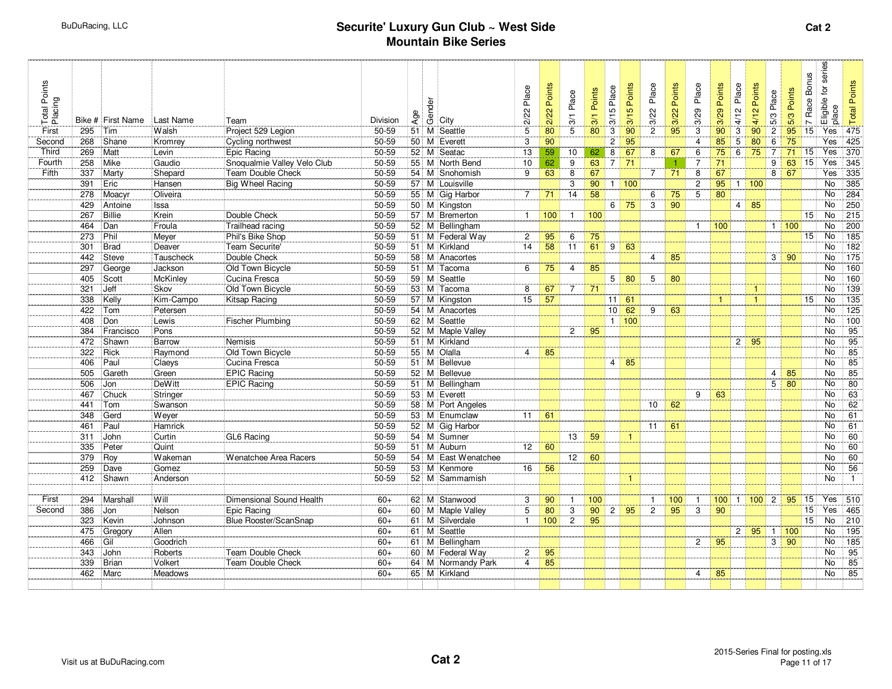| Total Points<br>Placing<br>First | 295 | Bike # First Name<br>Tim | Last Name<br>Walsh | Team<br>Project 529 Legion   | Division<br>50-59 | Age | Gender | City<br>51 M Seattle | Place<br>2/22<br>5 | Points<br>2/22<br>80 | Place<br>$\frac{3}{1}$<br>$\overline{5}$ | Points<br>3/1<br>80 | Place<br>3/15<br>3 | Points<br>3/15<br>90 | Place<br>3/22<br>$\overline{2}$ | Points<br>3/22<br>95 | Place<br>3/29<br>3 | Points<br>3/29<br>90 | Place<br>4/12<br>3 | Points<br>4/12<br>90 | 5/3 Place<br>$\overline{c}$ | Points<br>5/3<br>95 | <b>Bonus</b><br>Race I<br>$\sim$<br>15 | Eligible for series<br>place<br>Yes | <b>Total Points</b><br>475 |
|----------------------------------|-----|--------------------------|--------------------|------------------------------|-------------------|-----|--------|----------------------|--------------------|----------------------|------------------------------------------|---------------------|--------------------|----------------------|---------------------------------|----------------------|--------------------|----------------------|--------------------|----------------------|-----------------------------|---------------------|----------------------------------------|-------------------------------------|----------------------------|
| Second                           | 268 | Shane                    | Kromrey            | Cycling northwest            | 50-59             |     |        | 50 M Everett         | 3                  | 90                   |                                          |                     | $\mathbf{2}$       | $\overline{95}$      |                                 |                      | $\overline{4}$     | 85                   | 5                  | $\overline{80}$      | 6                           | 75                  |                                        | Yes                                 | 425                        |
| Third                            | 269 | Matt                     | Levin              | Epic Racing                  | 50-59             |     |        | 52 M Seatac          | 13                 | 59                   | 10                                       | 62                  | 8                  | 67                   | 8                               | 67                   | 6                  | 75                   | 6                  | 75                   | $\overline{7}$              | 71                  | 15                                     | Yes                                 | 370                        |
| Fourth                           | 258 | Mike                     | Gaudio             | Snoqualmie Valley Velo Club  | 50-59             |     |        | 55 M North Bend      | 10                 | 62                   | 9                                        | 63                  | $\overline{7}$     | 71                   |                                 |                      | 7                  | 71                   |                    |                      | 9                           | 63                  | $\overline{15}$                        | Yes                                 | 345                        |
| <b>Fifth</b>                     | 337 | Marty                    | Shepard            | Team Double Check            | 50-59             |     |        | 54 M Snohomish       | 9                  | 63                   | 8                                        | 67                  |                    |                      | $\overline{7}$                  | 71                   | 8                  | 67                   |                    |                      | 8 <sup>1</sup>              | 67                  |                                        | Yes                                 | $\frac{1}{335}$            |
|                                  | 391 | Eric                     | Hansen             | Big Wheel Racing             | $50 - 59$         |     |        | 57 M Louisville      |                    |                      | 3                                        | 90                  | 11                 | 100                  |                                 |                      | $\overline{2}$     | $95 \mid 1$          |                    | 100                  |                             |                     |                                        | <b>No</b>                           | 385                        |
|                                  | 278 | Moacyr                   | Oliveira           |                              | 50-59             |     |        | 55 M Gig Harbor      | 7                  | 71                   | 14                                       | 58                  |                    |                      | 6                               | 75                   | 5                  | 80                   |                    |                      |                             |                     |                                        | No                                  | 284                        |
|                                  | 429 | Antoine                  | Issa               |                              | 50-59             |     |        | 50 M Kingston        |                    |                      |                                          |                     | 6                  | 75                   | 3                               | 90                   |                    |                      |                    | $4 \overline{85}$    |                             |                     |                                        | No                                  | 250                        |
|                                  | 267 | Billie                   | Krein              | Double Check                 | 50-59             |     |        | 57 M Bremerton       | $\mathbf{1}$       | 100                  | $\overline{1}$                           | 100                 |                    |                      |                                 |                      |                    |                      |                    |                      |                             |                     | $\overline{15}$                        | <b>No</b>                           | $\overline{215}$           |
|                                  | 464 | Dan                      | Froula             | Trailhead racing             | 50-59             |     |        | 52 M Bellingham      |                    |                      |                                          |                     |                    |                      |                                 |                      | $\mathbf{1}$       | 100                  |                    |                      |                             | 1   100             |                                        | <b>No</b>                           | 200                        |
|                                  | 273 | Phil                     | Meyer              | Phil's Bike Shop             | 50-59             |     |        | 51 M Federal Way     | $\overline{2}$     | 95                   | 6                                        | 75                  |                    |                      |                                 |                      |                    |                      |                    |                      |                             |                     | 15 <sub>1</sub>                        | No                                  | 185                        |
|                                  | 301 | <b>Brad</b>              | Deaver             | Team Securite'               | 50-59             |     |        | 51 M Kirkland        | 14                 | 58                   | 11                                       | 61                  | 9                  | 63                   |                                 |                      |                    |                      |                    |                      |                             |                     |                                        | <b>No</b>                           | 182                        |
|                                  | 442 | <b>Steve</b>             | Tauscheck          | Double Check                 | 50-59             |     |        | 58 M Anacortes       |                    |                      |                                          |                     |                    |                      | $\overline{4}$                  | 85                   |                    |                      |                    |                      |                             | $3 \mid 90$         |                                        | <b>No</b>                           | $\frac{175}{175}$          |
|                                  | 297 | George                   | Jackson            | Old Town Bicycle             | 50-59             |     |        | 51 M Tacoma          | 6                  | $\overline{75}$      | $\overline{4}$                           | 85                  |                    |                      |                                 |                      |                    |                      |                    |                      |                             |                     |                                        | No.                                 | 160                        |
|                                  | 405 | Scott                    | McKinley           | Cucina Fresca                | 50-59             |     |        | 59 M Seattle         |                    |                      |                                          |                     | 5                  | 80                   | 5                               | 80                   |                    |                      |                    |                      |                             |                     |                                        | No                                  | 160                        |
|                                  | 321 | Jeff                     | Skov               | Old Town Bicycle             | 50-59             |     |        | 53 M Tacoma          | 8                  | 67                   | $\overline{7}$                           | 71                  |                    |                      |                                 |                      |                    |                      |                    | $\mathbf{1}$         |                             |                     |                                        | No                                  | 139                        |
|                                  | 338 | Kelly                    | Kim-Campo          | Kitsap Racing                | 50-59             |     |        | 57 M Kingston        | $\overline{15}$    | $\overline{57}$      |                                          |                     | 11                 | 61                   |                                 |                      |                    | $\mathbf{1}$         |                    | $\mathbf{1}$         |                             |                     | 15                                     | No                                  | $\overline{135}$           |
|                                  | 422 | Tom                      | Petersen           |                              | 50-59             |     |        | 54 M Anacortes       |                    |                      |                                          |                     | 10                 | 62                   | 9                               | 63                   |                    |                      |                    |                      |                             |                     |                                        | No                                  | 125                        |
|                                  | 408 | Don                      | Lewis              | <b>Fischer Plumbing</b>      | 50-59             |     |        | 62 M Seattle         |                    |                      |                                          |                     | $\mathbf{1}$       | 100                  |                                 |                      |                    |                      |                    |                      |                             |                     |                                        | No.                                 | 100                        |
|                                  | 384 | Francisco                | Pons               |                              | 50-59             |     |        | 52 M Maple Valley    |                    |                      | $\overline{2}$                           | 95                  |                    |                      |                                 |                      |                    |                      |                    |                      |                             |                     |                                        | <b>No</b>                           | 95                         |
|                                  | 472 | Shawn                    | Barrow             | <b>Nemisis</b>               | $50 - 59$         |     |        | 51 M Kirkland        |                    |                      |                                          |                     |                    |                      |                                 |                      |                    |                      | $\overline{2}$     | 95                   |                             |                     |                                        | No.                                 | 95                         |
|                                  | 322 | Rick                     | Raymond            | Old Town Bicycle             | 50-59             |     |        | 55 M Olalla          | $\overline{4}$     | 85                   |                                          |                     |                    |                      |                                 |                      |                    |                      |                    |                      |                             |                     |                                        | No                                  | 85                         |
|                                  | 406 | Paul                     | Claeys             | Cucina Fresca                | 50-59             |     |        | 51 M Bellevue        |                    |                      |                                          |                     | $\overline{4}$     | 85                   |                                 |                      |                    |                      |                    |                      |                             |                     |                                        | <b>No</b>                           | 85                         |
|                                  | 505 | Gareth                   | Green              | <b>EPIC Racing</b>           | 50-59             |     |        | 52 M Bellevue        |                    |                      |                                          |                     |                    |                      |                                 |                      |                    |                      |                    |                      | $\overline{4}$              | 85                  |                                        | <b>No</b>                           | $\overline{85}$            |
|                                  | 506 | Jon                      | <b>DeWitt</b>      | <b>EPIC Racing</b>           | 50-59             |     |        | 51 M Bellingham      |                    |                      |                                          |                     |                    |                      |                                 |                      |                    |                      |                    |                      |                             | $5 \mid 80$         |                                        | No                                  | 80                         |
|                                  | 467 | Chuck                    | Stringer           |                              | 50-59             |     |        | 53 M Everett         |                    |                      |                                          |                     |                    |                      |                                 |                      | 9                  | 63                   |                    |                      |                             |                     |                                        | No                                  | 63                         |
|                                  | 441 | Tom                      | Swanson            |                              | 50-59             |     |        | 58 M Port Angeles    |                    |                      |                                          |                     |                    |                      | 10                              | 62                   |                    |                      |                    |                      |                             |                     |                                        | No.                                 | 62                         |
|                                  | 348 | Gerd                     | Wever              |                              | 50-59             |     |        | 53 M Enumclaw        | 11                 | 61                   |                                          |                     |                    |                      |                                 |                      |                    |                      |                    |                      |                             |                     |                                        | No                                  | 61                         |
|                                  | 461 | Paul                     | Hamrick            |                              | 50-59             |     |        | 52 M Gig Harbor      |                    |                      |                                          |                     |                    |                      | 11                              | 61                   |                    |                      |                    |                      |                             |                     |                                        | No                                  | 61                         |
|                                  | 311 | John                     | Curtin             | GL6 Racing                   | 50-59             |     |        | 54 M Sumner          |                    |                      | 13                                       | 59                  |                    | $\mathbf{1}$         |                                 |                      |                    |                      |                    |                      |                             |                     |                                        | No                                  | 60                         |
|                                  | 335 | Peter                    | Quint              |                              | $50 - 59$         |     |        | 51 M Auburn          | 12 <sup>2</sup>    | 60                   |                                          |                     |                    |                      |                                 |                      |                    |                      |                    |                      |                             |                     |                                        | <b>No</b>                           | 60                         |
|                                  | 379 | Roy                      | Wakeman            | <b>Wenatchee Area Racers</b> | 50-59             |     |        | 54 M East Wenatchee  |                    |                      | 12                                       | 60                  |                    |                      |                                 |                      |                    |                      |                    |                      |                             |                     |                                        | No.                                 | 60                         |
|                                  | 259 | Dave                     | Gomez              |                              | 50-59             |     |        | 53 M Kenmore         | 16                 | 56                   |                                          |                     |                    |                      |                                 |                      |                    |                      |                    |                      |                             |                     |                                        | No                                  | 56                         |
|                                  | 412 | Shawn                    | Anderson           |                              | 50-59             |     |        | 52 M Sammamish       |                    |                      |                                          |                     |                    | $\mathbf{1}$         |                                 |                      |                    |                      |                    |                      |                             |                     |                                        | No                                  | $\mathbf{1}$               |
|                                  |     |                          |                    |                              |                   |     |        |                      |                    |                      |                                          |                     |                    |                      |                                 |                      |                    |                      |                    |                      |                             |                     |                                        |                                     |                            |
| First                            | 294 | Marshall                 | Will               | Dimensional Sound Health     | $60+$             |     |        | 62 M Stanwood        | 3                  | 90                   | $\overline{\mathbf{1}}$                  | 100                 |                    |                      | $\mathbf{1}$                    | 100                  |                    | $100$ 1              |                    |                      |                             | 95                  | 15                                     | Yes 510                             |                            |
| Second                           | 386 | Jon                      | Nelson             | <b>Epic Racing</b>           | $60+$             |     |        | 60 M Maple Valley    | 5                  | 80                   | 3                                        | 90                  | $\overline{2}$     | 95                   | $\overline{2}$                  | 95                   | 3                  | 90                   |                    |                      |                             |                     | 15                                     | Yes                                 | 465                        |
|                                  | 323 | Kevin                    | Johnson            | Blue Rooster/ScanSnap        | $60+$             |     |        | 61 M Silverdale      | $\mathbf{1}$       | 100                  | $\overline{2}$                           | 95                  |                    |                      |                                 |                      |                    |                      |                    |                      |                             |                     | 15                                     | No                                  | 210                        |
|                                  | 475 | Gregory                  | Allen              |                              | $60+$             |     |        | 61 M Seattle         |                    |                      |                                          |                     |                    |                      |                                 |                      |                    |                      | $\overline{c}$     | 95                   | $\mathbf{1}$                | 100                 |                                        | No.                                 | 195                        |
|                                  | 466 | Gil                      | Goodrich           |                              | $60+$             |     |        | 61 M Bellingham      |                    |                      |                                          |                     |                    |                      |                                 |                      | $\overline{2}$     | 95                   |                    |                      | 3                           | 90                  |                                        | No                                  | 185                        |
|                                  | 343 | John                     | Roberts            | <b>Team Double Check</b>     | $60+$             |     |        | 60 M Federal Way     | $\overline{2}$     | 95                   |                                          |                     |                    |                      |                                 |                      |                    |                      |                    |                      |                             |                     |                                        | <b>No</b>                           | 95                         |
|                                  | 339 | Brian                    | Volkert            | <b>Team Double Check</b>     | $60+$             |     |        | 64 M Normandy Park   | $\overline{4}$     | 85                   |                                          |                     |                    |                      |                                 |                      |                    |                      |                    |                      |                             |                     |                                        | No.                                 | 85                         |
|                                  | 462 | Marc                     | Meadows            |                              | $60+$             |     |        | 65 M Kirkland        |                    |                      |                                          |                     |                    |                      |                                 |                      | 4                  | 85                   |                    |                      |                             |                     |                                        | No                                  | 85                         |
|                                  |     |                          |                    |                              |                   |     |        |                      |                    |                      |                                          |                     |                    |                      |                                 |                      |                    |                      |                    |                      |                             |                     |                                        |                                     |                            |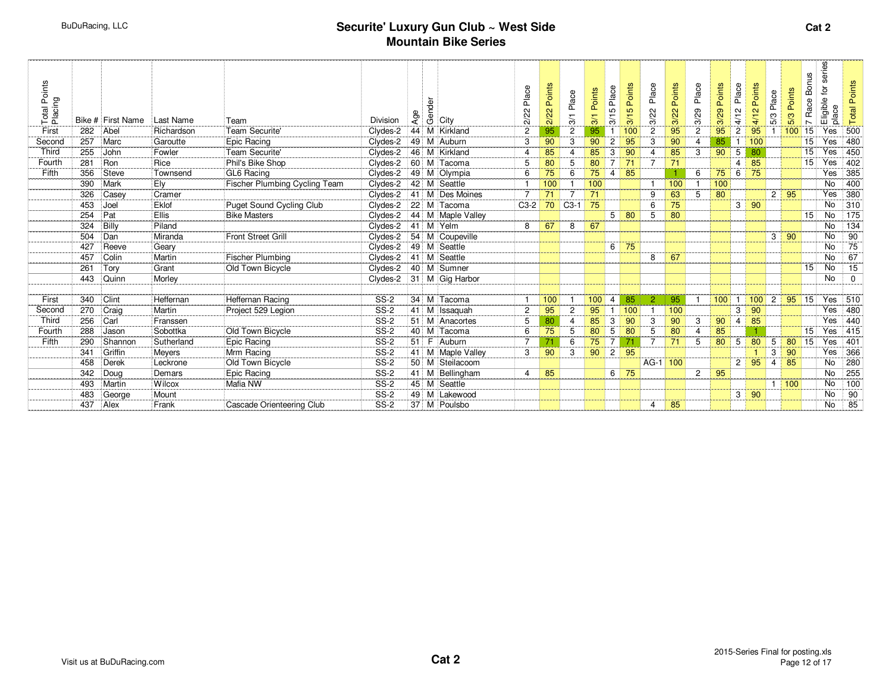| Total Points<br>Placing |     | Bike # First Name | Last Name  | Team                          | <b>Division</b>       | Age | Gender | City              | Place<br>2/22         | Points<br>2/22 | Place<br>$\frac{5}{2}$ | Points<br>$\frac{5}{2}$ | Place<br>S<br>$\frac{1}{2}$ | Points<br>5<br>$\overline{3}$ | Place<br>3/22  | Points<br>3/22 | Place<br>3/29  | Points<br>3/29 | Place<br>4/12  | Points<br>4/12 | Place<br>5/3   | Points<br>5/3 | <b>Bonus</b><br>Race<br>$\overline{ }$ | series<br>$\mathsf{P}$<br>Eligible<br>place | <b>Total Points</b> |
|-------------------------|-----|-------------------|------------|-------------------------------|-----------------------|-----|--------|-------------------|-----------------------|----------------|------------------------|-------------------------|-----------------------------|-------------------------------|----------------|----------------|----------------|----------------|----------------|----------------|----------------|---------------|----------------------------------------|---------------------------------------------|---------------------|
| First                   | 282 | Abel              | Richardson | Team Securite'                | Clydes-2              |     |        | 44 M Kirkland     | $\overline{c}$        | 95             | $\overline{2}$         | 95                      |                             | 100                           | $\overline{2}$ | 95             | $\overline{2}$ | 95             | $\overline{2}$ | 95             |                | 100           | 15                                     | Yes                                         | 500                 |
| Second                  | 257 | Marc              | Garoutte   | Epic Racing                   | Clydes-2              |     |        | 49 M Auburn       | 3                     | 90             | 3                      | 90                      | $\overline{2}$              | 95                            | 3              | 90             | 4              | 85             | -1             | 100            |                |               | 15                                     | Yes                                         | 480                 |
| Third                   | 255 | John              | Fowler     | Team Securite'                | Clydes-2              |     |        | 46 M Kirkland     | $\boldsymbol{\Delta}$ | 85             | $\overline{4}$         | 85                      | 3                           | 90                            | $\overline{4}$ | 85             | 3              | 90             | 5              | 80             |                |               | 15                                     | Yes                                         | 450                 |
| Fourth                  | 281 | Ron               | Rice       | Phil's Bike Shop              | Clydes-2              |     |        | 60 M Tacoma       | 5                     | 80             | 5                      | 80                      | $\overline{7}$              | 71                            | $\overline{7}$ | 71             |                |                | $\overline{4}$ | 85             |                |               | 15                                     | Yes                                         | 402                 |
| Fifth                   | 356 | <b>Steve</b>      | Townsend   | GL6 Racing                    | Clydes-2              |     |        | 49 M Olympia      | 6                     | 75             | 6                      | 75                      | 4                           | 85                            |                |                | 6              | 75             | 6              | 75             |                |               |                                        | Yes                                         | 385                 |
|                         | 390 | Mark              | Ely        | Fischer Plumbing Cycling Team | Clydes-2              |     |        | 42 M Seattle      |                       | 100            |                        | 100                     |                             |                               |                | 100            |                | 100            |                |                |                |               |                                        | <b>No</b>                                   | 400                 |
|                         | 326 | Casey             | Cramer     |                               | Clydes-2              |     |        | 41 M Des Moines   | $\overline{7}$        | 71             | $\overline{7}$         | 71                      |                             |                               | 9              | 63             | 5              | 80             |                |                | $\overline{2}$ | 95            |                                        | Yes                                         | 380                 |
|                         | 453 | Joel              | Eklof      | Puget Sound Cycling Club      | Clydes-2              |     |        | 22 M Tacoma       | $C3-2$                | 70             | $C3-1$                 | 75                      |                             |                               | 6              | 75             |                |                | 3 <sup>1</sup> | 90             |                |               |                                        | No                                          | 310                 |
|                         | 254 | Pat               | Ellis      | <b>Bike Masters</b>           | Clydes-2              |     |        | 44 M Maple Valley |                       |                |                        |                         | 5                           | 80                            | 5              | 80             |                |                |                |                |                |               | 15 <sub>1</sub>                        | No                                          | 175                 |
|                         | 324 | Billy             | Piland     |                               | Clydes-2              |     |        | 41 M Yelm         | 8                     | 67             | 8                      | 67                      |                             |                               |                |                |                |                |                |                |                |               |                                        | <b>No</b>                                   | 134                 |
|                         | 504 | Dan               | Miranda    | <b>Front Street Grill</b>     | Clydes-2              |     |        | 54 M Coupeville   |                       |                |                        |                         |                             |                               |                |                |                |                |                |                | 3 <sup>1</sup> | 90            |                                        | No                                          | $\overline{90}$     |
|                         | 427 | Reeve             | Geary      |                               | Clydes-2              |     |        | 49 M Seattle      |                       |                |                        |                         | 6                           | 75                            |                |                |                |                |                |                |                |               |                                        | <b>No</b>                                   | $\overline{75}$     |
|                         | 457 | Colin             | Martin     | <b>Fischer Plumbing</b>       | Clydes-2 41 M Seattle |     |        |                   |                       |                |                        |                         |                             |                               | 8              | 67             |                |                |                |                |                |               |                                        | No                                          | 67                  |
|                         | 261 | Tory              | Grant      | Old Town Bicycle              | Clydes-2              |     |        | 40 M Sumner       |                       |                |                        |                         |                             |                               |                |                |                |                |                |                |                |               | 15                                     | No                                          | 15                  |
|                         | 443 | Quinn             | Morley     |                               | Clydes-2              |     |        | 31 M Gig Harbor   |                       |                |                        |                         |                             |                               |                |                |                |                |                |                |                |               |                                        | <b>No</b>                                   | $\mathbf 0$         |
|                         |     |                   |            |                               |                       |     |        |                   |                       |                |                        |                         |                             |                               |                |                |                |                |                |                |                |               |                                        |                                             |                     |
| First                   | 340 | Clint             | Heffernan  | Heffernan Racing              | <b>SS-2</b>           |     |        | 34 M Tacoma       |                       | 100            |                        | 100                     | 4                           | 85                            | $\overline{2}$ | 95             |                | 100            |                | 100            | $\overline{c}$ | 95            | 15                                     | Yes                                         | 510                 |
| Second                  | 270 | Craig             | Martin     | Project 529 Legion            | $SS-2$                | 41  |        | M Issaquah        | $\overline{c}$        | 95             | $\overline{2}$         | 95                      | $\mathbf{1}$                | 100                           |                | 100            |                |                | 3              | 90             |                |               |                                        | Yes                                         | 480                 |
| Third                   | 256 | Carl              | Franssen   |                               | <b>SS-2</b>           |     |        | 51 M Anacortes    | 5                     | 80             | $\boldsymbol{\Delta}$  | 85                      | 3                           | 90                            | 3              | 90             | 3              | 90             | $\overline{4}$ | 85             |                |               |                                        | Yes                                         | 440                 |
| Fourth                  | 288 | Jason             | Sobottka   | Old Town Bicycle              | <b>SS-2</b>           |     |        | 40 M Tacoma       | 6                     | 75             | 5                      | 80                      | $\overline{5}$              | 80                            | 5              | 80             | 4              | 85             |                |                |                |               | 15                                     | Yes                                         | 415                 |
| Fifth                   | 290 | Shannon           | Sutherland | Epic Racing                   | <b>SS-2</b>           |     |        | 51 F Auburn       | 7                     | 71             | 6                      | 75                      | $\overline{7}$              |                               | $\overline{7}$ | 71             | 5              | 80             | 5              | 80             | 5              | 80            | 15                                     | Yes                                         | 401                 |
|                         | 341 | Griffin           | Meyers     | Mrm Racing                    | $SS-2$                |     |        | 41 M Maple Valley | 3                     | 90             | 3                      | 90                      | $\overline{c}$              | 95                            |                |                |                |                |                |                | 3              | 90            |                                        | Yes                                         | 366                 |
|                         | 458 | <b>Derek</b>      | Leckrone   | Old Town Bicycle              | <b>SS-2</b>           |     |        | 50 M Steilacoom   |                       |                |                        |                         |                             |                               | AG-1 100       |                |                |                | $\overline{2}$ | 95             | $\overline{4}$ | 85            |                                        | No                                          | 280                 |
|                         | 342 | Doug              | Demars     | Epic Racing                   | <b>SS-2</b>           |     |        | 41 M Bellingham   | $\boldsymbol{\Delta}$ | 85             |                        |                         | 6                           | 75                            |                |                | $\mathbf{2}$   | 95             |                |                |                |               |                                        | <b>No</b>                                   | 255                 |
|                         | 493 | Martin            | Wilcox     | Mafia NW                      | $SS-2$                |     |        | 45 M Seattle      |                       |                |                        |                         |                             |                               |                |                |                |                |                |                |                | 1   100       |                                        | No                                          | 100                 |
|                         | 483 | George            | Mount      |                               | <b>SS-2</b>           |     |        | 49 M Lakewood     |                       |                |                        |                         |                             |                               |                |                |                |                | 3              | 90             |                |               |                                        | <b>No</b>                                   | 90                  |
|                         | 437 | Alex              | Frank      | Cascade Orienteering Club     | <b>SS-2</b>           |     |        | 37 M Poulsbo      |                       |                |                        |                         |                             |                               | 4              | 85             |                |                |                |                |                |               |                                        | No                                          | 85                  |
|                         |     |                   |            |                               |                       |     |        |                   |                       |                |                        |                         |                             |                               |                |                |                |                |                |                |                |               |                                        |                                             |                     |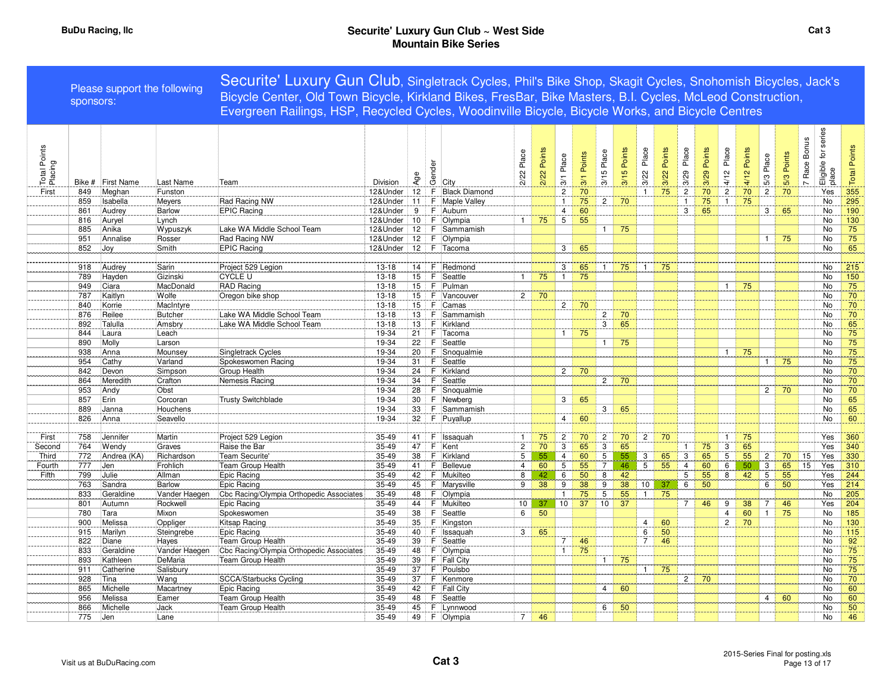|                         | sponsors: | Please support the following |               | Securite' Luxury Gun Club, Singletrack Cycles, Phil's Bike Shop, Skagit Cycles, Snohomish Bicycles, Jack's<br>Bicycle Center, Old Town Bicycle, Kirkland Bikes, FresBar, Bike Masters, B.I. Cycles, McLeod Construction,<br>Evergreen Railings, HSP, Recycled Cycles, Woodinville Bicycle, Bicycle Works, and Bicycle Centres |           |     |        |                      |                 |             |                |               |                |                |                |                |                |                |                |                |                |             |                              |                              |                     |
|-------------------------|-----------|------------------------------|---------------|-------------------------------------------------------------------------------------------------------------------------------------------------------------------------------------------------------------------------------------------------------------------------------------------------------------------------------|-----------|-----|--------|----------------------|-----------------|-------------|----------------|---------------|----------------|----------------|----------------|----------------|----------------|----------------|----------------|----------------|----------------|-------------|------------------------------|------------------------------|---------------------|
| Total Points<br>Placing | Bike #    | <b>First Name</b>            | Last Name     | Team                                                                                                                                                                                                                                                                                                                          | Division  | Age | Gender | City                 | 2/22 Place      | 2/22 Points | Place<br>3/1   | Points<br>3/1 | 3/15 Place     | Points<br>3/15 | Place<br>3/22  | Points<br>3/22 | Place<br>3/29  | Points<br>3/29 | Place<br>4/12  | Points<br>4/12 | 5/3 Place      | 5/3 Points  | Race Bonus<br>$\overline{a}$ | Eligible for series<br>place | <b>Total Points</b> |
| First                   | 849       | Meghan                       | Funston       |                                                                                                                                                                                                                                                                                                                               | 12&Under  | 12  | F      | <b>Black Diamond</b> |                 |             | $\overline{2}$ | 70            |                |                | $\mathbf{1}$   | 75             | $\overline{2}$ | 70             | $\mathbf{2}$   | 70             | $\overline{2}$ | 70          |                              | Yes                          | 355                 |
|                         | 859       | Isabella                     | Meyers        | Rad Racing NW                                                                                                                                                                                                                                                                                                                 | 12&Under  | 11  | F      | Maple Valley         |                 |             | $\mathbf{1}$   | 75            | $\overline{c}$ | 70             |                |                | $\mathbf{1}$   | 75             | $\mathbf{1}$   | 75             |                |             |                              | No                           | 295                 |
|                         | 861       | Audrey                       | Barlow        | <b>EPIC Racing</b>                                                                                                                                                                                                                                                                                                            | 12&Under  | 9   | F      | Auburn               |                 |             | $\overline{4}$ | 60            |                |                |                |                | 3              | 65             |                |                | 3 <sup>1</sup> | 65          |                              | <b>No</b>                    | 190                 |
|                         | 816       | Auryel                       | Lynch         |                                                                                                                                                                                                                                                                                                                               | 12&Under  | 10  | F      | Olympia              | $\mathbf{1}$    | 75          | $\overline{5}$ | 55            |                |                |                |                |                |                |                |                |                |             |                              | <b>No</b>                    | 130                 |
|                         | 885       | Anika                        | Wypuszyk      | Lake WA Middle School Team                                                                                                                                                                                                                                                                                                    | 12&Under  | 12  | F.     | Sammamish            |                 |             |                |               | $\mathbf{1}$   | 75             |                |                |                |                |                |                |                |             |                              | No                           | 75                  |
|                         | 951       | Annalise                     | Rosser        | Rad Racing NW                                                                                                                                                                                                                                                                                                                 | 12&Under  | 12  | F.     | Olympia              |                 |             |                |               |                |                |                |                |                |                |                |                | 1 <sup>1</sup> | 75          |                              | No                           | 75                  |
|                         | 852       | Joy                          | Smith         | <b>EPIC Racing</b>                                                                                                                                                                                                                                                                                                            | 12&Under  | 12  | F      | Tacoma               |                 |             | 3              | 65            |                |                |                |                |                |                |                |                |                |             |                              | No                           | 65                  |
|                         |           |                              |               |                                                                                                                                                                                                                                                                                                                               |           |     |        |                      |                 |             |                |               |                |                |                |                |                |                |                |                |                |             |                              |                              |                     |
|                         | 918       | Audrey                       | Sarin         | Project 529 Legion                                                                                                                                                                                                                                                                                                            | $13 - 18$ | 14  | F.     | Redmond              |                 |             | 3              | 65            | $\overline{1}$ | 75             | $\overline{1}$ | 75             |                |                |                |                |                |             |                              | No                           | 215                 |
|                         | 789       | Hayden                       | Gizinski      | <b>CYCLE U</b>                                                                                                                                                                                                                                                                                                                | $13 - 18$ | 15  | E      | Seattle              | $\mathbf{1}$    | 75          | 1              | 75            |                |                |                |                |                |                |                |                |                |             |                              | No                           | 150                 |
|                         | 949       | Ciara                        | MacDonald     | RAD Racing                                                                                                                                                                                                                                                                                                                    | $13 - 18$ | 15  | F      | Pulman               |                 |             |                |               |                |                |                |                |                |                | $\mathbf{1}$   | 75             |                |             |                              | No                           | 75                  |
|                         | 787       | Kaitlyn                      | Wolfe         | Oregon bike shop                                                                                                                                                                                                                                                                                                              | $13 - 18$ | 15  | E      | Vancouver            | 2 <sup>1</sup>  | 70          |                |               |                |                |                |                |                |                |                |                |                |             |                              | <b>No</b>                    | 70                  |
|                         | 840       | Korrie                       | MacIntyre     |                                                                                                                                                                                                                                                                                                                               | $13 - 18$ | 15  | F      | Camas                |                 |             | $\overline{2}$ | 70            |                |                |                |                |                |                |                |                |                |             |                              | No                           | 70                  |
|                         | 876       | Reilee                       | Butcher       | Lake WA Middle School Team                                                                                                                                                                                                                                                                                                    | 13-18     | 13  | F      | Sammamish            |                 |             |                |               | $\mathbf{2}$   | 70             |                |                |                |                |                |                |                |             |                              | No                           | 70                  |
|                         | 892       | Talulla                      | Amsbry        | Lake WA Middle School Team                                                                                                                                                                                                                                                                                                    | $13 - 18$ | 13  | -F     | Kirkland             |                 |             |                |               | $\overline{3}$ | 65             |                |                |                |                |                |                |                |             |                              | No                           | 65                  |
|                         | 844       | Laura                        | Leach         |                                                                                                                                                                                                                                                                                                                               | 19-34     | 21  | F      | Tacoma               |                 |             | $\mathbf{1}$   | 75            |                |                |                |                |                |                |                |                |                |             |                              | No                           | 75                  |
|                         | 890       | Molly                        | Larson        |                                                                                                                                                                                                                                                                                                                               | 19-34     | 22  | F.     | Seattle              |                 |             |                |               | $\mathbf{1}$   | 75             |                |                |                |                |                |                |                |             |                              | No                           | 75                  |
|                         | 938       | Anna                         | Mounsey       | Singletrack Cycles                                                                                                                                                                                                                                                                                                            | 19-34     | 20  | F      | Snoqualmie           |                 |             |                |               |                |                |                |                |                |                | $\mathbf{1}$   | 75             |                |             |                              | No                           | 75                  |
|                         | 954       | Cathy                        | Varland       | Spokeswomen Racing                                                                                                                                                                                                                                                                                                            | 19-34     | 31  | F      | Seattle              |                 |             |                |               |                |                |                |                |                |                |                |                | 1 <sup>1</sup> | 75          |                              | No                           | 75                  |
|                         | 842       | Devon                        | Simpson       | Group Health                                                                                                                                                                                                                                                                                                                  | 19-34     | 24  | F      | Kirkland             |                 |             |                | $2 \mid 70$   |                |                |                |                |                |                |                |                |                |             |                              | <b>No</b>                    | 70                  |
|                         | 864       | Meredith                     | Crafton       | Nemesis Racing                                                                                                                                                                                                                                                                                                                | 19-34     | 34  | F      | Seattle              |                 |             |                |               | $\overline{c}$ | 70             |                |                |                |                |                |                |                |             |                              | No                           | 70                  |
|                         | 953       | Andy                         | Obst          |                                                                                                                                                                                                                                                                                                                               | 19-34     | 28  | F      | Snoqualmie           |                 |             |                |               |                |                |                |                |                |                |                |                |                | $2 \mid 70$ |                              | No                           | 70                  |
|                         | 857       | Erin                         | Corcoran      | <b>Trusty Switchblade</b>                                                                                                                                                                                                                                                                                                     | 19-34     | 30  | F.     | Newberg              |                 |             | 3              | 65            |                |                |                |                |                |                |                |                |                |             |                              | No                           | 65                  |
|                         | 889       | Janna                        | Houchens      |                                                                                                                                                                                                                                                                                                                               | 19-34     | 33  | F      | Sammamish            |                 |             |                |               | $\mathbf 3$    | 65             |                |                |                |                |                |                |                |             |                              | No                           | 65                  |
|                         | 826       | Anna                         | Seavello      |                                                                                                                                                                                                                                                                                                                               | 19-34     | 32  | F.     | Puyallup             |                 |             | $\overline{4}$ | 60            |                |                |                |                |                |                |                |                |                |             |                              | No                           | 60                  |
|                         |           |                              |               |                                                                                                                                                                                                                                                                                                                               |           |     |        |                      |                 |             |                |               |                |                |                |                |                |                |                |                |                |             |                              |                              |                     |
| First                   | 758       | Jennifer                     | Martin        | Project 529 Legion                                                                                                                                                                                                                                                                                                            | 35-49     | 41  | F      | Issaquah             | $\mathbf{1}$    | 75          | $\overline{2}$ | 70            | $\overline{c}$ | 70             | $\overline{2}$ | 70             |                |                | $\overline{1}$ | 75             |                |             |                              | Yes                          | 360                 |
| Second                  | 764       | Wendy                        | Graves        | Raise the Bar                                                                                                                                                                                                                                                                                                                 | 35-49     | 47  | F      | Kent                 | $\overline{c}$  | 70          | 3              | 65            | 3              | 65             |                |                | $\mathbf{1}$   | 75             | 3              | 65             |                |             |                              | Yes                          | 340                 |
| Third                   | 772       | Andrea (KA)                  | Richardson    | <b>Team Securite'</b>                                                                                                                                                                                                                                                                                                         | 35-49     | 38  | F      | Kirkland             | 5               | 55          | $\overline{4}$ | 60            | 5              | 55             | $\mathbf{3}$   | 65             | 3              | 65             | 5              | 55             | $\overline{2}$ | 70          | 15                           | Yes                          | 330                 |
| Fourth                  | 777       | Jen                          | Frohlich      | Team Group Health                                                                                                                                                                                                                                                                                                             | 35-49     | 41  | F      | Bellevue             | $\overline{4}$  | 60          | 5              | 55            | $\overline{7}$ | 46             | $\overline{5}$ | 55             | $\overline{4}$ | 60             | 6              | 50             | 3              | 65          | $\overline{15}$              | Yes                          | 310                 |
| Fifth                   | 799       | Julie                        | Allman        | Epic Racing                                                                                                                                                                                                                                                                                                                   | 35-49     | 42  | F      | Mukilteo             | 8               | 42          | 6              | 50            | 8              | 42             |                |                | 5              | 55             | 8              | 42             | 5              | 55          |                              | Yes                          | 244                 |
|                         | 763       | Sandra                       | Barlow        | Epic Racing                                                                                                                                                                                                                                                                                                                   | 35-49     | 45  | F      | Marysville           | 9               | 38          | 9              | 38            | 9              | 38             | 10             | 37             | 6              | 50             |                |                | 6              | 50          |                              | Yes                          | 214                 |
|                         | 833       | Geraldine                    | Vander Haegen | Cbc Racing/Olympia Orthopedic Associates                                                                                                                                                                                                                                                                                      | 35-49     | 48  | F.     | Olympia              |                 |             | $\mathbf{1}$   | 75            | $\overline{5}$ | 55             | $\mathbf{1}$   | 75             |                |                |                |                |                |             |                              | No                           | 205                 |
|                         | 801       | Autumn                       | Rockwell      | Epic Racing                                                                                                                                                                                                                                                                                                                   | 35-49     | 44  | F      | Mukilteo             | 10 <sup>1</sup> | -37         | 10             | 37            | 10             | 37             |                |                | $7^{\circ}$    | 46             | 9              | 38             | $7^{\circ}$    | 46          |                              | Yes                          | 204                 |
|                         | 780       | Tara                         | Mixon         | Spokeswomen                                                                                                                                                                                                                                                                                                                   | $35 - 49$ | 38  | F.     | Seattle              | 6               | 50          |                |               |                |                |                |                |                |                | 4              | 60             | $\overline{1}$ | 75          |                              | No                           | 185                 |
|                         | 900       | Melissa                      | Oppliger      | Kitsap Racing                                                                                                                                                                                                                                                                                                                 | 35-49     | 35  | F      | Kingston             |                 |             |                |               |                |                | $\overline{4}$ | 60             |                |                | $\overline{2}$ | 70             |                |             |                              | No                           | 130                 |
|                         | 915       | Marilyn                      | Steingrebe    | Epic Racing                                                                                                                                                                                                                                                                                                                   | 35-49     | 40  | F.     | Issaquah             | $\mathbf{3}$    | 65          |                |               |                |                | 6              | 50             |                |                |                |                |                |             |                              | No                           | 115                 |
|                         | 822       | Diane                        | Hayes         | Team Group Health                                                                                                                                                                                                                                                                                                             | 35-49     | 39  | F      | Seattle              |                 |             | $7^{\circ}$    | 46            |                |                | $\overline{7}$ | 46             |                |                |                |                |                |             |                              | No                           | 92                  |
|                         | 833       | Geraldine                    | Vander Haegen | Cbc Racing/Olympia Orthopedic Associates                                                                                                                                                                                                                                                                                      | 35-49     | 48  | F      | Olympia              |                 |             | 1              | 75            |                |                |                |                |                |                |                |                |                |             |                              | No                           | 75                  |
|                         | 893       | Kathleen                     | DeMaria       | <b>Team Group Health</b>                                                                                                                                                                                                                                                                                                      | 35-49     | 39  | F.     | <b>Fall City</b>     |                 |             |                |               | $\mathbf{1}$   | 75             |                |                |                |                |                |                |                |             |                              | No                           | 75                  |
|                         | 911       | Catherine                    | Salisbury     |                                                                                                                                                                                                                                                                                                                               | 35-49     | 37  | F      | Poulsbo              |                 |             |                |               |                |                | $\mathbf{1}$   | 75             |                |                |                |                |                |             |                              | No                           | 75                  |
|                         | 928       | Tina                         | Wang          | <b>SCCA/Starbucks Cycling</b>                                                                                                                                                                                                                                                                                                 | 35-49     | 37  | F      | Kenmore              |                 |             |                |               |                |                |                |                | $\overline{2}$ | 70             |                |                |                |             |                              | No                           | 70                  |
|                         | 865       | Michelle                     | Macartney     | Epic Racing                                                                                                                                                                                                                                                                                                                   | 35-49     | 42  | F      | <b>Fall City</b>     |                 |             |                |               | 4              | 60             |                |                |                |                |                |                |                |             |                              | No                           | 60                  |
|                         | 956       | Melissa                      | Eamer         | Team Group Health                                                                                                                                                                                                                                                                                                             | 35-49     | 48  | F.     | Seattle              |                 |             |                |               |                |                |                |                |                |                |                |                | $\overline{4}$ | 60          |                              | No                           | 60                  |
|                         | 866       | Michelle                     | Jack          | Team Group Health                                                                                                                                                                                                                                                                                                             | 35-49     | 45  | F.     | Lynnwood             |                 |             |                |               | 6              | 50             |                |                |                |                |                |                |                |             |                              | No                           | 50                  |
|                         |           | <b>Jen</b>                   |               |                                                                                                                                                                                                                                                                                                                               | 35-49     |     |        |                      |                 |             |                |               |                |                |                |                |                |                |                |                |                |             |                              |                              | 46                  |
|                         | 775       |                              | Lane          |                                                                                                                                                                                                                                                                                                                               |           | 49  |        | F Olympia            | $7^{\circ}$     | 46          |                |               |                |                |                |                |                |                |                |                |                |             |                              | No                           |                     |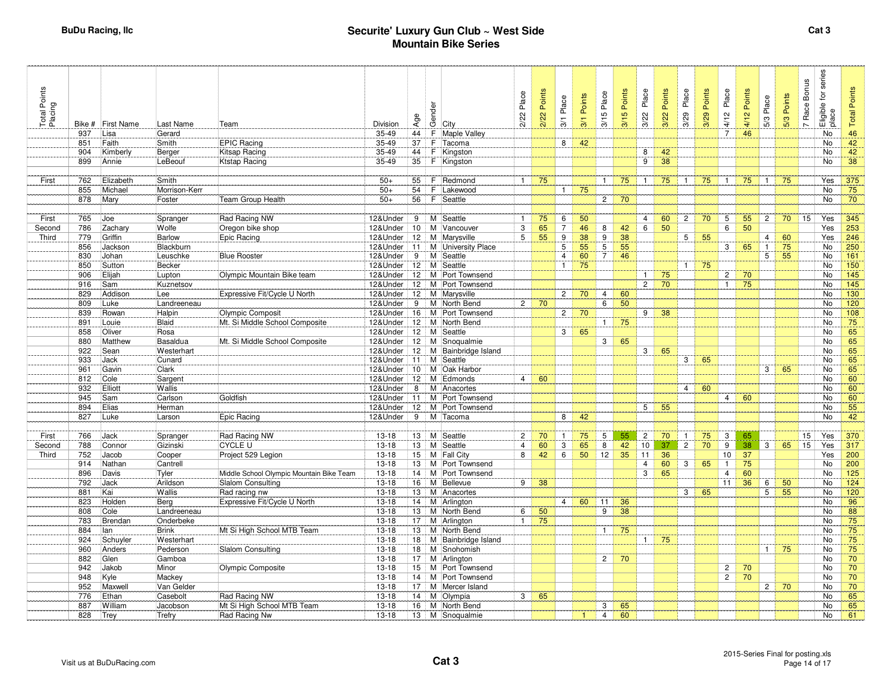| Bike # First Name               |  |  |  | Last Name            | Team                                     | Division  | Age             |    | de<br>Geology                | 2/22 Place     | 2/22 Points | Place<br>$\frac{1}{2}$ | Points<br>3/1 | 3/15 Place     | Points<br>3/15 | Place<br>3/22  | Points<br>3/22 | Place<br>3/29   | Points<br>3/29 | Place<br>4/12   | Points<br>4/12 | Place<br>$5/3$ | Points<br>5/3 | Race Bonus<br>$\overline{r}$ | Eligible for series<br>place | <b>Total Points</b> |
|---------------------------------|--|--|--|----------------------|------------------------------------------|-----------|-----------------|----|------------------------------|----------------|-------------|------------------------|---------------|----------------|----------------|----------------|----------------|-----------------|----------------|-----------------|----------------|----------------|---------------|------------------------------|------------------------------|---------------------|
| 937<br>Lisa                     |  |  |  | Gerard               |                                          | 35-49     | 44              |    | F Maple Valley               |                |             |                        |               |                |                |                |                |                 |                | $\overline{7}$  | 46             |                |               |                              | No                           | 46                  |
| Faith<br>851                    |  |  |  | Smith                | <b>EPIC Racing</b>                       | 35-49     | 37              | F. | Tacoma                       |                |             | 8                      | 42            |                |                |                |                |                 |                |                 |                |                |               |                              | No                           | 42                  |
| 904<br>Kimberly                 |  |  |  | Berger               | Kitsap Racing                            | 35-49     | 44              |    | F Kingston                   |                |             |                        |               |                |                | 8              | 42             |                 |                |                 |                |                |               |                              | No                           | 42                  |
| 899<br>Annie                    |  |  |  | LeBeouf              | <b>Ktstap Racing</b>                     | 35-49     | 35              |    | F Kingston                   |                |             |                        |               |                |                | 9              | 38             |                 |                |                 |                |                |               |                              | No                           | 38                  |
|                                 |  |  |  |                      |                                          |           |                 |    |                              |                |             |                        |               |                |                |                |                |                 |                |                 |                |                |               |                              |                              |                     |
| Elizabeth<br>762                |  |  |  | Smith                |                                          | $50+$     | 55              | F. | Redmond                      | $1 \vert$      | 75          |                        |               | $\mathbf{1}$   | 75             | $\mathbf{1}$   | 75             | $\mathbf{1}$    | 75             | $\mathbf{1}$    | 75             | $\blacksquare$ | 75            |                              | Yes                          | 375                 |
| 855<br>Michael                  |  |  |  | Morrison-Kerr        |                                          | $50+$     | 54              | F  | Lakewood                     |                |             | $1 \frac{1}{2}$        | 75            |                |                |                |                |                 |                |                 |                |                |               |                              | No                           | 75                  |
| 878<br>Mary                     |  |  |  | Foster               | Team Group Health                        | $50+$     | 56              |    | F Seattle                    |                |             |                        |               | $\overline{2}$ | 70             |                |                |                 |                |                 |                |                |               |                              | No                           | 70                  |
|                                 |  |  |  |                      |                                          |           |                 |    |                              |                |             |                        |               |                |                |                |                |                 |                |                 |                |                |               |                              |                              |                     |
| 765<br>Joe                      |  |  |  | Spranger             | Rad Racing NW                            | 12&Under  | 9               |    | M Seattle                    | $\overline{1}$ | 75          | 6                      | 50            |                |                | $\overline{4}$ | 60             | $\overline{2}$  | 70             | 5               | 55             | 2 <sup>1</sup> | 70            | 15                           | Yes                          | 345                 |
| 786<br>Zachary<br>Second        |  |  |  | Wolfe                | Oregon bike shop                         | 12&Under  | 10              |    | M Vancouver                  | 3              | 65          | $\overline{7}$         | 46            | 8              | 42             | 6              | 50             |                 |                | 6               | 50             |                |               |                              | Yes                          | 253                 |
| Griffin<br>779                  |  |  |  | Barlow               | Epic Racing                              | 12&Under  | 12              |    | M Marysville                 | 5              | 55          | $\overline{9}$         | 38            | 9              | 38             |                |                | $5\phantom{.0}$ | 55             |                 |                | $\overline{4}$ | 60            |                              | Yes                          | 246                 |
| Jackson<br>856                  |  |  |  | Blackburn            |                                          | 12&Under  | 11              |    | M University Place           |                |             | $\overline{5}$         | 55            | $\overline{5}$ | 55             |                |                |                 |                | $\overline{3}$  | 65             | $\overline{1}$ | 75            |                              | No                           | 250                 |
| 830<br>Johan                    |  |  |  | Leuschke             | <b>Blue Rooster</b>                      | 12&Under  | 9               |    | M Seattle                    |                |             | $\overline{4}$         | 60            | $\overline{7}$ | 46             |                |                |                 |                |                 |                | $\overline{5}$ | 55            |                              | No                           | 161                 |
| 850<br>Sutton                   |  |  |  | Becker               |                                          | 12&Under  | 12              | M  | Seattle                      |                |             | $\mathbf{1}$           | 75            |                |                |                |                | $\mathbf{1}$    | 75             |                 |                |                |               |                              | No                           | 150                 |
| Elijah<br>906                   |  |  |  | Lupton               | Olympic Mountain Bike team               | 12&Under  | 12              |    | M Port Townsend              |                |             |                        |               |                |                | $\mathbf{1}$   | 75             |                 |                | $\overline{2}$  | 70             |                |               |                              | No                           | 145                 |
| 916<br>Sam                      |  |  |  | Kuznetsov            |                                          | 12&Under  | 12              |    | M Port Townsend              |                |             |                        |               |                |                | $\overline{2}$ | 70             |                 |                | $\mathbf{1}$    | 75             |                |               |                              | No                           | 145                 |
| 829<br>Addison                  |  |  |  | Lee                  | Expressive Fit/Cycle U North             | 12&Under  | 12              |    | M Marysville                 |                |             | $2^{\circ}$            | 70            | 4              | 60             |                |                |                 |                |                 |                |                |               |                              | No                           | 130                 |
| Luke<br>809                     |  |  |  | Landreeneau          |                                          | 12&Under  | 9               |    | M North Bend                 | 2 <sup>1</sup> | 70          |                        |               | 6              | 50             |                |                |                 |                |                 |                |                |               |                              | No                           | 120                 |
| 839<br>Rowan                    |  |  |  | Halpin               | Olympic Composit                         | 12&Under  | 16              |    | M Port Townsend              |                |             | $2 \mid$               | 70            |                |                | 9              | 38             |                 |                |                 |                |                |               |                              | No                           | 108                 |
| 891<br>Louie                    |  |  |  | Blaid                | Mt. Si Middle School Composite           | 12&Under  | 12              |    | M North Bend                 |                |             |                        |               | $\mathbf{1}$   | 75             |                |                |                 |                |                 |                |                |               |                              | No                           | 75                  |
| 858<br>Oliver                   |  |  |  | Rosa                 |                                          | 12&Under  | 12              |    | M Seattle                    |                |             | $3 \mid$               | 65            |                |                |                |                |                 |                |                 |                |                |               |                              | <b>No</b>                    | 65                  |
| 880<br>Matthew                  |  |  |  | Basaldua             | Mt. Si Middle School Composite           |           |                 |    | 12&Under   12   M Snoqualmie |                |             |                        |               | 3 <sup>1</sup> | 65             |                |                |                 |                |                 |                |                |               |                              | <b>No</b>                    | 65                  |
| 922<br>Sean                     |  |  |  | Westerhart           |                                          | 12&Under  | 12              |    | M Bainbridge Island          |                |             |                        |               |                |                | $\mathbf{3}$   | 65             |                 |                |                 |                |                |               |                              | <b>No</b>                    | 65                  |
| 933<br>Jack                     |  |  |  | Cunard               |                                          | 12&Under  | 11              |    | M Seattle                    |                |             |                        |               |                |                |                |                | 3               | 65             |                 |                |                |               |                              | <b>No</b>                    | 65                  |
| 961<br>Gavin                    |  |  |  | Clark                |                                          | 12&Under  | 10              |    | M Oak Harbor                 |                |             |                        |               |                |                |                |                |                 |                |                 |                | 3 <sup>1</sup> | 65            |                              | <b>No</b>                    | 65                  |
| 812<br>Cole                     |  |  |  | Sargent              |                                          | 12&Under  | 12              |    | M Edmonds                    | $\overline{4}$ | 60          |                        |               |                |                |                |                |                 |                |                 |                |                |               |                              | No                           | 60                  |
| 932<br>Elliott                  |  |  |  | Wallis               |                                          | 12&Under  | 8               |    | M Anacortes                  |                |             |                        |               |                |                |                |                | $\overline{4}$  | 60             |                 |                |                |               |                              | No                           | 60                  |
| 945<br>Sam                      |  |  |  | Carlson              | Goldfish                                 | 12&Under  | 11              |    | M Port Townsend              |                |             |                        |               |                |                |                |                |                 |                | 4               | 60             |                |               |                              | <b>No</b>                    | 60                  |
| Elias<br>894                    |  |  |  | Herman               |                                          | 12&Under  | 12              |    | M Port Townsend              |                |             |                        |               |                |                | 5 <sup>5</sup> | 55             |                 |                |                 |                |                |               |                              | <b>No</b>                    | 55                  |
| 827<br>Luke                     |  |  |  | Larson               | Epic Racing                              | 12&Under  | 9               |    | M Tacoma                     |                |             | 8                      | 42            |                |                |                |                |                 |                |                 |                |                |               |                              | <b>No</b>                    | 42                  |
| 766                             |  |  |  |                      | Rad Racing NW                            | $13 - 18$ |                 |    | 13 M Seattle                 | $\overline{2}$ | 70          | $\mathbf{1}$           | 75            |                | 55             | $\overline{2}$ | 70             | $\mathbf{1}$    | 75             | 3               | 65             |                |               | 15                           | Yes                          | 370                 |
| Jack<br>788<br>Connor<br>Second |  |  |  | Spranger<br>Gizinski | <b>CYCLE U</b>                           | $13 - 18$ | 13              |    | M Seattle                    | $\overline{4}$ | 60          | 3                      | 65            | 5<br>8         | 42             | 10             | 37             | $\overline{2}$  | 70             | 9               | 38             | 3 <sup>1</sup> | 65            | 15                           | Yes                          | 317                 |
| 752<br>Jacob                    |  |  |  | Cooper               | Project 529 Legion                       | $13 - 18$ | 15              |    | M   Fall City                | 8              | 42          | 6                      | 50            | 12             | 35             | 11             | 36             |                 |                | 10              | 37             |                |               |                              | Yes                          | 200                 |
| 914<br>Nathan                   |  |  |  | Cantrell             |                                          | $13 - 18$ | 13              |    | M Port Townsend              |                |             |                        |               |                |                | 4              | 60             | 3               | 65             | $\mathbf{1}$    | 75             |                |               |                              | No                           | 200                 |
| Davis<br>896                    |  |  |  | Tyler                | Middle School Olympic Mountain Bike Team | $13-18$   | 14              |    | M Port Townsend              |                |             |                        |               |                |                | 3              | 65             |                 |                | $\overline{4}$  | 60             |                |               |                              | No                           | 125                 |
| 792<br>Jack                     |  |  |  | Arildson             | Slalom Consulting                        | $13 - 18$ | 16              |    | M Bellevue                   | 9              | 38          |                        |               |                |                |                |                |                 |                | 11              | 36             | 6              | 50            |                              | No                           | 124                 |
| Kai<br>881                      |  |  |  | Wallis               | Rad racing nw                            | $13 - 18$ | 13              |    | M Anacortes                  |                |             |                        |               |                |                |                |                | 3               | 65             |                 |                | 5 <sup>5</sup> | 55            |                              | <b>No</b>                    | 120                 |
| 823<br>Holden                   |  |  |  | Berg                 | Expressive Fit/Cycle U North             | $13 - 18$ | 14              |    | M Arlington                  |                |             | $4 \quad$              | 60            | 11             | 36             |                |                |                 |                |                 |                |                |               |                              | No                           | 96                  |
| 808<br>Cole                     |  |  |  | Landreeneau          |                                          | $13 - 18$ | 13              |    | M North Bend                 | 6              | 50          |                        |               | 9              | 38             |                |                |                 |                |                 |                |                |               |                              | <b>No</b>                    | 88                  |
| 783<br>Brendan                  |  |  |  | Onderbeke            |                                          | $13 - 18$ | 17              |    | M Arlington                  | $\mathbf{1}$   | 75          |                        |               |                |                |                |                |                 |                |                 |                |                |               |                              | No                           | 75                  |
| 884<br>lan                      |  |  |  | <b>Brink</b>         | Mt Si High School MTB Team               | $13 - 18$ | 13              |    | M North Bend                 |                |             |                        |               | $\mathbf{1}$   | 75             |                |                |                 |                |                 |                |                |               |                              | No                           | 75                  |
| 924<br>Schuyler                 |  |  |  | Westerhart           |                                          | $13-18$   | 18              |    | M Bainbridge Island          |                |             |                        |               |                |                | $\mathbf{1}$   | 75             |                 |                |                 |                |                |               |                              | No                           | 75                  |
| 960<br>Anders                   |  |  |  | Pederson             | Slalom Consulting                        | $13-18$   | 18 <sup>1</sup> |    | M Snohomish                  |                |             |                        |               |                |                |                |                |                 |                |                 |                | $\mathbf{1}$   | 75            |                              | No                           | 75                  |
| 882<br>Glen                     |  |  |  | Gamboa               |                                          | $13 - 18$ | 17              |    |                              |                |             |                        |               | $\mathbf{2}$   | 70             |                |                |                 |                |                 |                |                |               |                              | No                           | 70                  |
| 942<br>Jakob                    |  |  |  | Minor                | Olympic Composite                        | $13-18$   | 15              |    | M Port Townsend              |                |             |                        |               |                |                |                |                |                 |                | $2 \frac{1}{2}$ | 70             |                |               |                              | No                           | 70                  |
| Kyle<br>948                     |  |  |  | Mackey               |                                          | $13 - 18$ | 14              |    | M Port Townsend              |                |             |                        |               |                |                |                |                |                 |                | $\overline{2}$  | 70             |                |               |                              | No                           | 70                  |
| 952<br>Maxwell                  |  |  |  | Van Gelder           |                                          | $13 - 18$ | 17              |    | M Mercer Island              |                |             |                        |               |                |                |                |                |                 |                |                 |                | $2 \mid$       | 70            |                              | <b>No</b>                    | 70                  |
| Ethan<br>776                    |  |  |  | Casebolt             | Rad Racing NW                            | $13 - 18$ | 14              |    | M Olympia                    | 3              | 65          |                        |               |                |                |                |                |                 |                |                 |                |                |               |                              | No                           | 65                  |
| William<br>887                  |  |  |  | Jacobson             | Mt Si High School MTB Team               | $13 - 18$ | 16              |    | M North Bend                 |                |             |                        |               | 3              | 65             |                |                |                 |                |                 |                |                |               |                              | No                           | 65                  |
| 828<br>Trey                     |  |  |  | Trefry               | Rad Racing Nw                            | $13 - 18$ | $13 \}$         |    | M Snoqualmie                 |                |             |                        |               | $\overline{4}$ | 60             |                |                |                 |                |                 |                |                |               |                              | No                           | 61                  |
|                                 |  |  |  |                      |                                          |           |                 |    | M Arlington                  |                |             |                        |               |                |                |                |                |                 |                |                 |                |                |               |                              |                              |                     |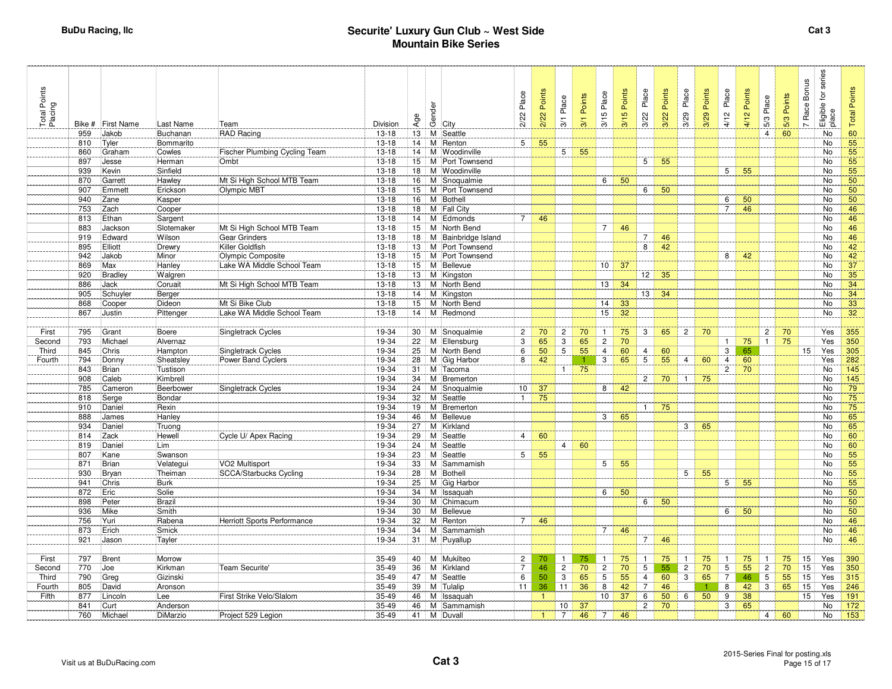| Total Points<br>Placing | Bike #     | <b>First Name</b> | Last Name        | Team                          | Division             | Age             | Gender<br>City             | 2/22 Place      | 2/22 Points  | Place<br>3/1              | Points<br>3/1 | 5 Place<br>$\frac{1}{2}$ | Points<br>$\sigma$<br>$\frac{1}{2}$ | Place<br>3/22   | Points<br>3/22 | Place<br>3/29  | Points<br>3/29 | Place<br>4/12  | Points<br>4/12 | Place<br>$5/3$ | Points<br>5/3 | <b>Bonus</b><br>Race<br>$\overline{ }$ | for series<br>Eligible t<br>place | <b>Total Points</b> |
|-------------------------|------------|-------------------|------------------|-------------------------------|----------------------|-----------------|----------------------------|-----------------|--------------|---------------------------|---------------|--------------------------|-------------------------------------|-----------------|----------------|----------------|----------------|----------------|----------------|----------------|---------------|----------------------------------------|-----------------------------------|---------------------|
|                         | 959        | Jakob             | Buchanan         | <b>RAD Racing</b>             | $13 - 18$            | 13              | M Seattle                  |                 |              |                           |               |                          |                                     |                 |                |                |                |                |                | $\overline{4}$ | 60            |                                        | No                                | 60                  |
|                         | 810        | Tyler             | Bommarito        |                               | $13 - 18$            | 14              | Renton<br>M                | $5\overline{5}$ | 55           |                           |               |                          |                                     |                 |                |                |                |                |                |                |               |                                        | No                                | 55                  |
|                         | 860        | Graham            | Cowles           | Fischer Plumbing Cycling Team | 13-18                | 14              | M Woodinville              |                 |              | 5 <sup>1</sup>            | 55            |                          |                                     |                 |                |                |                |                |                |                |               |                                        | No                                | 55                  |
|                         | 897        | Jesse             | Herman           | Ombt                          | $13 - 18$            | 15              | Port Townsend<br>м         |                 |              |                           |               |                          |                                     | $5\overline{)}$ | 55             |                |                |                |                |                |               |                                        | No                                | 55                  |
|                         | 939        | Kevin             | Sinfield         |                               | $13 - 18$            | 18              | M Woodinville              |                 |              |                           |               |                          |                                     |                 |                |                |                | 5              | 55             |                |               |                                        | No                                | 55                  |
|                         | 870        | Garrett           | Hawley           | Mt Si High School MTB Team    | $13 - 18$            | 16              | M Snoqualmie               |                 |              |                           |               | 6                        | 50                                  |                 |                |                |                |                |                |                |               |                                        | No                                | 50                  |
|                         | 907        | Emmett            | Erickson         | Olympic MBT                   | $13 - 18$            | 15              | M<br>Port Townsend         |                 |              |                           |               |                          |                                     | 6               | 50             |                |                |                |                |                |               |                                        | No                                | 50                  |
|                         | 940        | Zane              | Kasper           |                               | $13 - 18$            | 16              | M Bothell                  |                 |              |                           |               |                          |                                     |                 |                |                |                | 6              | 50             |                |               |                                        | No                                | 50                  |
|                         | 753        | Zach              | Cooper           |                               | $13 - 18$            | 18              | M Fall City                |                 |              |                           |               |                          |                                     |                 |                |                |                | $\overline{7}$ | 46             |                |               |                                        | No                                | 46                  |
|                         | 813        | Ethan             | Sargent          |                               | $13 - 18$            |                 | 14 M Edmonds               | $7\overline{ }$ | 46           |                           |               |                          |                                     |                 |                |                |                |                |                |                |               |                                        | No                                | 46                  |
|                         | 883        | Jackson           | Slotemaker       | Mt Si High School MTB Team    | $13 - 18$            | 15              | M North Bend               |                 |              |                           |               | $\overline{7}$           | 46                                  |                 |                |                |                |                |                |                |               |                                        | No                                | 46                  |
|                         | 919        | Edward            | Wilson           | Gear Grinders                 | $13 - 18$            | 18              | M Bainbridge Island        |                 |              |                           |               |                          |                                     | $\overline{7}$  | 46             |                |                |                |                |                |               |                                        | No                                | 46                  |
|                         | 895        | Elliott           | Drewry           | Killer Goldfish               | $13 - 18$            | 13              | M Port Townsend            |                 |              |                           |               |                          |                                     | 8               | 42             |                |                |                |                |                |               |                                        | No                                | 42                  |
|                         | 942        | Jakob             | Minor            | Olympic Composite             | $13 - 18$            | 15 <sub>1</sub> | M Port Townsend            |                 |              |                           |               |                          |                                     |                 |                |                |                | 8              | 42             |                |               |                                        | No                                | 42                  |
|                         | 869        | Max               | Hanley           | Lake WA Middle School Team    | $13 - 18$            | 15              | Bellevue<br>М              |                 |              |                           |               | 10                       | 37                                  |                 |                |                |                |                |                |                |               |                                        | No                                | 37                  |
|                         | 920        | <b>Bradley</b>    | Walgren          |                               | $13 - 18$            | 13              | Kingston<br>м              |                 |              |                           |               |                          | 34                                  | 12              | 35             |                |                |                |                |                |               |                                        | No                                | 35                  |
|                         | 886<br>905 | Jack              | Coruait          | Mt Si High School MTB Team    | $13-18$<br>$13 - 18$ | 13<br>14        | M North Bend               |                 |              |                           |               | 13                       |                                     | 13 <sup>1</sup> | 34             |                |                |                |                |                |               |                                        | No<br>No                          | 34<br>34            |
|                         |            | Schuyler          | Berger<br>Dideon | Mt Si Bike Club               | $13 - 18$            | 15              | M Kingston<br>M North Bend |                 |              |                           |               |                          | 33                                  |                 |                |                |                |                |                |                |               |                                        | No                                | 33                  |
|                         | 868<br>867 | Cooper<br>Justin  |                  | Lake WA Middle School Team    | $13 - 18$            | 14              | M Redmond                  |                 |              |                           |               | 14<br>$\overline{15}$    | 32                                  |                 |                |                |                |                |                |                |               |                                        | No                                | 32 <sup>°</sup>     |
|                         |            |                   | Pittenger        |                               |                      |                 |                            |                 |              |                           |               |                          |                                     |                 |                |                |                |                |                |                |               |                                        |                                   |                     |
| First                   | 795        | Grant             | Boere            | <b>Singletrack Cycles</b>     | 19-34                |                 | 30   M Snoqualmie          | $\overline{2}$  | 70           | $\overline{2}$            | 70            | $\overline{1}$           | 75                                  | 3               | 65             | $\overline{2}$ | 70             |                |                | $\mathbf{2}$   | 70            |                                        | Yes                               | 355                 |
| Second                  | 793        | Michael           | Alvernaz         |                               | 19-34                | 22              | M Ellensburg               | 3               | 65           | $\overline{\overline{3}}$ | 65            | $\overline{c}$           | 70                                  |                 |                |                |                | 1              | 75             | $\mathbf{1}$   | 75            |                                        | Yes                               | 350                 |
| Third                   | 845        | Chris             | Hampton          | <b>Singletrack Cycles</b>     | 19-34                | 25              | M North Bend               | 6               | 50           | 5                         | 55            | 4                        | 60                                  | $\overline{4}$  | 60             |                |                | 3              | 65             |                |               | 15                                     | Yes                               | 305                 |
| Fourth                  | 794        | Donny             | Sheatsley        | Power Band Cyclers            | 19-34                | 28              | M Gig Harbor               | 8               | 42           |                           | 1             | 3                        | 65                                  | $5\overline{)}$ | 55             | $\overline{4}$ | 60             | $\overline{4}$ | 60             |                |               |                                        | Yes                               | 282                 |
|                         | 843        | <b>Brian</b>      | Tustison         |                               | 19-34                | 31              | Tacoma<br>м                |                 |              | $\mathbf{1}$              | 75            |                          |                                     |                 |                |                |                | $\mathbf{2}$   | 70             |                |               |                                        | No                                | 145                 |
|                         | 908        | Caleb             | Kimbrell         |                               | 19-34                | 34              | м<br>Bremerton             |                 |              |                           |               |                          |                                     | $2^{\circ}$     | 70             | $\mathbf{1}$   | 75             |                |                |                |               |                                        | No                                | 145                 |
|                         | 785        | Cameron           | Beerbower        | <b>Singletrack Cycles</b>     | 19-34                | 24              | M Snoqualmie               | 10 <sup>1</sup> | 37           |                           |               | 8                        | 42                                  |                 |                |                |                |                |                |                |               |                                        | <b>No</b>                         | 79                  |
|                         | 818        | Serge             | Bondar           |                               | 19-34                | 32              | M<br>Seattle               | $\mathbf{1}$    | 75           |                           |               |                          |                                     |                 |                |                |                |                |                |                |               |                                        | <b>No</b>                         | 75                  |
|                         | 910        | Daniel            | Rexin            |                               | 19-34                | 19              | Bremerton<br>м             |                 |              |                           |               |                          |                                     | $\mathbf{1}$    | 75             |                |                |                |                |                |               |                                        | No                                | 75                  |
|                         | 888        | James             | Hanley           |                               | 19-34                | 46              | М<br>Bellevue              |                 |              |                           |               | 3                        | 65                                  |                 |                |                |                |                |                |                |               |                                        | <b>No</b>                         | 65                  |
|                         | 934        | Daniel            | Truong           |                               | 19-34                | 27              | M Kirkland                 |                 |              |                           |               |                          |                                     |                 |                | 3              | 65             |                |                |                |               |                                        | No                                | 65                  |
|                         | 814        | Zack              | Hewell           | Cycle U/ Apex Racing          | 19-34                | 29              | M<br>Seattle               | $\overline{4}$  | 60           |                           |               |                          |                                     |                 |                |                |                |                |                |                |               |                                        | No                                | 60                  |
|                         | 819        | Daniel            | Lim              |                               | 19-34                | 24              | Seattle<br>м               |                 |              | $\overline{4}$            | 60            |                          |                                     |                 |                |                |                |                |                |                |               |                                        | No                                | 60                  |
|                         | 807        | Kane              | Swanson          |                               | 19-34                | 23              | Seattle<br>м               | $5\overline{5}$ | 55           |                           |               |                          |                                     |                 |                |                |                |                |                |                |               |                                        | <b>No</b>                         | 55                  |
|                         | 871        | Brian             | Velategui        | VO2 Multisport                | 19-34                | 33              | M<br>Sammamish             |                 |              |                           |               | 5                        | 55                                  |                 |                |                |                |                |                |                |               |                                        | No                                | 55                  |
|                         | 930        | Bryan             | Theiman          | <b>SCCA/Starbucks Cycling</b> | 19-34                | 28              | Bothell<br>м               |                 |              |                           |               |                          |                                     |                 |                | 5              | 55             |                |                |                |               |                                        | No                                | 55                  |
|                         | 941        | Chris             | <b>Burk</b>      |                               | 19-34                | 25              | M Gig Harbor               |                 |              |                           |               |                          |                                     |                 |                |                |                | 5 <sup>1</sup> | 55             |                |               |                                        | No                                | 55                  |
|                         | 872        | Eric              | Solie            |                               | 19-34                | 34              | M Issaquah                 |                 |              |                           |               | 6                        | 50                                  |                 |                |                |                |                |                |                |               |                                        | <b>No</b>                         | 50                  |
|                         | 898        | Peter             | Brazil           |                               | 19-34                | 30              | M Chimacum                 |                 |              |                           |               |                          |                                     | 6               | 50             |                |                |                |                |                |               |                                        | No                                | 50                  |
|                         | 936<br>756 | Mike              | Smith            |                               | 19-34                | 30              | M Bellevue                 | $7^{\circ}$     | 46           |                           |               |                          |                                     |                 |                |                |                | 6              | 50             |                |               |                                        | No                                | 50                  |
|                         | 873        | Yuri              | Rabena<br>Smick  | Herriott Sports Performance   | 19-34<br>19-34       | 32              | M Renton                   |                 |              |                           |               | $\overline{7}$           | 46                                  |                 |                |                |                |                |                |                |               |                                        | <b>No</b><br>No                   | 46                  |
|                         | 921        | Erich             |                  |                               | 19-34                |                 | 34   M Sammamish           |                 |              |                           |               |                          |                                     |                 |                |                |                |                |                |                |               |                                        | <b>No</b>                         | 46                  |
|                         |            | Jason             | Tayler           |                               |                      | 31              | M Puyallup                 |                 |              |                           |               |                          |                                     | $7\overline{ }$ | 46             |                |                |                |                |                |               |                                        |                                   | 46                  |
| First                   | 797        | <b>Brent</b>      | Morrow           |                               | 35-49                |                 | 40 M Mukilteo              | $\overline{2}$  | 70           | $\mathbf{1}$              | 75            | $\mathbf{1}$             | 75                                  | $\mathbf{1}$    | 75             |                | 75             | $\mathbf{1}$   | 75             | $\mathbf{1}$   | 75            | 15                                     | Yes                               | 390                 |
| Second                  | 770        | Joe               | Kirkman          | Team Securite'                | 35-49                | 36              | M Kirkland                 | $\overline{7}$  | 46           | $\overline{2}$            | 70            | $\overline{c}$           | 70                                  | $5\overline{)}$ | 55             | $\overline{2}$ | 70             | 5              | 55             | $\overline{c}$ | 70            | 15                                     | Yes                               | 350                 |
| Third                   | 790        | Greg              | Gizinski         |                               | 35-49                | 47              | Seattle<br>М               | 6               | 50           | 3                         | 65            | 5                        | 55                                  | $\overline{4}$  | 60             | 3              | 65             | $\overline{7}$ | 46             | 5              | 55            | 15                                     | Yes                               | 315                 |
| Fourth                  | 805        | David             | Aronson          |                               | 35-49                | 39              | М<br>Tulalip               | 11              | 36           | 11                        | 36            | 8                        | 42                                  | $\overline{7}$  | 46             |                |                | 8              | 42             | $\mathbf{3}$   | 65            | 15                                     | Yes                               | 246                 |
| Fifth                   | 877        | Lincoln           | Lee              | First Strike Velo/Slalom      | 35-49                | 46              | м<br>Issaquah              |                 | $\mathbf{1}$ |                           |               | 10                       | 37                                  | 6               | 50             | 6              | 50             | 9              | 38             |                |               | 15                                     | Yes                               | 191                 |
|                         | 841        | Curt              | Anderson         |                               | 35-49                | 46              | M<br>Sammamish             |                 |              | 10 <sup>1</sup>           | 37            |                          |                                     | $\overline{2}$  | 70             |                |                | 3              | 65             |                |               |                                        | No                                | 172                 |
|                         | 760        | Michael           | DiMarzio         | Project 529 Legion            | 35-49                | 41              | M Duvall                   |                 |              | $\overline{7}$            | 46            | $\overline{7}$           | 46                                  |                 |                |                |                |                |                | $\overline{4}$ | 60            |                                        | No                                | 153                 |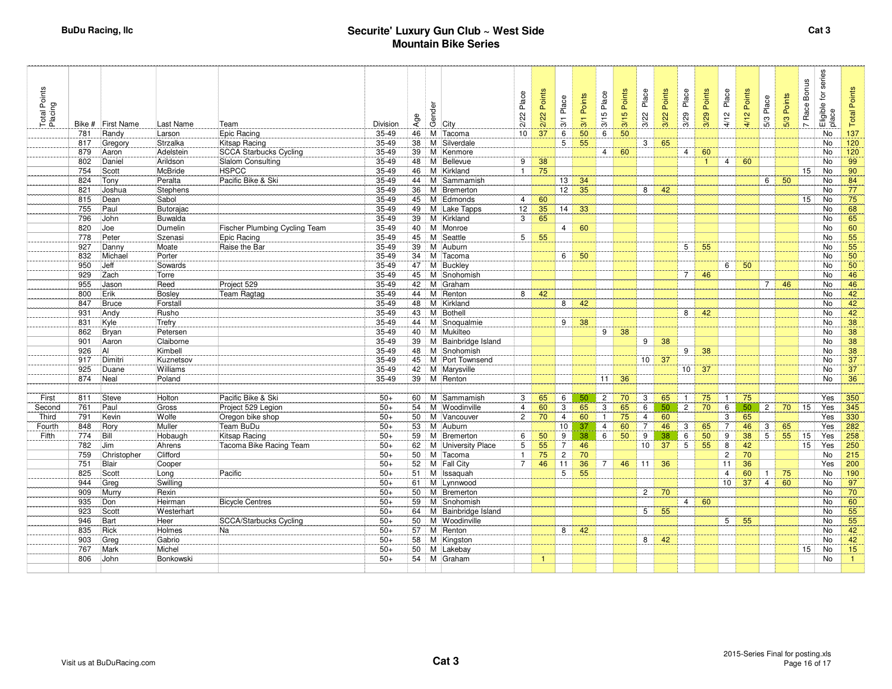| Total Points<br>Placing |            | Bike # First Name | Last Name      | Team                                 | Division  | Age       | Gender | City                   | 2/22 Place      | 2/22 Points  | Place<br>$\overline{3}$ | Points<br>3/1               | 3/15 Place     | 3/15 Points | Place<br>3/22   | Points<br>3/22 | Place<br>3/29  | 3/29 Points | Place<br>4/12   | 4/12 Points | 5/3 Place      | Points<br>5/3 | Race Bonus<br>$\sim$ | Eligible for series<br>place | <b>Total Points</b> |
|-------------------------|------------|-------------------|----------------|--------------------------------------|-----------|-----------|--------|------------------------|-----------------|--------------|-------------------------|-----------------------------|----------------|-------------|-----------------|----------------|----------------|-------------|-----------------|-------------|----------------|---------------|----------------------|------------------------------|---------------------|
|                         | 781        | Randy             | Larson         | Epic Racing                          | 35-49     | 46        |        | M Tacoma               | 10              | 37           | 6                       | 50                          | 6              | 50          |                 |                |                |             |                 |             |                |               |                      | <b>No</b>                    | 137                 |
|                         | 817        | Gregory           | Strzalka       | Kitsap Racing                        | 35-49     | 38        | M      | Silverdale             |                 |              | $\overline{5}$          | 55                          |                |             | $\mathbf{3}$    | 65             |                |             |                 |             |                |               |                      | <b>No</b>                    | 120                 |
|                         | 879        | Aaron             | Adelstein      | <b>SCCA Starbucks Cycling</b>        | $35 - 49$ |           |        | 39 M Kenmore           |                 |              |                         |                             | $\overline{4}$ | 60          |                 |                | $4 \mid$       | 60          |                 |             |                |               |                      | <b>No</b>                    | 120                 |
|                         | 802        | Daniel            | Arildson       | Slalom Consulting                    | 35-49     | 48        |        | M Bellevue             | 9               | 38           |                         |                             |                |             |                 |                |                |             | $\overline{4}$  | 60          |                |               |                      | <b>No</b>                    | 99                  |
|                         | 754        | Scott             | <b>McBride</b> | <b>HSPCC</b>                         | 35-49     | $46 \mid$ |        | M Kirkland             | $\mathbf{1}$    | 75           |                         |                             |                |             |                 |                |                |             |                 |             |                |               | 15                   | <b>No</b>                    | 90                  |
|                         | 824        | Tony              | Peralta        | Pacific Bike & Ski                   | 35-49     | 44        | M      | Sammamish              |                 |              | 13                      | 34                          |                |             |                 |                |                |             |                 |             | 6              | 50            |                      | No                           | 84                  |
|                         | 821        | Joshua            | Stephens       |                                      | 35-49     | 36        | M      | Bremerton              |                 |              | 12                      | 35                          |                |             | 8               | 42             |                |             |                 |             |                |               |                      | <b>No</b>                    | 77                  |
|                         | 815        | Dean              | Sabol          |                                      | $35 - 49$ |           |        | 45   M Edmonds         | $\overline{4}$  | 60           |                         |                             |                |             |                 |                |                |             |                 |             |                |               | 15                   | No                           | 75                  |
|                         | 755        | Paul              | Butorajac      |                                      | 35-49     | 49        |        | M Lake Tapps           | 12              | 35           |                         | $14 \overline{\smash{)}33}$ |                |             |                 |                |                |             |                 |             |                |               |                      | <b>No</b>                    | 68                  |
|                         | 796        | John              | Buwalda        |                                      | 35-49     | 39        |        | M Kirkland             | $\mathbf{3}$    | 65           |                         |                             |                |             |                 |                |                |             |                 |             |                |               |                      | <b>No</b>                    | 65                  |
|                         | 820        | Joe               | Dumelin        | <b>Fischer Plumbing Cycling Team</b> | 35-49     | 40        | M      | Monroe                 |                 |              | $\overline{4}$          | 60                          |                |             |                 |                |                |             |                 |             |                |               |                      | No                           | 60                  |
|                         | 778        | Peter             | Szenasi        | Epic Racing                          | 35-49     | 45        | M      | Seattle                | 5 <sup>5</sup>  | 55           |                         |                             |                |             |                 |                |                |             |                 |             |                |               |                      | <b>No</b>                    | 55                  |
|                         | 927        | Danny             | Moate          | Raise the Bar                        | $35 - 49$ | 39        |        | M Auburn               |                 |              |                         |                             |                |             |                 |                | 5 <sup>1</sup> | 55          |                 |             |                |               |                      | No                           | 55                  |
|                         | 832        | Michael           | Porter         |                                      | 35-49     | 34        |        | M Tacoma               |                 |              | 6                       | 50                          |                |             |                 |                |                |             |                 |             |                |               |                      | No                           | 50                  |
|                         | 950        | Jeff              | Sowards        |                                      | 35-49     | 47        |        | M Buckley              |                 |              |                         |                             |                |             |                 |                |                |             | 6               | 50          |                |               |                      | <b>No</b>                    | 50                  |
|                         | 929        | Zach              | Torre          |                                      | 35-49     | 45        | м      | Snohomish              |                 |              |                         |                             |                |             |                 |                | $\overline{7}$ | 46          |                 |             |                |               |                      | No                           | 46                  |
|                         | 955        | Jason             | Reed           | Project 529                          | 35-49     | 42        | M      | Graham                 |                 |              |                         |                             |                |             |                 |                |                |             |                 |             | $7^{\circ}$    | 46            |                      | <b>No</b>                    | 46                  |
|                         | 800        | Erik              | <b>Bosley</b>  | Team Ragtag                          | $35 - 49$ |           |        | 44   M   Renton        | 8               | 42           |                         |                             |                |             |                 |                |                |             |                 |             |                |               |                      | No                           | 42                  |
|                         | 847        | Bruce             | Forstall       |                                      | 35-49     | 48        |        | M Kirkland             |                 |              | 8                       | 42                          |                |             |                 |                |                |             |                 |             |                |               |                      | No                           | 42                  |
|                         | 931        | Andy              | Rusho          |                                      | 35-49     | 43        |        | M Bothell              |                 |              |                         |                             |                |             |                 |                | 8              | 42          |                 |             |                |               |                      | No                           | 42                  |
|                         | 831        | Kyle              | Trefry         |                                      | 35-49     | 44        |        | M Snoqualmie           |                 |              | 9                       | 38                          |                |             |                 |                |                |             |                 |             |                |               |                      | No                           | 38                  |
|                         | 862        | Bryan             | Petersen       |                                      | 35-49     | 40        |        | M Mukilteo             |                 |              |                         |                             | 9              | 38          |                 |                |                |             |                 |             |                |               |                      | <b>No</b>                    | 38                  |
|                         | 901        | Aaron             | Claiborne      |                                      | $35 - 49$ |           |        | 39 M Bainbridge Island |                 |              |                         |                             |                |             | 9               | 38             |                |             |                 |             |                |               |                      | No                           | 38                  |
|                         | 926        | AI                | Kimbell        |                                      | 35-49     | 48        |        | M Snohomish            |                 |              |                         |                             |                |             |                 |                | 9              | 38          |                 |             |                |               |                      | No                           | 38                  |
|                         | 917        | Dimitri           | Kuznetsov      |                                      | 35-49     |           |        | 45   M Port Townsend   |                 |              |                         |                             |                |             | 10 <sup>1</sup> | 37             |                |             |                 |             |                |               |                      | No                           | 37                  |
|                         | 925<br>874 | Duane             | Williams       |                                      | 35-49     | 42        |        | M Marysville           |                 |              |                         |                             |                | 36          |                 |                | $10 \mid 37$   |             |                 |             |                |               |                      | No                           | 37<br>36            |
|                         |            | Neal              | Poland         |                                      | 35-49     | 39        |        | M Renton               |                 |              |                         |                             | 11             |             |                 |                |                |             |                 |             |                |               |                      | No                           |                     |
| First                   | 811        | Steve             | Holton         | Pacific Bike & Ski                   | $50+$     | 60        |        | M Sammamish            | 3               | 65           | 6                       | 50                          | $\overline{c}$ | 70          | 3               | 65             | $\mathbf{1}$   | 75          | $\overline{1}$  | 75          |                |               |                      | Yes                          | 350                 |
| Second                  | 761        | Paul              | Gross          | Project 529 Legion                   | $50+$     | 54        |        | M Woodinville          | $\overline{4}$  | 60           | 3                       | 65                          | 3              | 65          | 6               | 50             | $\overline{2}$ | 70          | 6               | 50          | $\overline{2}$ | 70            | 15                   | Yes                          | 345                 |
| Third                   | 791        | Kevin             | Wolfe          | Oregon bike shop                     | $50+$     | 50        |        | M Vancouver            | $\overline{2}$  | 70           | $\overline{4}$          | 60                          | $\overline{1}$ | 75          | $\overline{4}$  | 60             |                |             | 3               | 65          |                |               |                      | Yes                          | 330                 |
| Fourth                  | 848        | Rory              | Muller         | Team BuDu                            | $50+$     | 53        | M      | Auburn                 |                 |              | 10                      | 37                          | $\overline{4}$ | 60          | $\overline{7}$  | 46             | 3              | 65          | $\overline{7}$  | 46          | 3 <sup>1</sup> | 65            |                      | Yes                          | 282                 |
| Fifth                   | 774        | <b>Bill</b>       | Hobaugh        | Kitsap Racing                        | $50+$     |           |        | 59   M   Bremerton     | 6               | 50           | 9                       | 38                          | 6              | 50          | 9               | 38             | 6              | 50          | 9               | 38          | 5 <sub>1</sub> | 55            | 15                   | Yes                          | 258                 |
|                         | 782        | Jim               | Ahrens         | Tacoma Bike Racing Team              | $50+$     | 62        |        | M University Place     | $5\overline{)}$ | 55           | $\overline{7}$          | 46                          |                |             | 10 <sup>1</sup> | 37             | 5 <sup>5</sup> | 55          | 8               | 42          |                |               | 15                   | Yes                          | 250                 |
|                         | 759        | Christopher       | Clifford       |                                      | $50+$     |           |        | 50   M Tacoma          | $\mathbf{1}$    | 75           | $\overline{2}$          | 70                          |                |             |                 |                |                |             | $\overline{c}$  | 70          |                |               |                      | No                           | 215                 |
|                         | 751        | Blair             | Cooper         |                                      | $50+$     | 52        |        | M Fall City            | $7^{\circ}$     | 46           | 11                      | 36                          | $\overline{7}$ | 46          | 11              | 36             |                |             | 11              | 36          |                |               |                      | Yes                          | 200                 |
|                         | 825        | Scott             | Long           | Pacific                              | $50+$     | 51        | М      | Issaquah               |                 |              | 5                       | 55                          |                |             |                 |                |                |             | $\overline{4}$  | 60          | $\mathbf{1}$   | 75            |                      | No                           | 190                 |
|                         | 944        | Greg              | Swilling       |                                      | $50+$     |           |        | 61 M Lynnwood          |                 |              |                         |                             |                |             |                 |                |                |             | 10 <sup>1</sup> | 37          | $\overline{4}$ | 60            |                      | No                           | 97                  |
|                         | 909        | Murry             | Rexin          |                                      | $50+$     | 50        |        | M Bremerton            |                 |              |                         |                             |                |             | $\overline{2}$  | 70             |                |             |                 |             |                |               |                      | No                           | 70                  |
|                         | 935        | Don               | Heirman        | <b>Bicycle Centres</b>               | $50+$     | 59        |        | M Snohomish            |                 |              |                         |                             |                |             |                 |                | 4              | 60          |                 |             |                |               |                      | No                           | 60                  |
|                         | 923        | Scott             | Westerhart     |                                      | $50+$     | 64        |        | M Bainbridge Island    |                 |              |                         |                             |                |             | $5^{\circ}$     | 55             |                |             |                 |             |                |               |                      | No                           | 55                  |
|                         | 946        | Bart              | Heer           | <b>SCCA/Starbucks Cycling</b>        | $50+$     | 50        |        | M Woodinville          |                 |              |                         |                             |                |             |                 |                |                |             | $5\overline{)}$ | 55          |                |               |                      | No                           | 55                  |
|                         | 835        | Rick              | Holmes         | Na                                   | $50+$     |           |        | 57 M Renton            |                 |              | 8                       | 42                          |                |             |                 |                |                |             |                 |             |                |               |                      | No                           | 42                  |
|                         | 903        | Greg              | Gabrio         |                                      | $50+$     | 58        |        | M Kingston             |                 |              |                         |                             |                |             | 8               | 42             |                |             |                 |             |                |               |                      | No                           | 42                  |
|                         | 767        | Mark              | Michel         |                                      | $50+$     |           |        | 50 M Lakebay           |                 |              |                         |                             |                |             |                 |                |                |             |                 |             |                |               | 15                   | No                           | 15 <sub>1</sub>     |
|                         | 806        | John              | Bonkowski      |                                      | $50+$     |           |        | 54 M Graham            |                 | $\mathbf{1}$ |                         |                             |                |             |                 |                |                |             |                 |             |                |               |                      | No                           | $\mathbf{1}$        |
|                         |            |                   |                |                                      |           |           |        |                        |                 |              |                         |                             |                |             |                 |                |                |             |                 |             |                |               |                      |                              |                     |